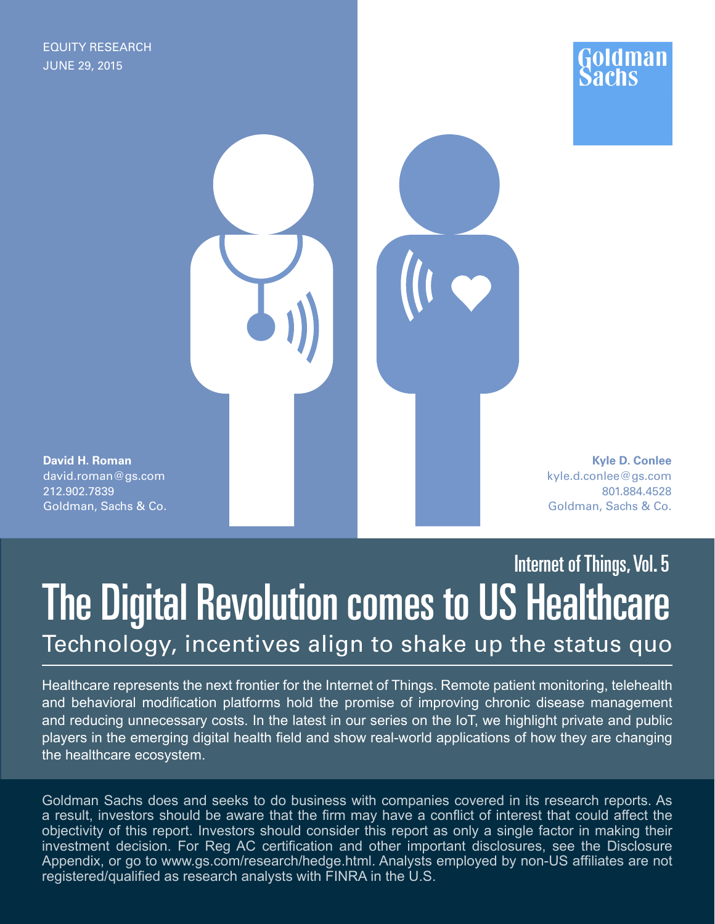Sachs



**David H. Roman** david.roman@gs.com 212.902.7839 Goldman, Sachs & Co.

**Kyle D. Conlee** kyle.d.conlee@gs.com 801.884.4528 Goldman, Sachs & Co.

# The Digital Revolution comes to US Healthcare Technology, incentives align to shake up the status quo Internet of Things, Vol. 5

Healthcare represents the next frontier for the Internet of Things. Remote patient monitoring, telehealth and behavioral modification platforms hold the promise of improving chronic disease management and reducing unnecessary costs. In the latest in our series on the IoT, we highlight private and public players in the emerging digital health field and show real-world applications of how they are changing the healthcare ecosystem.

Goldman Sachs does and seeks to do business with companies covered in its research reports. As a result, investors should be aware that the firm may have a conflict of interest that could affect the objectivity of this report. Investors should consider this report as only a single factor in making their investment decision. For Reg AC certification and other important disclosures, see the Disclosure Appendix, or go to www.gs.com/research/hedge.html. Analysts employed by non-US affiliates are not registered/qualified as research analysts with FINRA in the U.S.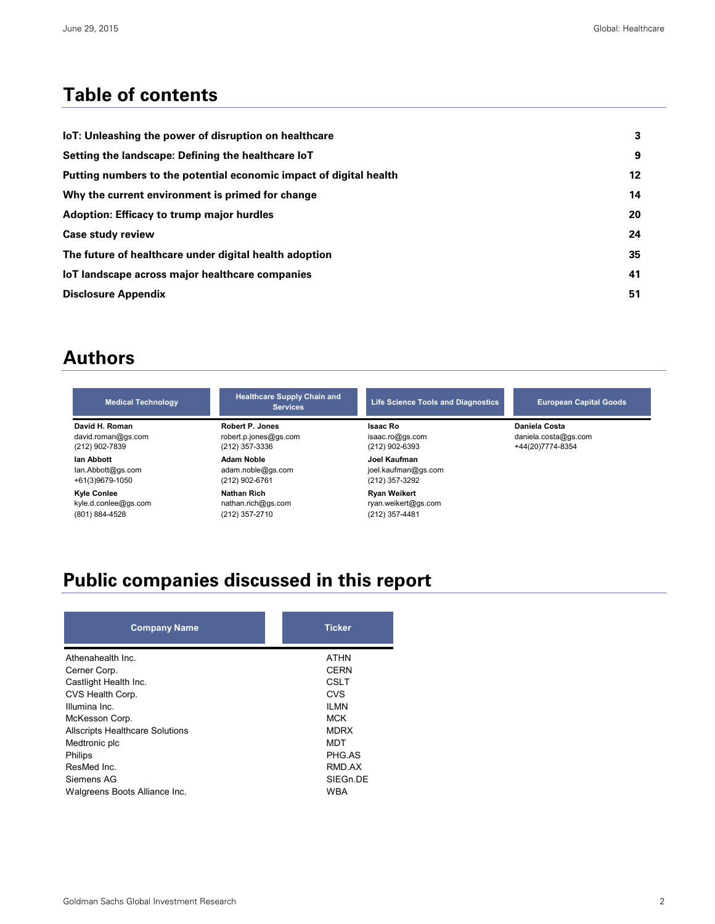## **Table of contents**

| <b>IoT: Unleashing the power of disruption on healthcare</b>       | 3  |
|--------------------------------------------------------------------|----|
| Setting the landscape: Defining the healthcare loT                 | 9  |
| Putting numbers to the potential economic impact of digital health | 12 |
| Why the current environment is primed for change                   | 14 |
| Adoption: Efficacy to trump major hurdles                          | 20 |
| Case study review                                                  | 24 |
| The future of healthcare under digital health adoption             | 35 |
| loT landscape across major healthcare companies                    | 41 |
| <b>Disclosure Appendix</b>                                         | 51 |

## **Authors**

| <b>Medical Technology</b> | <b>Healthcare Supply Chain and</b><br><b>Services</b> | <b>Life Science Tools and Diagnostics</b> | <b>European Capital Goods</b> |
|---------------------------|-------------------------------------------------------|-------------------------------------------|-------------------------------|
| David H. Roman            | <b>Robert P. Jones</b>                                | <b>Isaac Ro</b>                           | Daniela Costa                 |
| david.roman@gs.com        | robert.p.jones@gs.com                                 | isaac.ro@gs.com                           | daniela.costa@gs.com          |
| (212) 902-7839            | (212) 357-3336                                        | (212) 902-6393                            | +44(20)7774-8354              |
| lan Abbott                | <b>Adam Noble</b>                                     | Joel Kaufman                              |                               |
| lan.Abbott@gs.com         | adam.noble@gs.com                                     | joel.kaufman@gs.com                       |                               |
| +61(3)9679-1050           | (212) 902-6761                                        | (212) 357-3292                            |                               |
| <b>Kyle Conlee</b>        | Nathan Rich                                           | <b>Ryan Weikert</b>                       |                               |
| kyle.d.conlee@gs.com      | nathan.rich@gs.com                                    | ryan.weikert@gs.com                       |                               |
| (801) 884-4528            | (212) 357-2710                                        | (212) 357-4481                            |                               |

# **Public companies discussed in this report**

| <b>Company Name</b>                    | <b>Ticker</b> |
|----------------------------------------|---------------|
| Athenahealth Inc.                      | <b>ATHN</b>   |
| Cerner Corp.                           | <b>CERN</b>   |
| Castlight Health Inc.                  | CSLT          |
| CVS Health Corp.                       | <b>CVS</b>    |
| Illumina Inc.                          | <b>ILMN</b>   |
| McKesson Corp.                         | <b>MCK</b>    |
| <b>Allscripts Healthcare Solutions</b> | <b>MDRX</b>   |
| Medtronic plc                          | MDT           |
| Philips                                | PHG AS        |
| ResMed Inc.                            | RMD.AX        |
| Siemens AG                             | SIEGn.DE      |
| Walgreens Boots Alliance Inc.          | WBA           |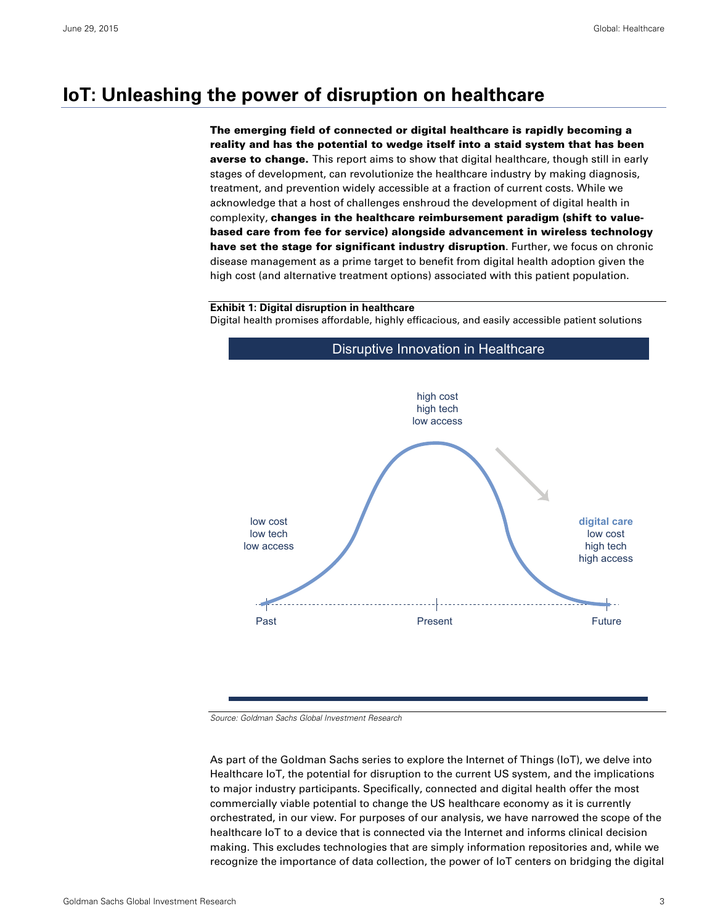## **IoT: Unleashing the power of disruption on healthcare**

The emerging field of connected or digital healthcare is rapidly becoming a reality and has the potential to wedge itself into a staid system that has been averse to change. This report aims to show that digital healthcare, though still in early stages of development, can revolutionize the healthcare industry by making diagnosis, treatment, and prevention widely accessible at a fraction of current costs. While we acknowledge that a host of challenges enshroud the development of digital health in complexity, changes in the healthcare reimbursement paradigm (shift to valuebased care from fee for service) alongside advancement in wireless technology have set the stage for significant industry disruption. Further, we focus on chronic disease management as a prime target to benefit from digital health adoption given the high cost (and alternative treatment options) associated with this patient population.

#### **Exhibit 1: Digital disruption in healthcare**

Digital health promises affordable, highly efficacious, and easily accessible patient solutions



Source: Goldman Sachs Global Investment Research

As part of the Goldman Sachs series to explore the Internet of Things (IoT), we delve into Healthcare IoT, the potential for disruption to the current US system, and the implications to major industry participants. Specifically, connected and digital health offer the most commercially viable potential to change the US healthcare economy as it is currently orchestrated, in our view. For purposes of our analysis, we have narrowed the scope of the healthcare IoT to a device that is connected via the Internet and informs clinical decision making. This excludes technologies that are simply information repositories and, while we recognize the importance of data collection, the power of IoT centers on bridging the digital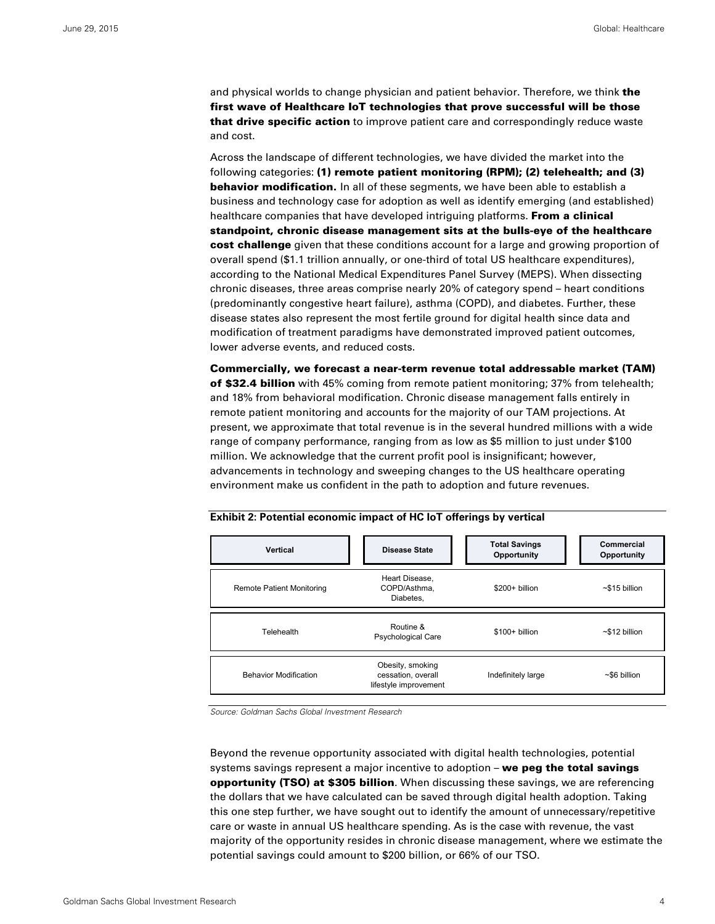and physical worlds to change physician and patient behavior. Therefore, we think the first wave of Healthcare IoT technologies that prove successful will be those that drive specific action to improve patient care and correspondingly reduce waste and cost.

Across the landscape of different technologies, we have divided the market into the following categories: (1) remote patient monitoring (RPM); (2) telehealth; and (3) **behavior modification.** In all of these segments, we have been able to establish a business and technology case for adoption as well as identify emerging (and established) healthcare companies that have developed intriguing platforms. From a clinical standpoint, chronic disease management sits at the bulls-eye of the healthcare cost challenge given that these conditions account for a large and growing proportion of overall spend (\$1.1 trillion annually, or one-third of total US healthcare expenditures), according to the National Medical Expenditures Panel Survey (MEPS). When dissecting chronic diseases, three areas comprise nearly 20% of category spend – heart conditions (predominantly congestive heart failure), asthma (COPD), and diabetes. Further, these disease states also represent the most fertile ground for digital health since data and modification of treatment paradigms have demonstrated improved patient outcomes, lower adverse events, and reduced costs.

Commercially, we forecast a near-term revenue total addressable market (TAM) of \$32.4 billion with 45% coming from remote patient monitoring; 37% from telehealth; and 18% from behavioral modification. Chronic disease management falls entirely in remote patient monitoring and accounts for the majority of our TAM projections. At present, we approximate that total revenue is in the several hundred millions with a wide range of company performance, ranging from as low as \$5 million to just under \$100 million. We acknowledge that the current profit pool is insignificant; however, advancements in technology and sweeping changes to the US healthcare operating environment make us confident in the path to adoption and future revenues.

| <b>Vertical</b>                  | Disease State                                                   | <b>Total Savings</b><br>Opportunity | Commercial<br>Opportunity |
|----------------------------------|-----------------------------------------------------------------|-------------------------------------|---------------------------|
| <b>Remote Patient Monitoring</b> | Heart Disease,<br>COPD/Asthma,<br>Diabetes,                     | $$200+$ billion                     | $~515$ billion            |
| Telehealth                       | Routine &<br><b>Psychological Care</b>                          | $$100+$ billion                     | $~512$ billion            |
| <b>Behavior Modification</b>     | Obesity, smoking<br>cessation, overall<br>lifestyle improvement | Indefinitely large                  | $~56$ billion             |

**Exhibit 2: Potential economic impact of HC IoT offerings by vertical** 

Source: Goldman Sachs Global Investment Research

Beyond the revenue opportunity associated with digital health technologies, potential systems savings represent a major incentive to adoption - we peg the total savings opportunity (TSO) at \$305 billion. When discussing these savings, we are referencing the dollars that we have calculated can be saved through digital health adoption. Taking this one step further, we have sought out to identify the amount of unnecessary/repetitive care or waste in annual US healthcare spending. As is the case with revenue, the vast majority of the opportunity resides in chronic disease management, where we estimate the potential savings could amount to \$200 billion, or 66% of our TSO.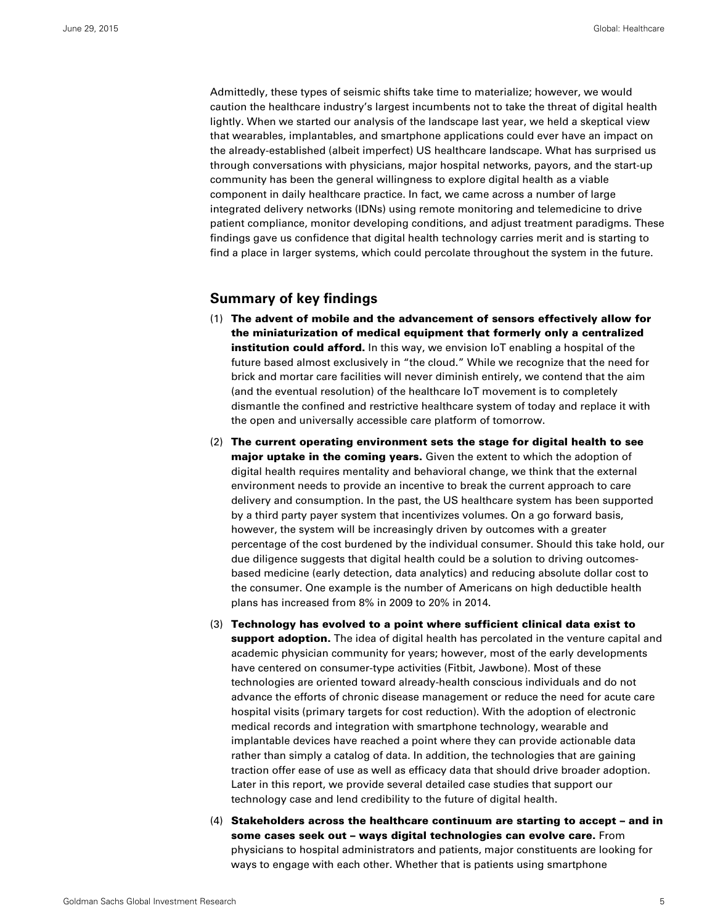Admittedly, these types of seismic shifts take time to materialize; however, we would caution the healthcare industry's largest incumbents not to take the threat of digital health lightly. When we started our analysis of the landscape last year, we held a skeptical view that wearables, implantables, and smartphone applications could ever have an impact on the already-established (albeit imperfect) US healthcare landscape. What has surprised us through conversations with physicians, major hospital networks, payors, and the start-up community has been the general willingness to explore digital health as a viable component in daily healthcare practice. In fact, we came across a number of large integrated delivery networks (IDNs) using remote monitoring and telemedicine to drive patient compliance, monitor developing conditions, and adjust treatment paradigms. These findings gave us confidence that digital health technology carries merit and is starting to find a place in larger systems, which could percolate throughout the system in the future.

## **Summary of key findings**

- (1) The advent of mobile and the advancement of sensors effectively allow for the miniaturization of medical equipment that formerly only a centralized **institution could afford.** In this way, we envision IoT enabling a hospital of the future based almost exclusively in "the cloud." While we recognize that the need for brick and mortar care facilities will never diminish entirely, we contend that the aim (and the eventual resolution) of the healthcare IoT movement is to completely dismantle the confined and restrictive healthcare system of today and replace it with the open and universally accessible care platform of tomorrow.
- (2) The current operating environment sets the stage for digital health to see **major uptake in the coming years.** Given the extent to which the adoption of digital health requires mentality and behavioral change, we think that the external environment needs to provide an incentive to break the current approach to care delivery and consumption. In the past, the US healthcare system has been supported by a third party payer system that incentivizes volumes. On a go forward basis, however, the system will be increasingly driven by outcomes with a greater percentage of the cost burdened by the individual consumer. Should this take hold, our due diligence suggests that digital health could be a solution to driving outcomesbased medicine (early detection, data analytics) and reducing absolute dollar cost to the consumer. One example is the number of Americans on high deductible health plans has increased from 8% in 2009 to 20% in 2014.
- (3) Technology has evolved to a point where sufficient clinical data exist to support adoption. The idea of digital health has percolated in the venture capital and academic physician community for years; however, most of the early developments have centered on consumer-type activities (Fitbit, Jawbone). Most of these technologies are oriented toward already-health conscious individuals and do not advance the efforts of chronic disease management or reduce the need for acute care hospital visits (primary targets for cost reduction). With the adoption of electronic medical records and integration with smartphone technology, wearable and implantable devices have reached a point where they can provide actionable data rather than simply a catalog of data. In addition, the technologies that are gaining traction offer ease of use as well as efficacy data that should drive broader adoption. Later in this report, we provide several detailed case studies that support our technology case and lend credibility to the future of digital health.
- (4) Stakeholders across the healthcare continuum are starting to accept and in some cases seek out - ways digital technologies can evolve care. From physicians to hospital administrators and patients, major constituents are looking for ways to engage with each other. Whether that is patients using smartphone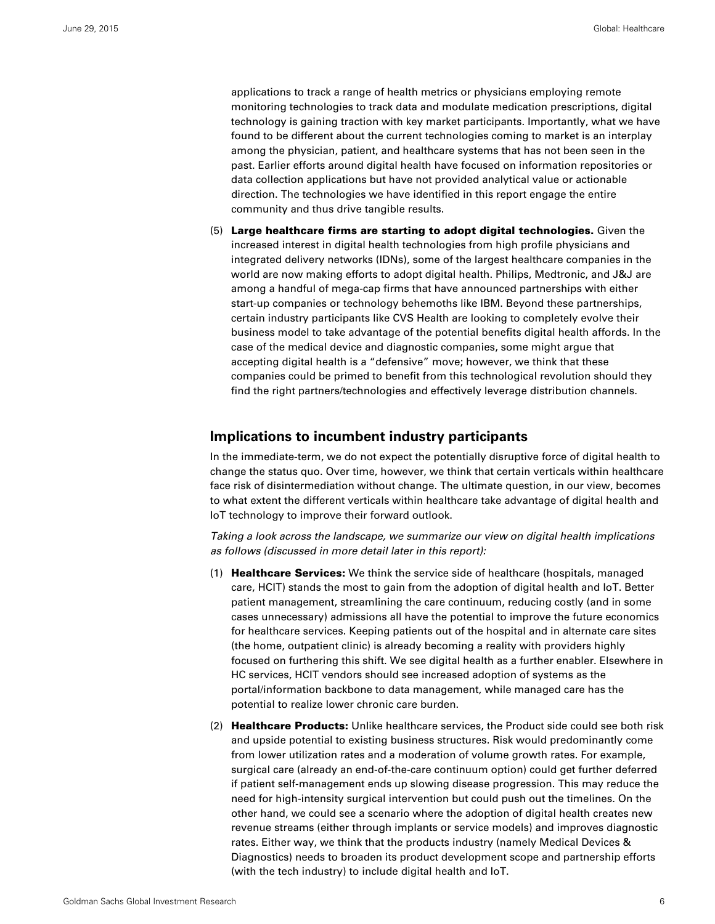applications to track a range of health metrics or physicians employing remote monitoring technologies to track data and modulate medication prescriptions, digital technology is gaining traction with key market participants. Importantly, what we have found to be different about the current technologies coming to market is an interplay among the physician, patient, and healthcare systems that has not been seen in the past. Earlier efforts around digital health have focused on information repositories or data collection applications but have not provided analytical value or actionable direction. The technologies we have identified in this report engage the entire community and thus drive tangible results.

(5) Large healthcare firms are starting to adopt digital technologies. Given the increased interest in digital health technologies from high profile physicians and integrated delivery networks (IDNs), some of the largest healthcare companies in the world are now making efforts to adopt digital health. Philips, Medtronic, and J&J are among a handful of mega-cap firms that have announced partnerships with either start-up companies or technology behemoths like IBM. Beyond these partnerships, certain industry participants like CVS Health are looking to completely evolve their business model to take advantage of the potential benefits digital health affords. In the case of the medical device and diagnostic companies, some might argue that accepting digital health is a "defensive" move; however, we think that these companies could be primed to benefit from this technological revolution should they find the right partners/technologies and effectively leverage distribution channels.

## **Implications to incumbent industry participants**

In the immediate-term, we do not expect the potentially disruptive force of digital health to change the status quo. Over time, however, we think that certain verticals within healthcare face risk of disintermediation without change. The ultimate question, in our view, becomes to what extent the different verticals within healthcare take advantage of digital health and IoT technology to improve their forward outlook.

Taking a look across the landscape, we summarize our view on digital health implications as follows (discussed in more detail later in this report):

- (1) Healthcare Services: We think the service side of healthcare (hospitals, managed care, HCIT) stands the most to gain from the adoption of digital health and IoT. Better patient management, streamlining the care continuum, reducing costly (and in some cases unnecessary) admissions all have the potential to improve the future economics for healthcare services. Keeping patients out of the hospital and in alternate care sites (the home, outpatient clinic) is already becoming a reality with providers highly focused on furthering this shift. We see digital health as a further enabler. Elsewhere in HC services, HCIT vendors should see increased adoption of systems as the portal/information backbone to data management, while managed care has the potential to realize lower chronic care burden.
- (2) Healthcare Products: Unlike healthcare services, the Product side could see both risk and upside potential to existing business structures. Risk would predominantly come from lower utilization rates and a moderation of volume growth rates. For example, surgical care (already an end-of-the-care continuum option) could get further deferred if patient self-management ends up slowing disease progression. This may reduce the need for high-intensity surgical intervention but could push out the timelines. On the other hand, we could see a scenario where the adoption of digital health creates new revenue streams (either through implants or service models) and improves diagnostic rates. Either way, we think that the products industry (namely Medical Devices & Diagnostics) needs to broaden its product development scope and partnership efforts (with the tech industry) to include digital health and IoT.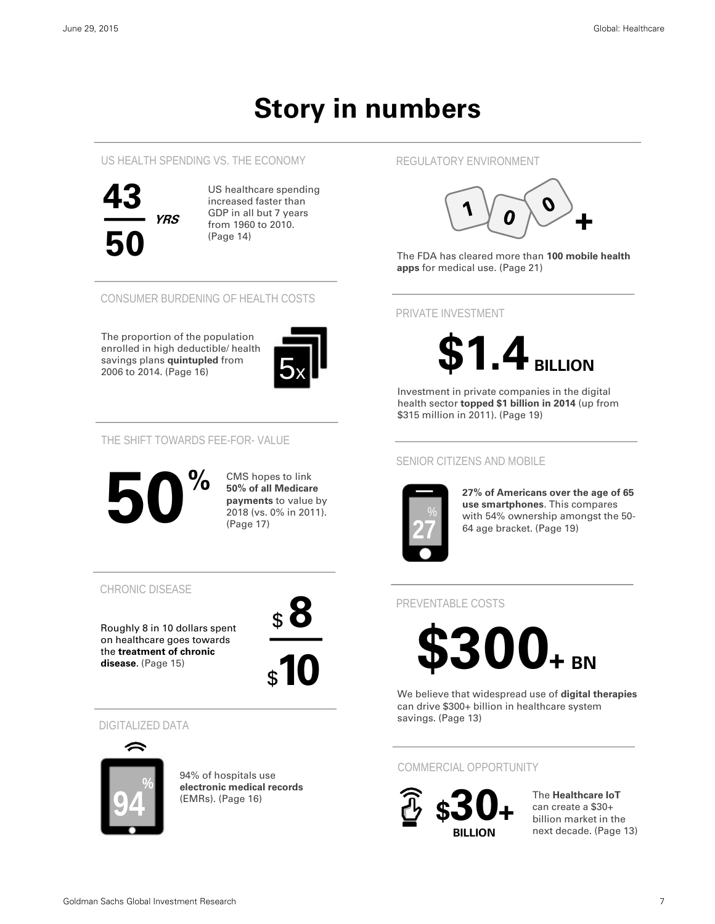# **Story in numbers**

## US HEALTH SPENDING VS. THE ECONOMY



US healthcare spending increased faster than GDP in all but 7 years from 1960 to 2010. (Page 14)

### CONSUMER BURDENING OF HEALTH COSTS

The proportion of the population enrolled in high deductible/ health savings plans **quintupled** from 2006 to 2014. (Page 16)



#### THE SHIFT TOWARDS FEE-FOR- VALUE



CMS hopes to link **50% of all Medicare payments** to value by 2018 (vs. 0% in 2011). (Page 17)

## CHRONIC DISEASE

Roughly 8 in 10 dollars spent on healthcare goes towards the **treatment of chronic disease**. (Page 15)



## DIGITALIZED DATA



94% of hospitals use **electronic medical records**  (EMRs). (Page 16)

## REGULATORY ENVIRONMENT



The FDA has cleared more than **100 mobile health apps** for medical use. (Page 21)

### PRIVATE INVESTMENT



Investment in private companies in the digital health sector **topped \$1 billion in 2014** (up from \$315 million in 2011). (Page 19)

## SENIOR CITIZENS AND MOBILE



**27% of Americans over the age of 65 use smartphones**. This compares with 54% ownership amongst the 50- 64 age bracket. (Page 19)

#### PREVENTABLE COSTS



We believe that widespread use of **digital therapies**  can drive \$300+ billion in healthcare system savings. (Page 13)

#### COMMERCIAL OPPORTUNITY



The **Healthcare IoT** can create a \$30+ billion market in the next decade. (Page 13)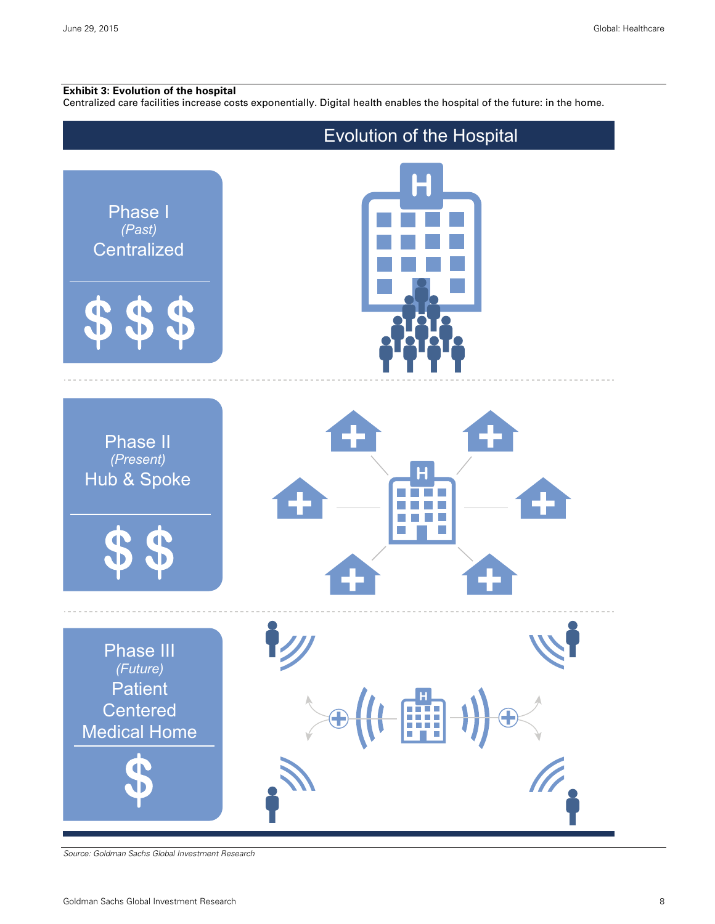## **Exhibit 3: Evolution of the hospital**

Centralized care facilities increase costs exponentially. Digital health enables the hospital of the future: in the home.



Source: Goldman Sachs Global Investment Research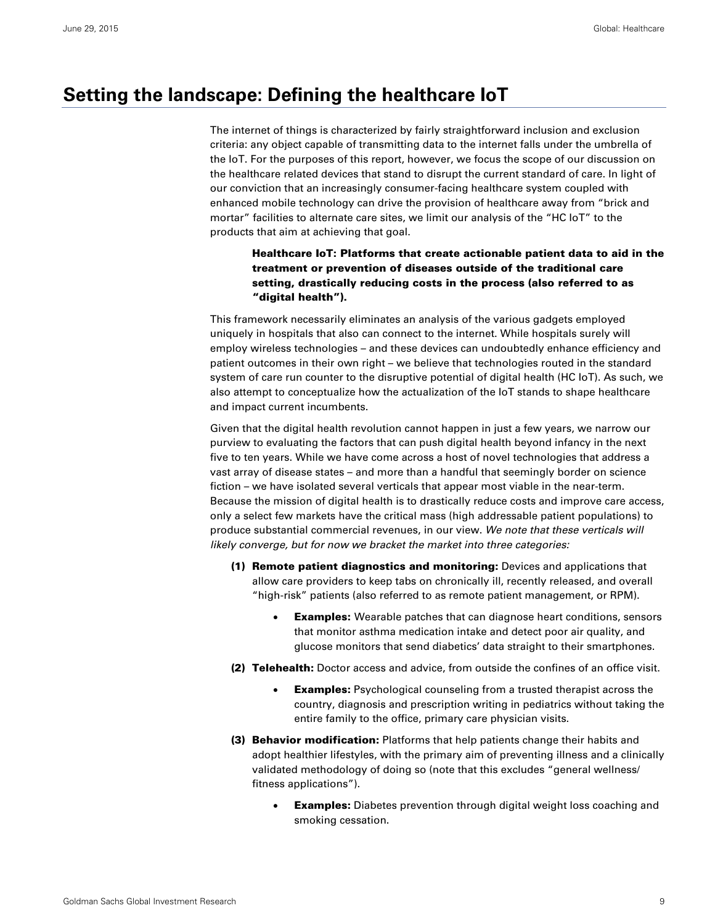## **Setting the landscape: Defining the healthcare IoT**

The internet of things is characterized by fairly straightforward inclusion and exclusion criteria: any object capable of transmitting data to the internet falls under the umbrella of the IoT. For the purposes of this report, however, we focus the scope of our discussion on the healthcare related devices that stand to disrupt the current standard of care. In light of our conviction that an increasingly consumer-facing healthcare system coupled with enhanced mobile technology can drive the provision of healthcare away from "brick and mortar" facilities to alternate care sites, we limit our analysis of the "HC IoT" to the products that aim at achieving that goal.

## Healthcare IoT: Platforms that create actionable patient data to aid in the treatment or prevention of diseases outside of the traditional care setting, drastically reducing costs in the process (also referred to as "digital health").

This framework necessarily eliminates an analysis of the various gadgets employed uniquely in hospitals that also can connect to the internet. While hospitals surely will employ wireless technologies – and these devices can undoubtedly enhance efficiency and patient outcomes in their own right – we believe that technologies routed in the standard system of care run counter to the disruptive potential of digital health (HC IoT). As such, we also attempt to conceptualize how the actualization of the IoT stands to shape healthcare and impact current incumbents.

Given that the digital health revolution cannot happen in just a few years, we narrow our purview to evaluating the factors that can push digital health beyond infancy in the next five to ten years. While we have come across a host of novel technologies that address a vast array of disease states – and more than a handful that seemingly border on science fiction – we have isolated several verticals that appear most viable in the near-term. Because the mission of digital health is to drastically reduce costs and improve care access, only a select few markets have the critical mass (high addressable patient populations) to produce substantial commercial revenues, in our view. We note that these verticals will likely converge, but for now we bracket the market into three categories:

- (1) Remote patient diagnostics and monitoring: Devices and applications that allow care providers to keep tabs on chronically ill, recently released, and overall "high-risk" patients (also referred to as remote patient management, or RPM).
	- **Examples:** Wearable patches that can diagnose heart conditions, sensors that monitor asthma medication intake and detect poor air quality, and glucose monitors that send diabetics' data straight to their smartphones.
- (2) Telehealth: Doctor access and advice, from outside the confines of an office visit.
	- **Examples:** Psychological counseling from a trusted therapist across the country, diagnosis and prescription writing in pediatrics without taking the entire family to the office, primary care physician visits.
- (3) Behavior modification: Platforms that help patients change their habits and adopt healthier lifestyles, with the primary aim of preventing illness and a clinically validated methodology of doing so (note that this excludes "general wellness/ fitness applications").
	- **Examples:** Diabetes prevention through digital weight loss coaching and smoking cessation.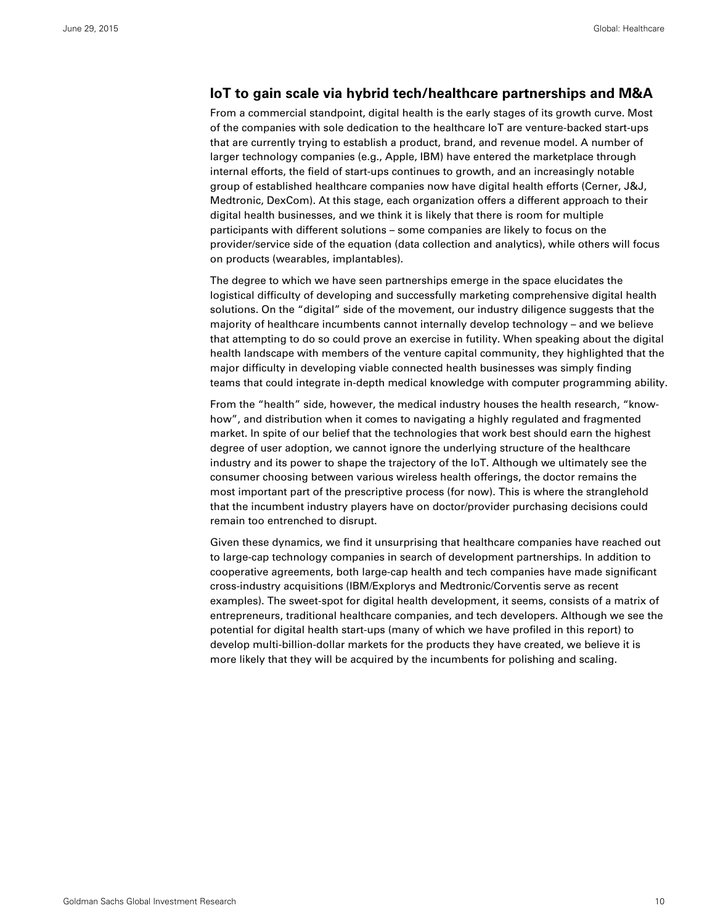## **IoT to gain scale via hybrid tech/healthcare partnerships and M&A**

From a commercial standpoint, digital health is the early stages of its growth curve. Most of the companies with sole dedication to the healthcare IoT are venture-backed start-ups that are currently trying to establish a product, brand, and revenue model. A number of larger technology companies (e.g., Apple, IBM) have entered the marketplace through internal efforts, the field of start-ups continues to growth, and an increasingly notable group of established healthcare companies now have digital health efforts (Cerner, J&J, Medtronic, DexCom). At this stage, each organization offers a different approach to their digital health businesses, and we think it is likely that there is room for multiple participants with different solutions – some companies are likely to focus on the provider/service side of the equation (data collection and analytics), while others will focus on products (wearables, implantables).

The degree to which we have seen partnerships emerge in the space elucidates the logistical difficulty of developing and successfully marketing comprehensive digital health solutions. On the "digital" side of the movement, our industry diligence suggests that the majority of healthcare incumbents cannot internally develop technology – and we believe that attempting to do so could prove an exercise in futility. When speaking about the digital health landscape with members of the venture capital community, they highlighted that the major difficulty in developing viable connected health businesses was simply finding teams that could integrate in-depth medical knowledge with computer programming ability.

From the "health" side, however, the medical industry houses the health research, "knowhow", and distribution when it comes to navigating a highly regulated and fragmented market. In spite of our belief that the technologies that work best should earn the highest degree of user adoption, we cannot ignore the underlying structure of the healthcare industry and its power to shape the trajectory of the IoT. Although we ultimately see the consumer choosing between various wireless health offerings, the doctor remains the most important part of the prescriptive process (for now). This is where the stranglehold that the incumbent industry players have on doctor/provider purchasing decisions could remain too entrenched to disrupt.

Given these dynamics, we find it unsurprising that healthcare companies have reached out to large-cap technology companies in search of development partnerships. In addition to cooperative agreements, both large-cap health and tech companies have made significant cross-industry acquisitions (IBM/Explorys and Medtronic/Corventis serve as recent examples). The sweet-spot for digital health development, it seems, consists of a matrix of entrepreneurs, traditional healthcare companies, and tech developers. Although we see the potential for digital health start-ups (many of which we have profiled in this report) to develop multi-billion-dollar markets for the products they have created, we believe it is more likely that they will be acquired by the incumbents for polishing and scaling.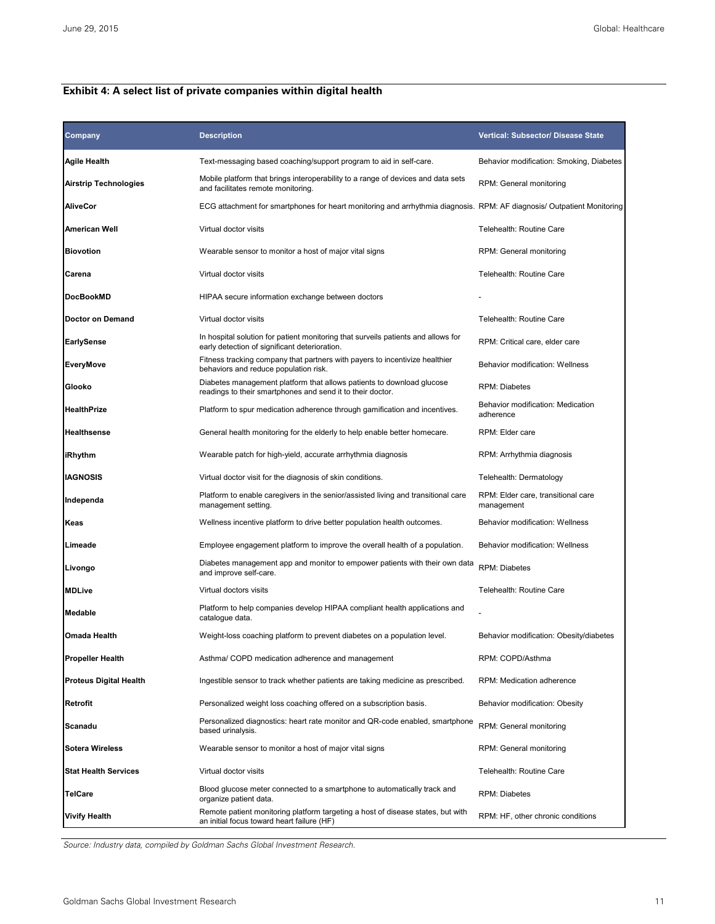## **Exhibit 4: A select list of private companies within digital health**

| Company                       | <b>Description</b>                                                                                                                  | <b>Vertical: Subsector/ Disease State</b>        |
|-------------------------------|-------------------------------------------------------------------------------------------------------------------------------------|--------------------------------------------------|
| <b>Agile Health</b>           | Text-messaging based coaching/support program to aid in self-care.                                                                  | Behavior modification: Smoking, Diabetes         |
| <b>Airstrip Technologies</b>  | Mobile platform that brings interoperability to a range of devices and data sets<br>and facilitates remote monitoring.              | RPM: General monitoring                          |
| <b>AliveCor</b>               | ECG attachment for smartphones for heart monitoring and arrhythmia diagnosis. RPM: AF diagnosis/ Outpatient Monitoring              |                                                  |
| <b>American Well</b>          | Virtual doctor visits                                                                                                               | Telehealth: Routine Care                         |
| <b>Biovotion</b>              | Wearable sensor to monitor a host of major vital signs                                                                              | RPM: General monitoring                          |
| Carena                        | Virtual doctor visits                                                                                                               | Telehealth: Routine Care                         |
| <b>DocBookMD</b>              | HIPAA secure information exchange between doctors                                                                                   |                                                  |
| <b>Doctor on Demand</b>       | Virtual doctor visits                                                                                                               | Telehealth: Routine Care                         |
| <b>EarlySense</b>             | In hospital solution for patient monitoring that surveils patients and allows for<br>early detection of significant deterioration.  | RPM: Critical care, elder care                   |
| <b>EveryMove</b>              | Fitness tracking company that partners with payers to incentivize healthier<br>behaviors and reduce population risk.                | Behavior modification: Wellness                  |
| Glooko                        | Diabetes management platform that allows patients to download glucose<br>readings to their smartphones and send it to their doctor. | <b>RPM: Diabetes</b>                             |
| <b>HealthPrize</b>            | Platform to spur medication adherence through gamification and incentives.                                                          | Behavior modification: Medication<br>adherence   |
| IHealthsense                  | General health monitoring for the elderly to help enable better homecare.                                                           | RPM: Elder care                                  |
| iRhythm                       | Wearable patch for high-yield, accurate arrhythmia diagnosis                                                                        | RPM: Arrhythmia diagnosis                        |
| <b>IAGNOSIS</b>               | Virtual doctor visit for the diagnosis of skin conditions.                                                                          | Telehealth: Dermatology                          |
| Independa                     | Platform to enable caregivers in the senior/assisted living and transitional care<br>management setting.                            | RPM: Elder care, transitional care<br>management |
| Keas                          | Wellness incentive platform to drive better population health outcomes.                                                             | Behavior modification: Wellness                  |
| Limeade                       | Employee engagement platform to improve the overall health of a population.                                                         | Behavior modification: Wellness                  |
| Livongo                       | Diabetes management app and monitor to empower patients with their own data<br>and improve self-care.                               | RPM: Diabetes                                    |
| <b>MDLive</b>                 | Virtual doctors visits                                                                                                              | Telehealth: Routine Care                         |
| Medable                       | Platform to help companies develop HIPAA compliant health applications and<br>catalogue data.                                       |                                                  |
| Omada Health                  | Weight-loss coaching platform to prevent diabetes on a population level.                                                            | Behavior modification: Obesity/diabetes          |
| <b>Propeller Health</b>       | Asthma/ COPD medication adherence and management                                                                                    | RPM: COPD/Asthma                                 |
| <b>Proteus Digital Health</b> | Ingestible sensor to track whether patients are taking medicine as prescribed.                                                      | RPM: Medication adherence                        |
| <b>Retrofit</b>               | Personalized weight loss coaching offered on a subscription basis.                                                                  | Behavior modification: Obesity                   |
| Scanadu                       | Personalized diagnostics: heart rate monitor and QR-code enabled, smartphone<br>based urinalysis.                                   | RPM: General monitoring                          |
| <b>Sotera Wireless</b>        | Wearable sensor to monitor a host of major vital signs                                                                              | RPM: General monitoring                          |
| <b>Stat Health Services</b>   | Virtual doctor visits                                                                                                               | Telehealth: Routine Care                         |
| <b>TelCare</b>                | Blood glucose meter connected to a smartphone to automatically track and<br>organize patient data.                                  | RPM: Diabetes                                    |
| <b>Vivify Health</b>          | Remote patient monitoring platform targeting a host of disease states, but with<br>an initial focus toward heart failure (HF)       | RPM: HF, other chronic conditions                |

Source: Industry data, compiled by Goldman Sachs Global Investment Research.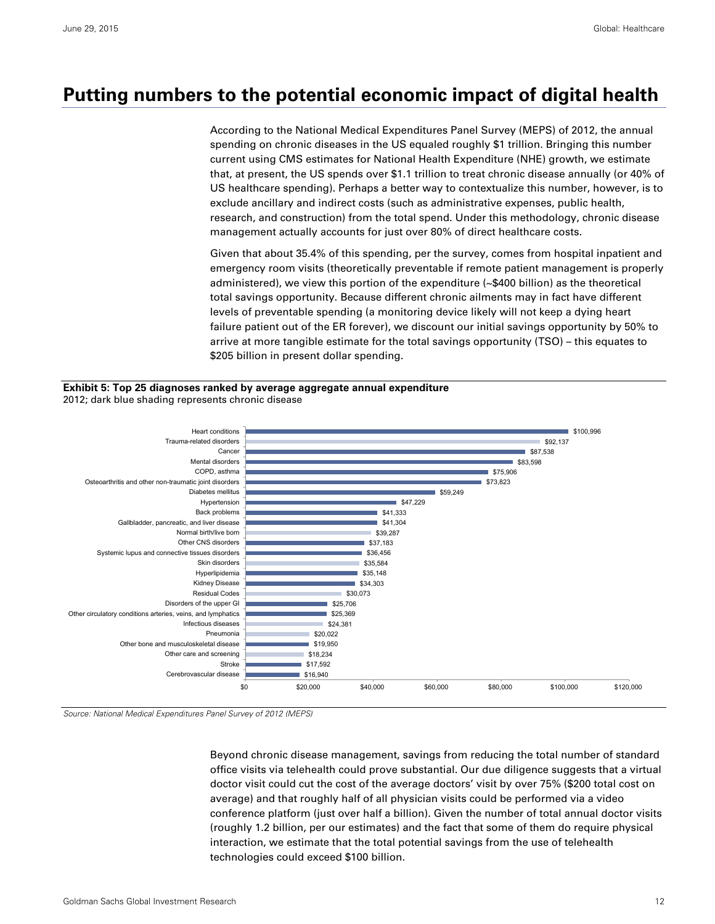## **Putting numbers to the potential economic impact of digital health**

According to the National Medical Expenditures Panel Survey (MEPS) of 2012, the annual spending on chronic diseases in the US equaled roughly \$1 trillion. Bringing this number current using CMS estimates for National Health Expenditure (NHE) growth, we estimate that, at present, the US spends over \$1.1 trillion to treat chronic disease annually (or 40% of US healthcare spending). Perhaps a better way to contextualize this number, however, is to exclude ancillary and indirect costs (such as administrative expenses, public health, research, and construction) from the total spend. Under this methodology, chronic disease management actually accounts for just over 80% of direct healthcare costs.

Given that about 35.4% of this spending, per the survey, comes from hospital inpatient and emergency room visits (theoretically preventable if remote patient management is properly administered), we view this portion of the expenditure (~\$400 billion) as the theoretical total savings opportunity. Because different chronic ailments may in fact have different levels of preventable spending (a monitoring device likely will not keep a dying heart failure patient out of the ER forever), we discount our initial savings opportunity by 50% to arrive at more tangible estimate for the total savings opportunity (TSO) – this equates to \$205 billion in present dollar spending.



2012; dark blue shading represents chronic disease



#### Source: National Medical Expenditures Panel Survey of 2012 (MEPS)

Beyond chronic disease management, savings from reducing the total number of standard office visits via telehealth could prove substantial. Our due diligence suggests that a virtual doctor visit could cut the cost of the average doctors' visit by over 75% (\$200 total cost on average) and that roughly half of all physician visits could be performed via a video conference platform (just over half a billion). Given the number of total annual doctor visits (roughly 1.2 billion, per our estimates) and the fact that some of them do require physical interaction, we estimate that the total potential savings from the use of telehealth technologies could exceed \$100 billion.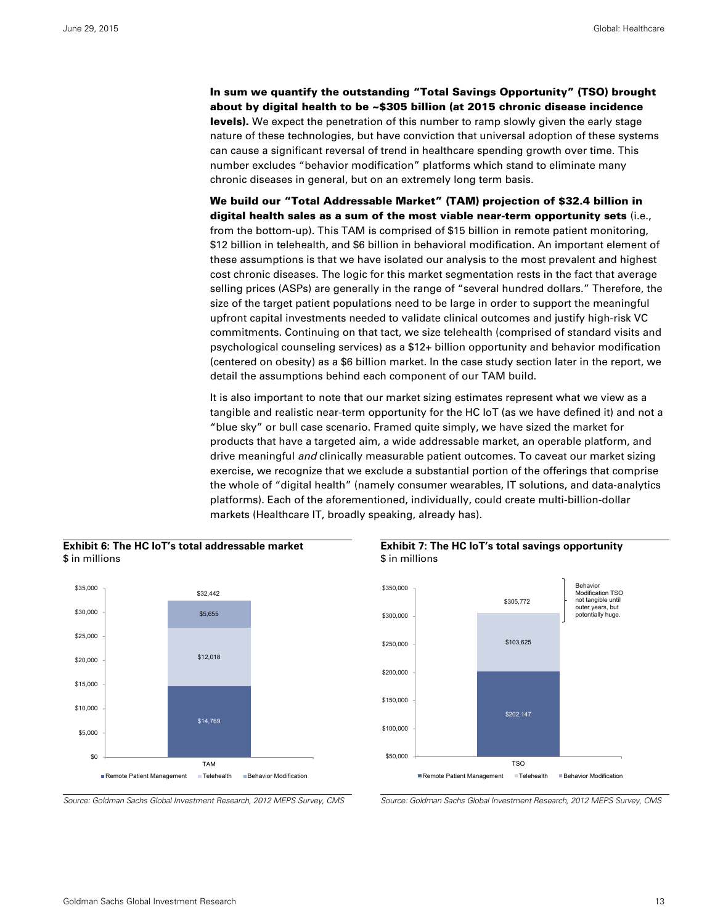In sum we quantify the outstanding "Total Savings Opportunity" (TSO) brought about by digital health to be ~\$305 billion (at 2015 chronic disease incidence levels). We expect the penetration of this number to ramp slowly given the early stage nature of these technologies, but have conviction that universal adoption of these systems can cause a significant reversal of trend in healthcare spending growth over time. This number excludes "behavior modification" platforms which stand to eliminate many chronic diseases in general, but on an extremely long term basis.

We build our "Total Addressable Market" (TAM) projection of \$32.4 billion in digital health sales as a sum of the most viable near-term opportunity sets (i.e., from the bottom-up). This TAM is comprised of \$15 billion in remote patient monitoring, \$12 billion in telehealth, and \$6 billion in behavioral modification. An important element of these assumptions is that we have isolated our analysis to the most prevalent and highest cost chronic diseases. The logic for this market segmentation rests in the fact that average selling prices (ASPs) are generally in the range of "several hundred dollars." Therefore, the size of the target patient populations need to be large in order to support the meaningful upfront capital investments needed to validate clinical outcomes and justify high-risk VC commitments. Continuing on that tact, we size telehealth (comprised of standard visits and psychological counseling services) as a \$12+ billion opportunity and behavior modification (centered on obesity) as a \$6 billion market. In the case study section later in the report, we detail the assumptions behind each component of our TAM build.

It is also important to note that our market sizing estimates represent what we view as a tangible and realistic near-term opportunity for the HC IoT (as we have defined it) and not a "blue sky" or bull case scenario. Framed quite simply, we have sized the market for products that have a targeted aim, a wide addressable market, an operable platform, and drive meaningful and clinically measurable patient outcomes. To caveat our market sizing exercise, we recognize that we exclude a substantial portion of the offerings that comprise the whole of "digital health" (namely consumer wearables, IT solutions, and data-analytics platforms). Each of the aforementioned, individually, could create multi-billion-dollar markets (Healthcare IT, broadly speaking, already has).



**Exhibit 6: The HC IoT's total addressable market** 





Source: Goldman Sachs Global Investment Research, 2012 MEPS Survey, CMS Source: Goldman Sachs Global Investment Research, 2012 MEPS Survey, CMS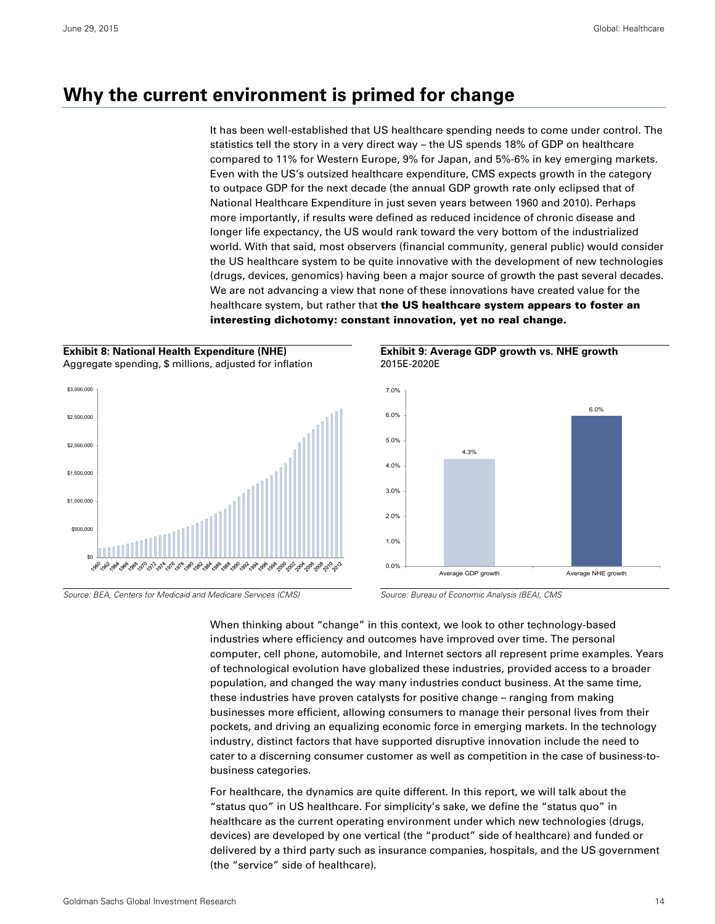## **Why the current environment is primed for change**

It has been well-established that US healthcare spending needs to come under control. The statistics tell the story in a very direct way – the US spends 18% of GDP on healthcare compared to 11% for Western Europe, 9% for Japan, and 5%-6% in key emerging markets. Even with the US's outsized healthcare expenditure, CMS expects growth in the category to outpace GDP for the next decade (the annual GDP growth rate only eclipsed that of National Healthcare Expenditure in just seven years between 1960 and 2010). Perhaps more importantly, if results were defined as reduced incidence of chronic disease and longer life expectancy, the US would rank toward the very bottom of the industrialized world. With that said, most observers (financial community, general public) would consider the US healthcare system to be quite innovative with the development of new technologies (drugs, devices, genomics) having been a major source of growth the past several decades. We are not advancing a view that none of these innovations have created value for the healthcare system, but rather that the US healthcare system appears to foster an interesting dichotomy: constant innovation, yet no real change.

#### **Exhibit 8: National Health Expenditure (NHE)**  Aggregate spending, \$ millions, adjusted for inflation





**Exhibit 9: Average GDP growth vs. NHE growth**  2015E-2020E



When thinking about "change" in this context, we look to other technology-based industries where efficiency and outcomes have improved over time. The personal computer, cell phone, automobile, and Internet sectors all represent prime examples. Years of technological evolution have globalized these industries, provided access to a broader population, and changed the way many industries conduct business. At the same time, these industries have proven catalysts for positive change – ranging from making businesses more efficient, allowing consumers to manage their personal lives from their pockets, and driving an equalizing economic force in emerging markets. In the technology industry, distinct factors that have supported disruptive innovation include the need to cater to a discerning consumer customer as well as competition in the case of business-tobusiness categories.

For healthcare, the dynamics are quite different. In this report, we will talk about the "status quo" in US healthcare. For simplicity's sake, we define the "status quo" in healthcare as the current operating environment under which new technologies (drugs, devices) are developed by one vertical (the "product" side of healthcare) and funded or delivered by a third party such as insurance companies, hospitals, and the US government (the "service" side of healthcare).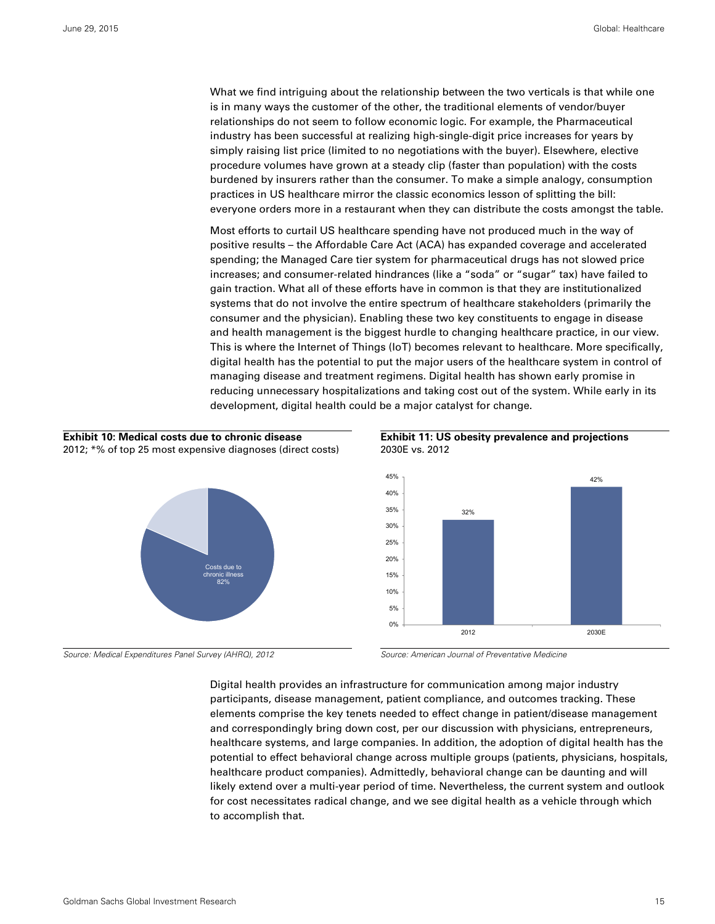What we find intriguing about the relationship between the two verticals is that while one is in many ways the customer of the other, the traditional elements of vendor/buyer relationships do not seem to follow economic logic. For example, the Pharmaceutical industry has been successful at realizing high-single-digit price increases for years by simply raising list price (limited to no negotiations with the buyer). Elsewhere, elective procedure volumes have grown at a steady clip (faster than population) with the costs burdened by insurers rather than the consumer. To make a simple analogy, consumption practices in US healthcare mirror the classic economics lesson of splitting the bill: everyone orders more in a restaurant when they can distribute the costs amongst the table.

Most efforts to curtail US healthcare spending have not produced much in the way of positive results – the Affordable Care Act (ACA) has expanded coverage and accelerated spending; the Managed Care tier system for pharmaceutical drugs has not slowed price increases; and consumer-related hindrances (like a "soda" or "sugar" tax) have failed to gain traction. What all of these efforts have in common is that they are institutionalized systems that do not involve the entire spectrum of healthcare stakeholders (primarily the consumer and the physician). Enabling these two key constituents to engage in disease and health management is the biggest hurdle to changing healthcare practice, in our view. This is where the Internet of Things (IoT) becomes relevant to healthcare. More specifically, digital health has the potential to put the major users of the healthcare system in control of managing disease and treatment regimens. Digital health has shown early promise in reducing unnecessary hospitalizations and taking cost out of the system. While early in its development, digital health could be a major catalyst for change.







Source: Medical Expenditures Panel Survey (AHRQ), 2012 Source: American Journal of Preventative Medicine

Digital health provides an infrastructure for communication among major industry participants, disease management, patient compliance, and outcomes tracking. These elements comprise the key tenets needed to effect change in patient/disease management and correspondingly bring down cost, per our discussion with physicians, entrepreneurs, healthcare systems, and large companies. In addition, the adoption of digital health has the potential to effect behavioral change across multiple groups (patients, physicians, hospitals, healthcare product companies). Admittedly, behavioral change can be daunting and will likely extend over a multi-year period of time. Nevertheless, the current system and outlook for cost necessitates radical change, and we see digital health as a vehicle through which to accomplish that.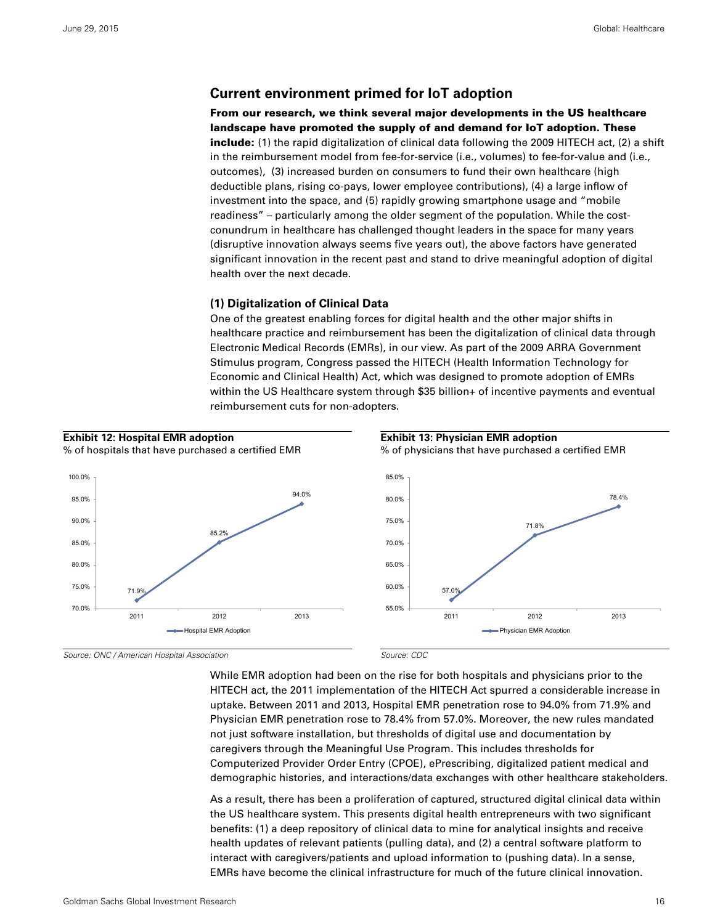## **Current environment primed for IoT adoption**

From our research, we think several major developments in the US healthcare landscape have promoted the supply of and demand for IoT adoption. These include: (1) the rapid digitalization of clinical data following the 2009 HITECH act, (2) a shift in the reimbursement model from fee-for-service (i.e., volumes) to fee-for-value and (i.e., outcomes), (3) increased burden on consumers to fund their own healthcare (high deductible plans, rising co-pays, lower employee contributions), (4) a large inflow of investment into the space, and (5) rapidly growing smartphone usage and "mobile readiness" – particularly among the older segment of the population. While the costconundrum in healthcare has challenged thought leaders in the space for many years (disruptive innovation always seems five years out), the above factors have generated significant innovation in the recent past and stand to drive meaningful adoption of digital health over the next decade.

#### **(1) Digitalization of Clinical Data**

One of the greatest enabling forces for digital health and the other major shifts in healthcare practice and reimbursement has been the digitalization of clinical data through Electronic Medical Records (EMRs), in our view. As part of the 2009 ARRA Government Stimulus program, Congress passed the HITECH (Health Information Technology for Economic and Clinical Health) Act, which was designed to promote adoption of EMRs within the US Healthcare system through \$35 billion+ of incentive payments and eventual reimbursement cuts for non-adopters.



Source: ONC / American Hospital Association Source: CDC

While EMR adoption had been on the rise for both hospitals and physicians prior to the HITECH act, the 2011 implementation of the HITECH Act spurred a considerable increase in uptake. Between 2011 and 2013, Hospital EMR penetration rose to 94.0% from 71.9% and Physician EMR penetration rose to 78.4% from 57.0%. Moreover, the new rules mandated not just software installation, but thresholds of digital use and documentation by caregivers through the Meaningful Use Program. This includes thresholds for Computerized Provider Order Entry (CPOE), ePrescribing, digitalized patient medical and demographic histories, and interactions/data exchanges with other healthcare stakeholders.

As a result, there has been a proliferation of captured, structured digital clinical data within the US healthcare system. This presents digital health entrepreneurs with two significant benefits: (1) a deep repository of clinical data to mine for analytical insights and receive health updates of relevant patients (pulling data), and (2) a central software platform to interact with caregivers/patients and upload information to (pushing data). In a sense, EMRs have become the clinical infrastructure for much of the future clinical innovation.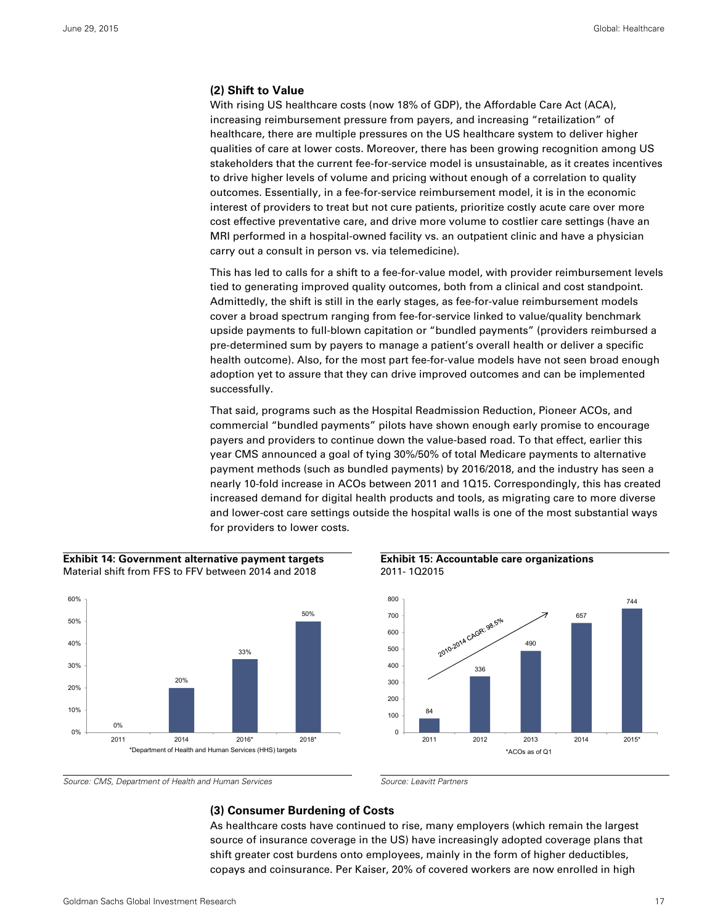#### **(2) Shift to Value**

With rising US healthcare costs (now 18% of GDP), the Affordable Care Act (ACA), increasing reimbursement pressure from payers, and increasing "retailization" of healthcare, there are multiple pressures on the US healthcare system to deliver higher qualities of care at lower costs. Moreover, there has been growing recognition among US stakeholders that the current fee-for-service model is unsustainable, as it creates incentives to drive higher levels of volume and pricing without enough of a correlation to quality outcomes. Essentially, in a fee-for-service reimbursement model, it is in the economic interest of providers to treat but not cure patients, prioritize costly acute care over more cost effective preventative care, and drive more volume to costlier care settings (have an MRI performed in a hospital-owned facility vs. an outpatient clinic and have a physician carry out a consult in person vs. via telemedicine).

This has led to calls for a shift to a fee-for-value model, with provider reimbursement levels tied to generating improved quality outcomes, both from a clinical and cost standpoint. Admittedly, the shift is still in the early stages, as fee-for-value reimbursement models cover a broad spectrum ranging from fee-for-service linked to value/quality benchmark upside payments to full-blown capitation or "bundled payments" (providers reimbursed a pre-determined sum by payers to manage a patient's overall health or deliver a specific health outcome). Also, for the most part fee-for-value models have not seen broad enough adoption yet to assure that they can drive improved outcomes and can be implemented successfully.

That said, programs such as the Hospital Readmission Reduction, Pioneer ACOs, and commercial "bundled payments" pilots have shown enough early promise to encourage payers and providers to continue down the value-based road. To that effect, earlier this year CMS announced a goal of tying 30%/50% of total Medicare payments to alternative payment methods (such as bundled payments) by 2016/2018, and the industry has seen a nearly 10-fold increase in ACOs between 2011 and 1Q15. Correspondingly, this has created increased demand for digital health products and tools, as migrating care to more diverse and lower-cost care settings outside the hospital walls is one of the most substantial ways for providers to lower costs.



#### **Exhibit 14: Government alternative payment targets**  Material shift from FFS to FFV between 2014 and 2018





Source: CMS, Department of Health and Human Services Source: Leavitt Partners

#### **(3) Consumer Burdening of Costs**

As healthcare costs have continued to rise, many employers (which remain the largest source of insurance coverage in the US) have increasingly adopted coverage plans that shift greater cost burdens onto employees, mainly in the form of higher deductibles, copays and coinsurance. Per Kaiser, 20% of covered workers are now enrolled in high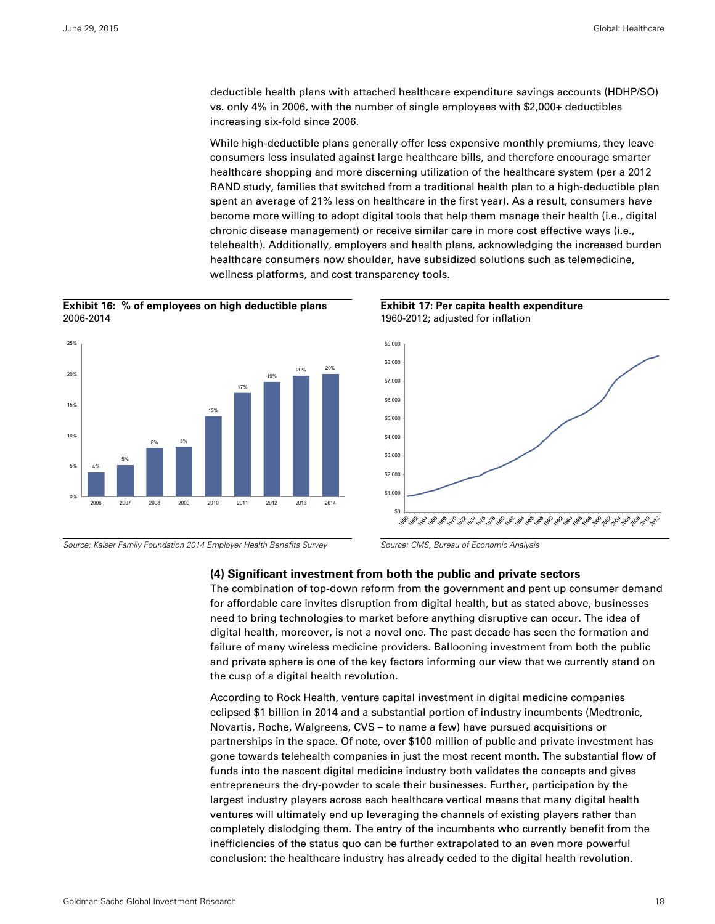deductible health plans with attached healthcare expenditure savings accounts (HDHP/SO) vs. only 4% in 2006, with the number of single employees with \$2,000+ deductibles increasing six-fold since 2006.

While high-deductible plans generally offer less expensive monthly premiums, they leave consumers less insulated against large healthcare bills, and therefore encourage smarter healthcare shopping and more discerning utilization of the healthcare system (per a 2012 RAND study, families that switched from a traditional health plan to a high-deductible plan spent an average of 21% less on healthcare in the first year). As a result, consumers have become more willing to adopt digital tools that help them manage their health (i.e., digital chronic disease management) or receive similar care in more cost effective ways (i.e., telehealth). Additionally, employers and health plans, acknowledging the increased burden healthcare consumers now shoulder, have subsidized solutions such as telemedicine, wellness platforms, and cost transparency tools.

**Exhibit 16: % of employees on high deductible plans**  2006-2014











#### **(4) Significant investment from both the public and private sectors**

The combination of top-down reform from the government and pent up consumer demand for affordable care invites disruption from digital health, but as stated above, businesses need to bring technologies to market before anything disruptive can occur. The idea of digital health, moreover, is not a novel one. The past decade has seen the formation and failure of many wireless medicine providers. Ballooning investment from both the public and private sphere is one of the key factors informing our view that we currently stand on the cusp of a digital health revolution.

According to Rock Health, venture capital investment in digital medicine companies eclipsed \$1 billion in 2014 and a substantial portion of industry incumbents (Medtronic, Novartis, Roche, Walgreens, CVS – to name a few) have pursued acquisitions or partnerships in the space. Of note, over \$100 million of public and private investment has gone towards telehealth companies in just the most recent month. The substantial flow of funds into the nascent digital medicine industry both validates the concepts and gives entrepreneurs the dry-powder to scale their businesses. Further, participation by the largest industry players across each healthcare vertical means that many digital health ventures will ultimately end up leveraging the channels of existing players rather than completely dislodging them. The entry of the incumbents who currently benefit from the inefficiencies of the status quo can be further extrapolated to an even more powerful conclusion: the healthcare industry has already ceded to the digital health revolution.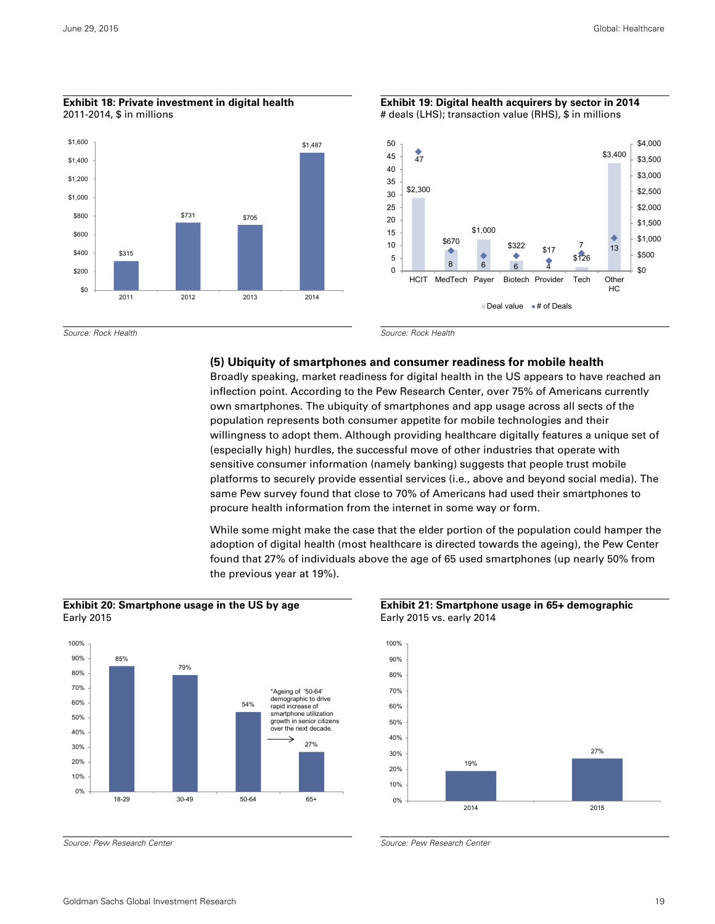

#### **Exhibit 18: Private investment in digital health**  2011-2014, \$ in millions

Source: Rock Health Source: Rock Health Source: Rock Health Source: Rock Health Source: Rock Health

## **(5) Ubiquity of smartphones and consumer readiness for mobile health**

Broadly speaking, market readiness for digital health in the US appears to have reached an inflection point. According to the Pew Research Center, over 75% of Americans currently own smartphones. The ubiquity of smartphones and app usage across all sects of the population represents both consumer appetite for mobile technologies and their willingness to adopt them. Although providing healthcare digitally features a unique set of (especially high) hurdles, the successful move of other industries that operate with sensitive consumer information (namely banking) suggests that people trust mobile platforms to securely provide essential services (i.e., above and beyond social media). The same Pew survey found that close to 70% of Americans had used their smartphones to procure health information from the internet in some way or form.

While some might make the case that the elder portion of the population could hamper the adoption of digital health (most healthcare is directed towards the ageing), the Pew Center found that 27% of individuals above the age of 65 used smartphones (up nearly 50% from the previous year at 19%).



**Exhibit 21: Smartphone usage in 65+ demographic**  Early 2015 vs. early 2014



Source: Pew Research Center Source: Pew Research Center Source: Pew Research Center

**Exhibit 19: Digital health acquirers by sector in 2014**  # deals (LHS); transaction value (RHS), \$ in millions

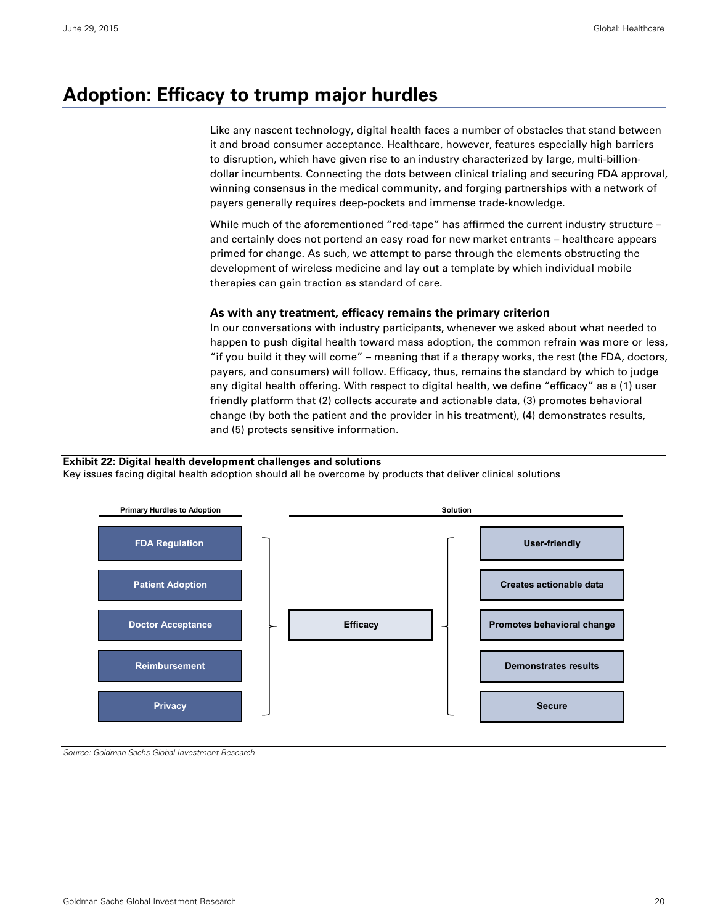## **Adoption: Efficacy to trump major hurdles**

Like any nascent technology, digital health faces a number of obstacles that stand between it and broad consumer acceptance. Healthcare, however, features especially high barriers to disruption, which have given rise to an industry characterized by large, multi-billiondollar incumbents. Connecting the dots between clinical trialing and securing FDA approval, winning consensus in the medical community, and forging partnerships with a network of payers generally requires deep-pockets and immense trade-knowledge.

While much of the aforementioned "red-tape" has affirmed the current industry structure and certainly does not portend an easy road for new market entrants – healthcare appears primed for change. As such, we attempt to parse through the elements obstructing the development of wireless medicine and lay out a template by which individual mobile therapies can gain traction as standard of care.

#### **As with any treatment, efficacy remains the primary criterion**

In our conversations with industry participants, whenever we asked about what needed to happen to push digital health toward mass adoption, the common refrain was more or less, "if you build it they will come" – meaning that if a therapy works, the rest (the FDA, doctors, payers, and consumers) will follow. Efficacy, thus, remains the standard by which to judge any digital health offering. With respect to digital health, we define "efficacy" as a (1) user friendly platform that (2) collects accurate and actionable data, (3) promotes behavioral change (by both the patient and the provider in his treatment), (4) demonstrates results, and (5) protects sensitive information.

#### **Exhibit 22: Digital health development challenges and solutions**

Key issues facing digital health adoption should all be overcome by products that deliver clinical solutions



Source: Goldman Sachs Global Investment Research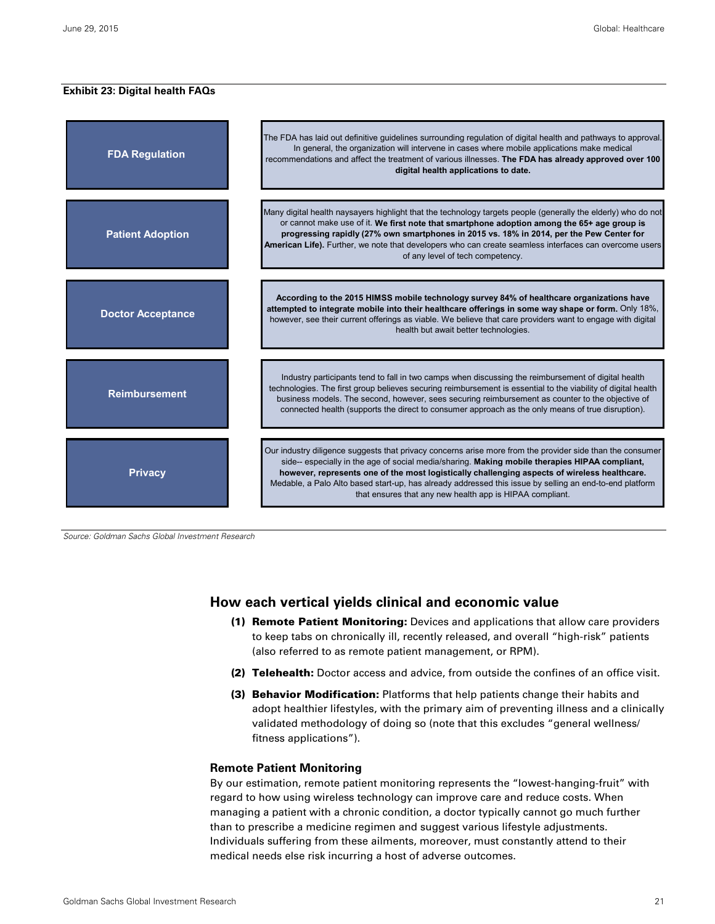#### **Exhibit 23: Digital health FAQs**



Source: Goldman Sachs Global Investment Research

## **How each vertical yields clinical and economic value**

- (1) Remote Patient Monitoring: Devices and applications that allow care providers to keep tabs on chronically ill, recently released, and overall "high-risk" patients (also referred to as remote patient management, or RPM).
- (2) Telehealth: Doctor access and advice, from outside the confines of an office visit.
- (3) Behavior Modification: Platforms that help patients change their habits and adopt healthier lifestyles, with the primary aim of preventing illness and a clinically validated methodology of doing so (note that this excludes "general wellness/ fitness applications").

#### **Remote Patient Monitoring**

By our estimation, remote patient monitoring represents the "lowest-hanging-fruit" with regard to how using wireless technology can improve care and reduce costs. When managing a patient with a chronic condition, a doctor typically cannot go much further than to prescribe a medicine regimen and suggest various lifestyle adjustments. Individuals suffering from these ailments, moreover, must constantly attend to their medical needs else risk incurring a host of adverse outcomes.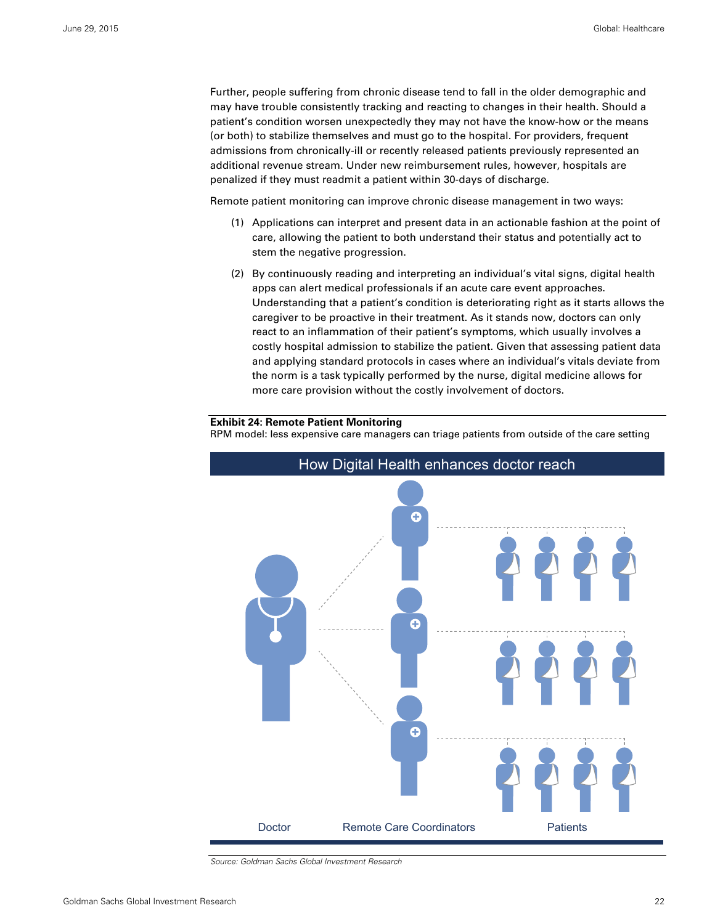Further, people suffering from chronic disease tend to fall in the older demographic and may have trouble consistently tracking and reacting to changes in their health. Should a patient's condition worsen unexpectedly they may not have the know-how or the means (or both) to stabilize themselves and must go to the hospital. For providers, frequent admissions from chronically-ill or recently released patients previously represented an additional revenue stream. Under new reimbursement rules, however, hospitals are penalized if they must readmit a patient within 30-days of discharge.

Remote patient monitoring can improve chronic disease management in two ways:

- (1) Applications can interpret and present data in an actionable fashion at the point of care, allowing the patient to both understand their status and potentially act to stem the negative progression.
- (2) By continuously reading and interpreting an individual's vital signs, digital health apps can alert medical professionals if an acute care event approaches. Understanding that a patient's condition is deteriorating right as it starts allows the caregiver to be proactive in their treatment. As it stands now, doctors can only react to an inflammation of their patient's symptoms, which usually involves a costly hospital admission to stabilize the patient. Given that assessing patient data and applying standard protocols in cases where an individual's vitals deviate from the norm is a task typically performed by the nurse, digital medicine allows for more care provision without the costly involvement of doctors.

#### **Exhibit 24: Remote Patient Monitoring**

RPM model: less expensive care managers can triage patients from outside of the care setting



Source: Goldman Sachs Global Investment Research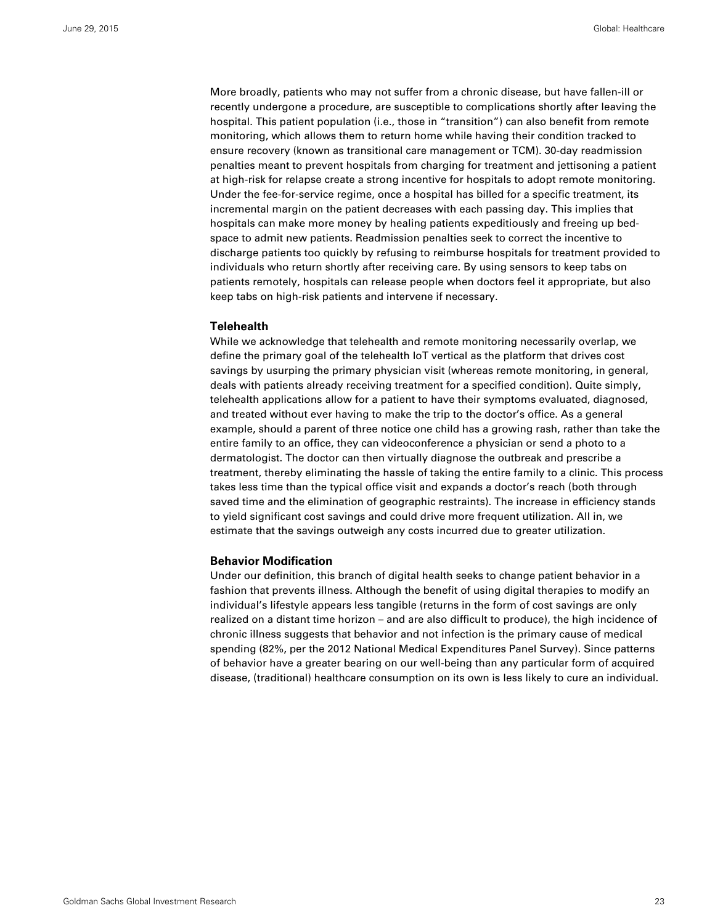More broadly, patients who may not suffer from a chronic disease, but have fallen-ill or recently undergone a procedure, are susceptible to complications shortly after leaving the hospital. This patient population (i.e., those in "transition") can also benefit from remote monitoring, which allows them to return home while having their condition tracked to ensure recovery (known as transitional care management or TCM). 30-day readmission penalties meant to prevent hospitals from charging for treatment and jettisoning a patient at high-risk for relapse create a strong incentive for hospitals to adopt remote monitoring. Under the fee-for-service regime, once a hospital has billed for a specific treatment, its incremental margin on the patient decreases with each passing day. This implies that hospitals can make more money by healing patients expeditiously and freeing up bedspace to admit new patients. Readmission penalties seek to correct the incentive to discharge patients too quickly by refusing to reimburse hospitals for treatment provided to individuals who return shortly after receiving care. By using sensors to keep tabs on patients remotely, hospitals can release people when doctors feel it appropriate, but also keep tabs on high-risk patients and intervene if necessary.

#### **Telehealth**

While we acknowledge that telehealth and remote monitoring necessarily overlap, we define the primary goal of the telehealth IoT vertical as the platform that drives cost savings by usurping the primary physician visit (whereas remote monitoring, in general, deals with patients already receiving treatment for a specified condition). Quite simply, telehealth applications allow for a patient to have their symptoms evaluated, diagnosed, and treated without ever having to make the trip to the doctor's office. As a general example, should a parent of three notice one child has a growing rash, rather than take the entire family to an office, they can videoconference a physician or send a photo to a dermatologist. The doctor can then virtually diagnose the outbreak and prescribe a treatment, thereby eliminating the hassle of taking the entire family to a clinic. This process takes less time than the typical office visit and expands a doctor's reach (both through saved time and the elimination of geographic restraints). The increase in efficiency stands to yield significant cost savings and could drive more frequent utilization. All in, we estimate that the savings outweigh any costs incurred due to greater utilization.

#### **Behavior Modification**

Under our definition, this branch of digital health seeks to change patient behavior in a fashion that prevents illness. Although the benefit of using digital therapies to modify an individual's lifestyle appears less tangible (returns in the form of cost savings are only realized on a distant time horizon – and are also difficult to produce), the high incidence of chronic illness suggests that behavior and not infection is the primary cause of medical spending (82%, per the 2012 National Medical Expenditures Panel Survey). Since patterns of behavior have a greater bearing on our well-being than any particular form of acquired disease, (traditional) healthcare consumption on its own is less likely to cure an individual.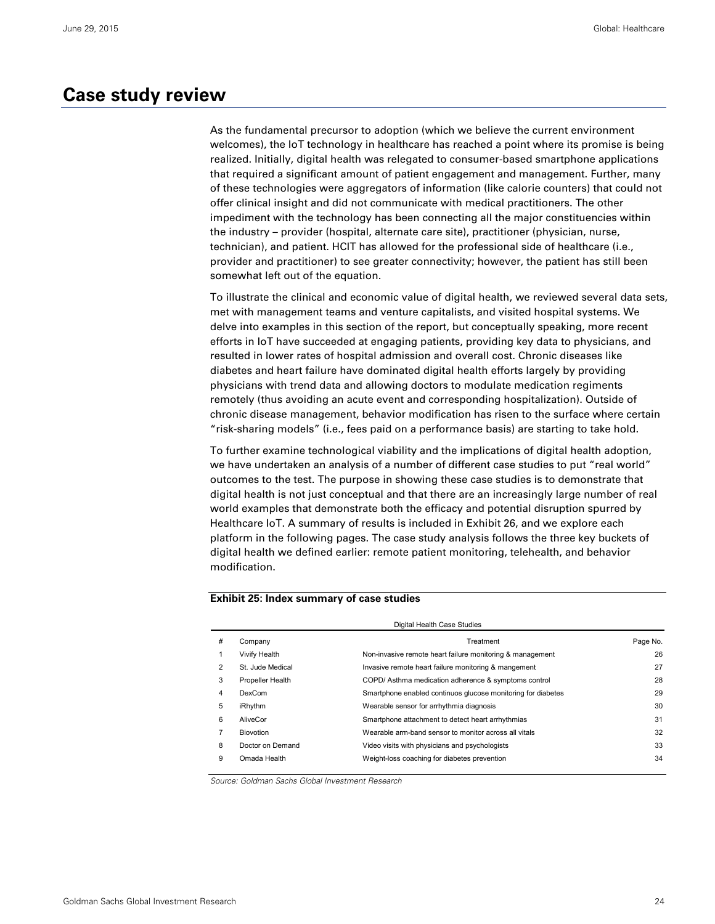## **Case study review**

As the fundamental precursor to adoption (which we believe the current environment welcomes), the IoT technology in healthcare has reached a point where its promise is being realized. Initially, digital health was relegated to consumer-based smartphone applications that required a significant amount of patient engagement and management. Further, many of these technologies were aggregators of information (like calorie counters) that could not offer clinical insight and did not communicate with medical practitioners. The other impediment with the technology has been connecting all the major constituencies within the industry – provider (hospital, alternate care site), practitioner (physician, nurse, technician), and patient. HCIT has allowed for the professional side of healthcare (i.e., provider and practitioner) to see greater connectivity; however, the patient has still been somewhat left out of the equation.

To illustrate the clinical and economic value of digital health, we reviewed several data sets, met with management teams and venture capitalists, and visited hospital systems. We delve into examples in this section of the report, but conceptually speaking, more recent efforts in IoT have succeeded at engaging patients, providing key data to physicians, and resulted in lower rates of hospital admission and overall cost. Chronic diseases like diabetes and heart failure have dominated digital health efforts largely by providing physicians with trend data and allowing doctors to modulate medication regiments remotely (thus avoiding an acute event and corresponding hospitalization). Outside of chronic disease management, behavior modification has risen to the surface where certain "risk-sharing models" (i.e., fees paid on a performance basis) are starting to take hold.

To further examine technological viability and the implications of digital health adoption, we have undertaken an analysis of a number of different case studies to put "real world" outcomes to the test. The purpose in showing these case studies is to demonstrate that digital health is not just conceptual and that there are an increasingly large number of real world examples that demonstrate both the efficacy and potential disruption spurred by Healthcare IoT. A summary of results is included in Exhibit 26, and we explore each platform in the following pages. The case study analysis follows the three key buckets of digital health we defined earlier: remote patient monitoring, telehealth, and behavior modification.

| <b>Exhibit 25: Index summary of case studies</b> |  |  |
|--------------------------------------------------|--|--|
|--------------------------------------------------|--|--|

|   | Digital Health Case Studies |                                                              |          |  |  |
|---|-----------------------------|--------------------------------------------------------------|----------|--|--|
| # | Company                     | Treatment                                                    | Page No. |  |  |
|   | Vivify Health               | Non-invasive remote heart failure monitoring & management    | 26       |  |  |
| 2 | St. Jude Medical            | Invasive remote heart failure monitoring & mangement         | 27       |  |  |
| 3 | Propeller Health            | COPD/ Asthma medication adherence & symptoms control         | 28       |  |  |
| 4 | <b>DexCom</b>               | Smartphone enabled continuos glucose monitoring for diabetes | 29       |  |  |
| 5 | iRhythm                     | Wearable sensor for arrhythmia diagnosis                     | 30       |  |  |
| 6 | AliveCor                    | Smartphone attachment to detect heart arrhythmias            | 31       |  |  |
|   | <b>Biovotion</b>            | Wearable arm-band sensor to monitor across all vitals        | 32       |  |  |
| 8 | Doctor on Demand            | Video visits with physicians and psychologists               | 33       |  |  |
| 9 | Omada Health                | Weight-loss coaching for diabetes prevention                 | 34       |  |  |

Source: Goldman Sachs Global Investment Research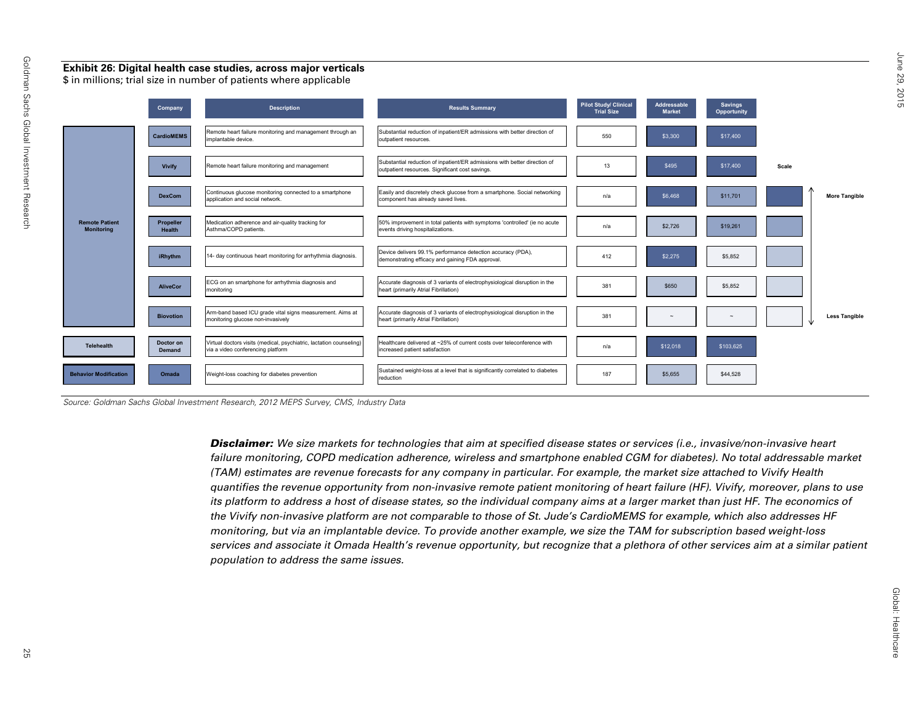|                                            | Company             | <b>Description</b>                                                                                       | <b>Results Summary</b>                                                                                                                                                                                                                                                                                                                                                                                                                                                                                                                                                                                                                                                                                                                                                                                                                                                                                                                           | <b>Pilot Study/ Clinical</b><br><b>Trial Size</b> | Addressable<br><b>Market</b> | <b>Savings</b><br>Opportunity |       |                      |
|--------------------------------------------|---------------------|----------------------------------------------------------------------------------------------------------|--------------------------------------------------------------------------------------------------------------------------------------------------------------------------------------------------------------------------------------------------------------------------------------------------------------------------------------------------------------------------------------------------------------------------------------------------------------------------------------------------------------------------------------------------------------------------------------------------------------------------------------------------------------------------------------------------------------------------------------------------------------------------------------------------------------------------------------------------------------------------------------------------------------------------------------------------|---------------------------------------------------|------------------------------|-------------------------------|-------|----------------------|
|                                            | <b>CardioMEMS</b>   | emote heart failure monitoring and management through an<br>nplantable device.                           | ubstantial reduction of inpatient/ER admissions with better direction of<br>utpatient resources                                                                                                                                                                                                                                                                                                                                                                                                                                                                                                                                                                                                                                                                                                                                                                                                                                                  | 550                                               | \$3,300                      | \$17,400                      |       |                      |
|                                            | Vivify              | Remote heart failure monitoring and management                                                           | Substantial reduction of inpatient/ER admissions with better direction of<br>utpatient resources. Significant cost savings.                                                                                                                                                                                                                                                                                                                                                                                                                                                                                                                                                                                                                                                                                                                                                                                                                      | 13                                                | \$495                        | \$17,400                      | Scale |                      |
|                                            | <b>DexCom</b>       | Continuous glucose monitoring connected to a smartphone<br>spplication and social network.               | Easily and discretely check glucose from a smartphone. Social networking<br>omponent has already saved lives.                                                                                                                                                                                                                                                                                                                                                                                                                                                                                                                                                                                                                                                                                                                                                                                                                                    | n/a                                               | \$6,468                      | \$11,701                      |       | <b>More Tangible</b> |
| <b>Remote Patient</b><br><b>Monitoring</b> | Propeller<br>Health | Medication adherence and air-quality tracking for<br>Asthma/COPD patients                                | 50% improvement in total patients with symptoms 'controlled' (ie no acute<br>vents driving hospitalizations.                                                                                                                                                                                                                                                                                                                                                                                                                                                                                                                                                                                                                                                                                                                                                                                                                                     | n/a                                               | \$2,726                      | \$19,261                      |       |                      |
|                                            | <b>iRhythm</b>      | 14- day continuous heart monitoring for arrhythmia diagnosis.                                            | Device delivers 99.1% performance detection accuracy (PDA),<br>emonstrating efficacy and gaining FDA approval.                                                                                                                                                                                                                                                                                                                                                                                                                                                                                                                                                                                                                                                                                                                                                                                                                                   | 412                                               | \$2,275                      | \$5,852                       |       |                      |
|                                            | AliveCor            | ECG on an smartphone for arrhythmia diagnosis and<br>nonitorina                                          | Accurate diagnosis of 3 variants of electrophysiological disruption in the<br>eart (primarily Atrial Fibrillation)                                                                                                                                                                                                                                                                                                                                                                                                                                                                                                                                                                                                                                                                                                                                                                                                                               | 381                                               | \$650                        | \$5,852                       |       |                      |
|                                            | <b>Biovotion</b>    | Arm-band based ICU grade vital signs measurement. Aims at<br>nonitoring glucose non-invasively           | Accurate diagnosis of 3 variants of electrophysiological disruption in the<br>eart (primarily Atrial Fibrillation)                                                                                                                                                                                                                                                                                                                                                                                                                                                                                                                                                                                                                                                                                                                                                                                                                               | 381                                               |                              |                               |       | <b>Less Tangible</b> |
| <b>Telehealth</b>                          | Doctor on<br>Demand | Virtual doctors visits (medical, psychiatric, lactation counseling)<br>via a video conferencing platform | lealthcare delivered at ~25% of current costs over teleconference with<br>ncreased patient satisfaction                                                                                                                                                                                                                                                                                                                                                                                                                                                                                                                                                                                                                                                                                                                                                                                                                                          | n/a                                               | \$12,018                     | \$103,625                     |       |                      |
| <b>Behavior Modification</b>               | Omada               | Weight-loss coaching for diabetes prevention                                                             | Sustained weight-loss at a level that is significantly correlated to diabetes<br>reduction                                                                                                                                                                                                                                                                                                                                                                                                                                                                                                                                                                                                                                                                                                                                                                                                                                                       | 187                                               | \$5,655                      | \$44,528                      |       |                      |
|                                            |                     | Source: Goldman Sachs Global Investment Research, 2012 MEPS Survey, CMS, Industry Data                   |                                                                                                                                                                                                                                                                                                                                                                                                                                                                                                                                                                                                                                                                                                                                                                                                                                                                                                                                                  |                                                   |                              |                               |       |                      |
|                                            |                     |                                                                                                          | <b>Disclaimer:</b> We size markets for technologies that aim at specified disease states or services (i.e., invasive/non-invasive heart<br>failure monitoring, COPD medication adherence, wireless and smartphone enabled CGM for diabetes). No total addressable market<br>(TAM) estimates are revenue forecasts for any company in particular. For example, the market size attached to Vivify Health<br>quantifies the revenue opportunity from non-invasive remote patient monitoring of heart failure (HF). Vivify, moreover, plans to use<br>its platform to address a host of disease states, so the individual company aims at a larger market than just HF. The economics of<br>the Vivify non-invasive platform are not comparable to those of St. Jude's CardioMEMS for example, which also addresses HF<br>monitoring, but via an implantable device. To provide another example, we size the TAM for subscription based weight-loss |                                                   |                              |                               |       |                      |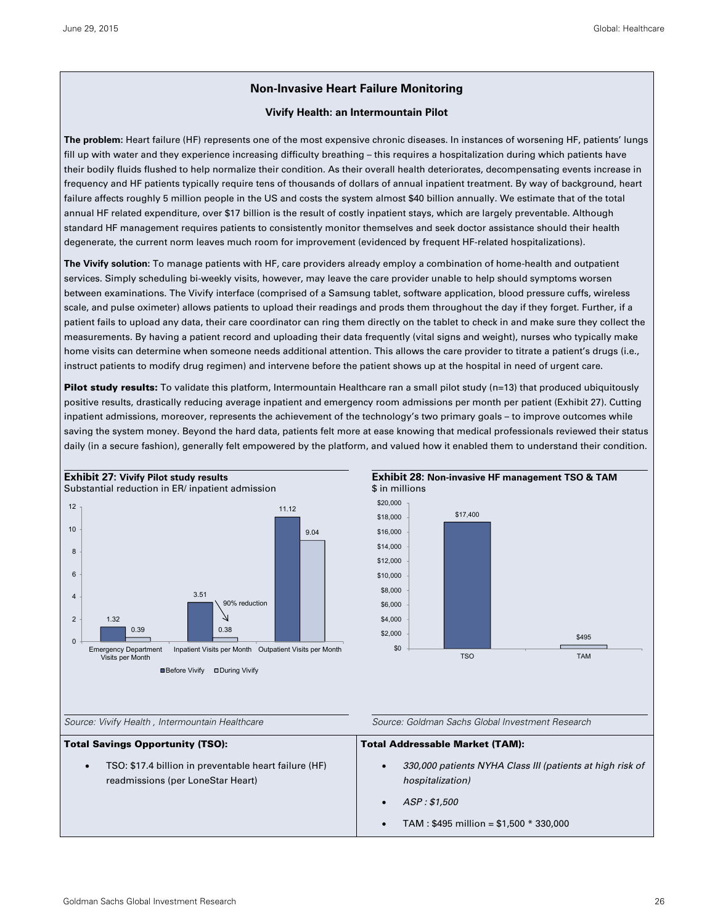### **Non-Invasive Heart Failure Monitoring**

#### **Vivify Health: an Intermountain Pilot**

**The problem:** Heart failure (HF) represents one of the most expensive chronic diseases. In instances of worsening HF, patients' lungs fill up with water and they experience increasing difficulty breathing – this requires a hospitalization during which patients have their bodily fluids flushed to help normalize their condition. As their overall health deteriorates, decompensating events increase in frequency and HF patients typically require tens of thousands of dollars of annual inpatient treatment. By way of background, heart failure affects roughly 5 million people in the US and costs the system almost \$40 billion annually. We estimate that of the total annual HF related expenditure, over \$17 billion is the result of costly inpatient stays, which are largely preventable. Although standard HF management requires patients to consistently monitor themselves and seek doctor assistance should their health degenerate, the current norm leaves much room for improvement (evidenced by frequent HF-related hospitalizations).

**The Vivify solution:** To manage patients with HF, care providers already employ a combination of home-health and outpatient services. Simply scheduling bi-weekly visits, however, may leave the care provider unable to help should symptoms worsen between examinations. The Vivify interface (comprised of a Samsung tablet, software application, blood pressure cuffs, wireless scale, and pulse oximeter) allows patients to upload their readings and prods them throughout the day if they forget. Further, if a patient fails to upload any data, their care coordinator can ring them directly on the tablet to check in and make sure they collect the measurements. By having a patient record and uploading their data frequently (vital signs and weight), nurses who typically make home visits can determine when someone needs additional attention. This allows the care provider to titrate a patient's drugs (i.e., instruct patients to modify drug regimen) and intervene before the patient shows up at the hospital in need of urgent care.

Pilot study results: To validate this platform, Intermountain Healthcare ran a small pilot study (n=13) that produced ubiquitously positive results, drastically reducing average inpatient and emergency room admissions per month per patient (Exhibit 27). Cutting inpatient admissions, moreover, represents the achievement of the technology's two primary goals – to improve outcomes while saving the system money. Beyond the hard data, patients felt more at ease knowing that medical professionals reviewed their status daily (in a secure fashion), generally felt empowered by the platform, and valued how it enabled them to understand their condition.





- TSO: \$17.4 billion in preventable heart failure (HF) readmissions (per LoneStar Heart)
- 330,000 patients NYHA Class III (patients at high risk of hospitalization)
- ASP : \$1,500
- TAM : \$495 million = \$1,500 \* 330,000

Total Savings Opportunity (TSO):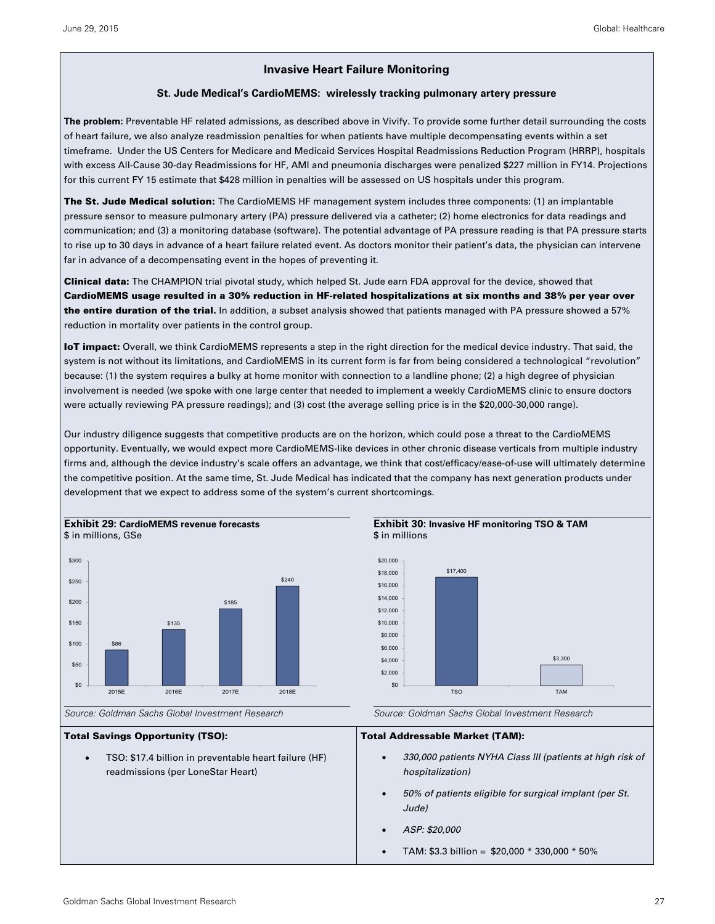### **Invasive Heart Failure Monitoring**

#### **St. Jude Medical's CardioMEMS: wirelessly tracking pulmonary artery pressure**

**The problem:** Preventable HF related admissions, as described above in Vivify. To provide some further detail surrounding the costs of heart failure, we also analyze readmission penalties for when patients have multiple decompensating events within a set timeframe. Under the US Centers for Medicare and Medicaid Services Hospital Readmissions Reduction Program (HRRP), hospitals with excess All-Cause 30-day Readmissions for HF, AMI and pneumonia discharges were penalized \$227 million in FY14. Projections for this current FY 15 estimate that \$428 million in penalties will be assessed on US hospitals under this program.

The St. Jude Medical solution: The CardioMEMS HF management system includes three components: (1) an implantable pressure sensor to measure pulmonary artery (PA) pressure delivered via a catheter; (2) home electronics for data readings and communication; and (3) a monitoring database (software). The potential advantage of PA pressure reading is that PA pressure starts to rise up to 30 days in advance of a heart failure related event. As doctors monitor their patient's data, the physician can intervene far in advance of a decompensating event in the hopes of preventing it.

Clinical data: The CHAMPION trial pivotal study, which helped St. Jude earn FDA approval for the device, showed that CardioMEMS usage resulted in a 30% reduction in HF-related hospitalizations at six months and 38% per year over the entire duration of the trial. In addition, a subset analysis showed that patients managed with PA pressure showed a 57% reduction in mortality over patients in the control group.

IoT impact: Overall, we think CardioMEMS represents a step in the right direction for the medical device industry. That said, the system is not without its limitations, and CardioMEMS in its current form is far from being considered a technological "revolution" because: (1) the system requires a bulky at home monitor with connection to a landline phone; (2) a high degree of physician involvement is needed (we spoke with one large center that needed to implement a weekly CardioMEMS clinic to ensure doctors were actually reviewing PA pressure readings); and (3) cost (the average selling price is in the \$20,000-30,000 range).

Our industry diligence suggests that competitive products are on the horizon, which could pose a threat to the CardioMEMS opportunity. Eventually, we would expect more CardioMEMS-like devices in other chronic disease verticals from multiple industry firms and, although the device industry's scale offers an advantage, we think that cost/efficacy/ease-of-use will ultimately determine the competitive position. At the same time, St. Jude Medical has indicated that the company has next generation products under development that we expect to address some of the system's current shortcomings.







Source: Goldman Sachs Global Investment Research Source: Goldman Sachs Global Investment Research

#### Total Savings Opportunity (TSO):

 TSO: \$17.4 billion in preventable heart failure (HF) readmissions (per LoneStar Heart)

#### Total Addressable Market (TAM):

- 330,000 patients NYHA Class III (patients at high risk of hospitalization)
- 50% of patients eligible for surgical implant (per St. Jude)
- ASP: \$20,000
- TAM: \$3.3 billion = \$20,000 \* 330,000 \* 50%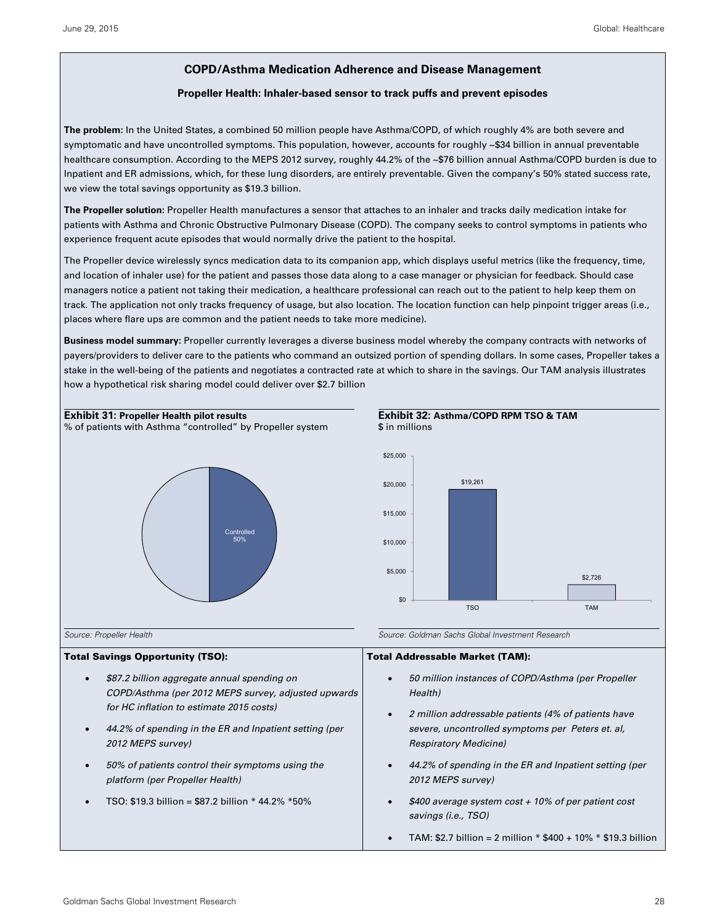#### **COPD/Asthma Medication Adherence and Disease Management**

#### **Propeller Health: Inhaler-based sensor to track puffs and prevent episodes**

**The problem:** In the United States, a combined 50 million people have Asthma/COPD, of which roughly 4% are both severe and symptomatic and have uncontrolled symptoms. This population, however, accounts for roughly ~\$34 billion in annual preventable healthcare consumption. According to the MEPS 2012 survey, roughly 44.2% of the ~\$76 billion annual Asthma/COPD burden is due to Inpatient and ER admissions, which, for these lung disorders, are entirely preventable. Given the company's 50% stated success rate, we view the total savings opportunity as \$19.3 billion.

**The Propeller solution:** Propeller Health manufactures a sensor that attaches to an inhaler and tracks daily medication intake for patients with Asthma and Chronic Obstructive Pulmonary Disease (COPD). The company seeks to control symptoms in patients who experience frequent acute episodes that would normally drive the patient to the hospital.

The Propeller device wirelessly syncs medication data to its companion app, which displays useful metrics (like the frequency, time, and location of inhaler use) for the patient and passes those data along to a case manager or physician for feedback. Should case managers notice a patient not taking their medication, a healthcare professional can reach out to the patient to help keep them on track. The application not only tracks frequency of usage, but also location. The location function can help pinpoint trigger areas (i.e., places where flare ups are common and the patient needs to take more medicine).

**Business model summary:** Propeller currently leverages a diverse business model whereby the company contracts with networks of payers/providers to deliver care to the patients who command an outsized portion of spending dollars. In some cases, Propeller takes a stake in the well-being of the patients and negotiates a contracted rate at which to share in the savings. Our TAM analysis illustrates how a hypothetical risk sharing model could deliver over \$2.7 billion

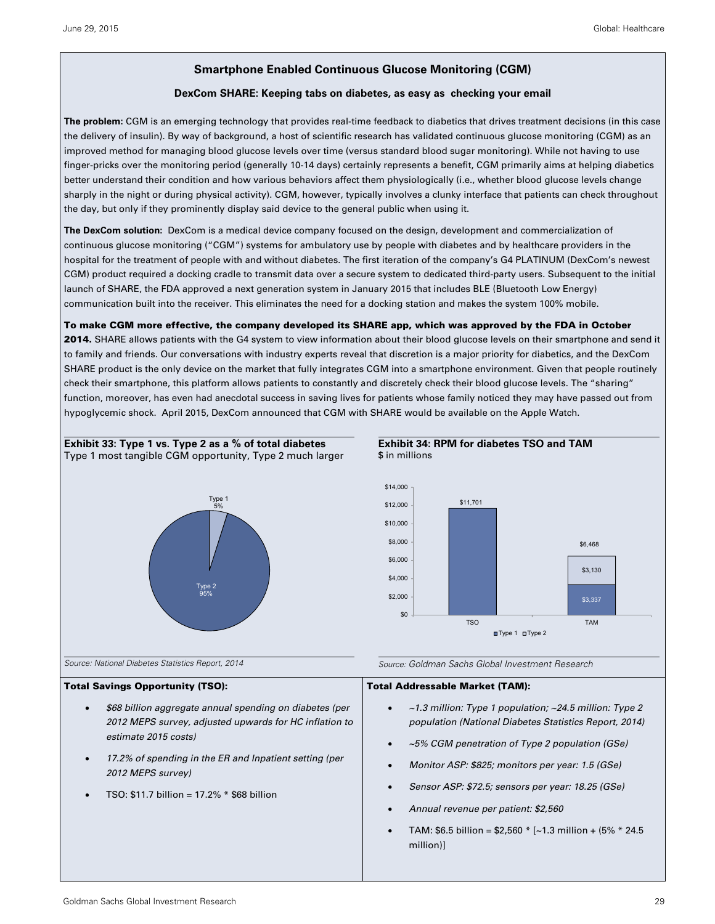#### **Smartphone Enabled Continuous Glucose Monitoring (CGM)**

#### **DexCom SHARE: Keeping tabs on diabetes, as easy as checking your email**

**The problem:** CGM is an emerging technology that provides real-time feedback to diabetics that drives treatment decisions (in this case the delivery of insulin). By way of background, a host of scientific research has validated continuous glucose monitoring (CGM) as an improved method for managing blood glucose levels over time (versus standard blood sugar monitoring). While not having to use finger-pricks over the monitoring period (generally 10-14 days) certainly represents a benefit, CGM primarily aims at helping diabetics better understand their condition and how various behaviors affect them physiologically (i.e., whether blood glucose levels change sharply in the night or during physical activity). CGM, however, typically involves a clunky interface that patients can check throughout the day, but only if they prominently display said device to the general public when using it.

**The DexCom solution:** DexCom is a medical device company focused on the design, development and commercialization of continuous glucose monitoring ("CGM") systems for ambulatory use by people with diabetes and by healthcare providers in the hospital for the treatment of people with and without diabetes. The first iteration of the company's G4 PLATINUM (DexCom's newest CGM) product required a docking cradle to transmit data over a secure system to dedicated third-party users. Subsequent to the initial launch of SHARE, the FDA approved a next generation system in January 2015 that includes BLE (Bluetooth Low Energy) communication built into the receiver. This eliminates the need for a docking station and makes the system 100% mobile.

#### To make CGM more effective, the company developed its SHARE app, which was approved by the FDA in October

2014. SHARE allows patients with the G4 system to view information about their blood glucose levels on their smartphone and send it to family and friends. Our conversations with industry experts reveal that discretion is a major priority for diabetics, and the DexCom SHARE product is the only device on the market that fully integrates CGM into a smartphone environment. Given that people routinely check their smartphone, this platform allows patients to constantly and discretely check their blood glucose levels. The "sharing" function, moreover, has even had anecdotal success in saving lives for patients whose family noticed they may have passed out from hypoglycemic shock. April 2015, DexCom announced that CGM with SHARE would be available on the Apple Watch.



#### **Exhibit 34: RPM for diabetes TSO and TAM**  \$ in millions



#### Total Savings Opportunity (TSO):

- \$68 billion aggregate annual spending on diabetes (per 2012 MEPS survey, adjusted upwards for HC inflation to estimate 2015 costs)
- 17.2% of spending in the ER and Inpatient setting (per 2012 MEPS survey)
- TSO: \$11.7 billion = 17.2% \* \$68 billion

#### Total Addressable Market (TAM):

- ~1.3 million: Type 1 population; ~24.5 million: Type 2 population (National Diabetes Statistics Report, 2014)
- ~5% CGM penetration of Type 2 population (GSe)
- Monitor ASP: \$825; monitors per year: 1.5 (GSe)
- Sensor ASP: \$72.5; sensors per year: 18.25 (GSe)
- Annual revenue per patient: \$2,560
- TAM: \$6.5 billion = \$2,560  $*$  [~1.3 million + (5%  $*$  24.5 million)]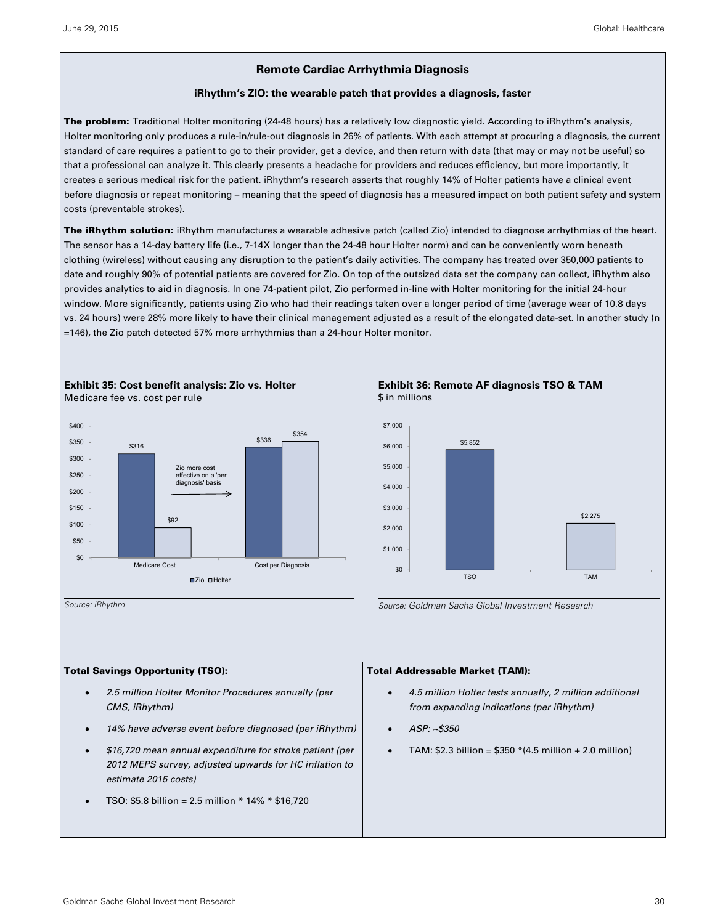### **Remote Cardiac Arrhythmia Diagnosis**

#### **iRhythm's ZIO: the wearable patch that provides a diagnosis, faster**

The problem: Traditional Holter monitoring (24-48 hours) has a relatively low diagnostic yield. According to iRhythm's analysis, Holter monitoring only produces a rule-in/rule-out diagnosis in 26% of patients. With each attempt at procuring a diagnosis, the current standard of care requires a patient to go to their provider, get a device, and then return with data (that may or may not be useful) so that a professional can analyze it. This clearly presents a headache for providers and reduces efficiency, but more importantly, it creates a serious medical risk for the patient. iRhythm's research asserts that roughly 14% of Holter patients have a clinical event before diagnosis or repeat monitoring – meaning that the speed of diagnosis has a measured impact on both patient safety and system costs (preventable strokes).

The iRhythm solution: iRhythm manufactures a wearable adhesive patch (called Zio) intended to diagnose arrhythmias of the heart. The sensor has a 14-day battery life (i.e., 7-14X longer than the 24-48 hour Holter norm) and can be conveniently worn beneath clothing (wireless) without causing any disruption to the patient's daily activities. The company has treated over 350,000 patients to date and roughly 90% of potential patients are covered for Zio. On top of the outsized data set the company can collect, iRhythm also provides analytics to aid in diagnosis. In one 74-patient pilot, Zio performed in-line with Holter monitoring for the initial 24-hour window. More significantly, patients using Zio who had their readings taken over a longer period of time (average wear of 10.8 days vs. 24 hours) were 28% more likely to have their clinical management adjusted as a result of the elongated data-set. In another study (n =146), the Zio patch detected 57% more arrhythmias than a 24-hour Holter monitor.





TSO TAM

Source: iRhythm Sachs Global Investment Research

| <b>Total Savings Opportunity (TSO):</b>                                                                                                                 | <b>Total Addressable Market (TAM):</b>                                                              |
|---------------------------------------------------------------------------------------------------------------------------------------------------------|-----------------------------------------------------------------------------------------------------|
| 2.5 million Holter Monitor Procedures annually (per<br>$\bullet$<br>CMS, iRhythm)                                                                       | 4.5 million Holter tests annually, 2 million additional<br>from expanding indications (per iRhythm) |
| 14% have adverse event before diagnosed (per iRhythm)                                                                                                   | ASP: ~\$350                                                                                         |
| \$16,720 mean annual expenditure for stroke patient (per<br>$\bullet$<br>2012 MEPS survey, adjusted upwards for HC inflation to<br>estimate 2015 costs) | TAM: \$2.3 billion = \$350 $*(4.5 \text{ million} + 2.0 \text{ million})$                           |
| TSO: \$5.8 billion = 2.5 million * 14% * \$16,720                                                                                                       |                                                                                                     |

**Exhibit 36: Remote AF diagnosis TSO & TAM**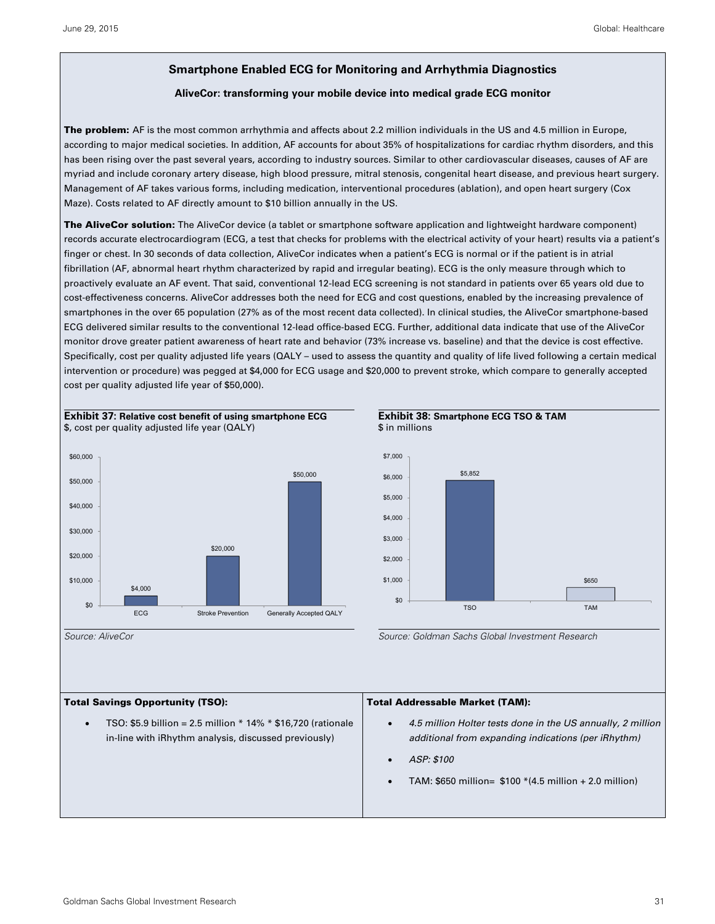### **Smartphone Enabled ECG for Monitoring and Arrhythmia Diagnostics**

#### **AliveCor: transforming your mobile device into medical grade ECG monitor**

**The problem:** AF is the most common arrhythmia and affects about 2.2 million individuals in the US and 4.5 million in Europe, according to major medical societies. In addition, AF accounts for about 35% of hospitalizations for cardiac rhythm disorders, and this has been rising over the past several years, according to industry sources. Similar to other cardiovascular diseases, causes of AF are myriad and include coronary artery disease, high blood pressure, mitral stenosis, congenital heart disease, and previous heart surgery. Management of AF takes various forms, including medication, interventional procedures (ablation), and open heart surgery (Cox Maze). Costs related to AF directly amount to \$10 billion annually in the US.

The AliveCor solution: The AliveCor device (a tablet or smartphone software application and lightweight hardware component) records accurate electrocardiogram (ECG, a test that checks for problems with the electrical activity of your heart) results via a patient's finger or chest. In 30 seconds of data collection, AliveCor indicates when a patient's ECG is normal or if the patient is in atrial fibrillation (AF, abnormal heart rhythm characterized by rapid and irregular beating). ECG is the only measure through which to proactively evaluate an AF event. That said, conventional 12-lead ECG screening is not standard in patients over 65 years old due to cost-effectiveness concerns. AliveCor addresses both the need for ECG and cost questions, enabled by the increasing prevalence of smartphones in the over 65 population (27% as of the most recent data collected). In clinical studies, the AliveCor smartphone-based ECG delivered similar results to the conventional 12-lead office-based ECG. Further, additional data indicate that use of the AliveCor monitor drove greater patient awareness of heart rate and behavior (73% increase vs. baseline) and that the device is cost effective. Specifically, cost per quality adjusted life years (QALY – used to assess the quantity and quality of life lived following a certain medical intervention or procedure) was pegged at \$4,000 for ECG usage and \$20,000 to prevent stroke, which compare to generally accepted cost per quality adjusted life year of \$50,000).



**Exhibit 37: Relative cost benefit of using smartphone ECG** 



Source: AliveCor Source: Goldman Sachs Global Investment Research

| <b>Total Savings Opportunity (TSO):</b> |  |  |
|-----------------------------------------|--|--|
|-----------------------------------------|--|--|

 TSO: \$5.9 billion = 2.5 million \* 14% \* \$16,720 (rationale in-line with iRhythm analysis, discussed previously)

#### Total Addressable Market (TAM):

- 4.5 million Holter tests done in the US annually, 2 million additional from expanding indications (per iRhythm)
- ASP: \$100
- TAM: \$650 million= \$100 \*(4.5 million + 2.0 million)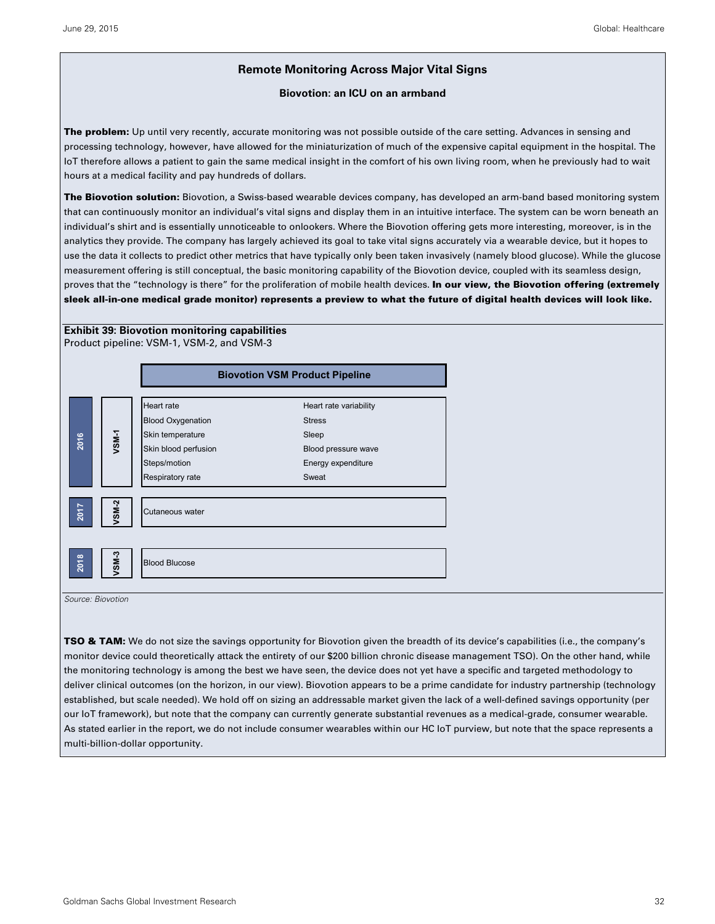## **Remote Monitoring Across Major Vital Signs**

#### **Biovotion: an ICU on an armband**

The problem: Up until very recently, accurate monitoring was not possible outside of the care setting. Advances in sensing and processing technology, however, have allowed for the miniaturization of much of the expensive capital equipment in the hospital. The IoT therefore allows a patient to gain the same medical insight in the comfort of his own living room, when he previously had to wait hours at a medical facility and pay hundreds of dollars.

The Biovotion solution: Biovotion, a Swiss-based wearable devices company, has developed an arm-band based monitoring system that can continuously monitor an individual's vital signs and display them in an intuitive interface. The system can be worn beneath an individual's shirt and is essentially unnoticeable to onlookers. Where the Biovotion offering gets more interesting, moreover, is in the analytics they provide. The company has largely achieved its goal to take vital signs accurately via a wearable device, but it hopes to use the data it collects to predict other metrics that have typically only been taken invasively (namely blood glucose). While the glucose measurement offering is still conceptual, the basic monitoring capability of the Biovotion device, coupled with its seamless design, proves that the "technology is there" for the proliferation of mobile health devices. In our view, the Biovotion offering (extremely sleek all-in-one medical grade monitor) represents a preview to what the future of digital health devices will look like.

#### **Exhibit 39: Biovotion monitoring capabilities**  Product pipeline: VSM-1, VSM-2, and VSM-3



Source: Biovotion

TSO & TAM: We do not size the savings opportunity for Biovotion given the breadth of its device's capabilities (i.e., the company's monitor device could theoretically attack the entirety of our \$200 billion chronic disease management TSO). On the other hand, while the monitoring technology is among the best we have seen, the device does not yet have a specific and targeted methodology to deliver clinical outcomes (on the horizon, in our view). Biovotion appears to be a prime candidate for industry partnership (technology established, but scale needed). We hold off on sizing an addressable market given the lack of a well-defined savings opportunity (per our IoT framework), but note that the company can currently generate substantial revenues as a medical-grade, consumer wearable. As stated earlier in the report, we do not include consumer wearables within our HC IoT purview, but note that the space represents a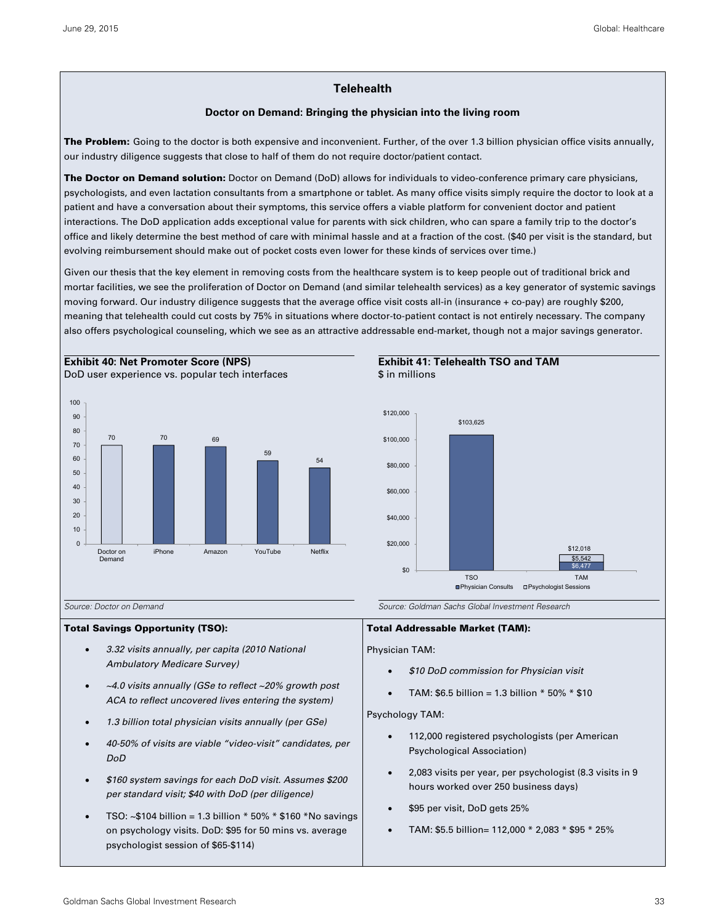### **Telehealth**

#### **Doctor on Demand: Bringing the physician into the living room**

The Problem: Going to the doctor is both expensive and inconvenient. Further, of the over 1.3 billion physician office visits annually, our industry diligence suggests that close to half of them do not require doctor/patient contact.

The Doctor on Demand solution: Doctor on Demand (DoD) allows for individuals to video-conference primary care physicians, psychologists, and even lactation consultants from a smartphone or tablet. As many office visits simply require the doctor to look at a patient and have a conversation about their symptoms, this service offers a viable platform for convenient doctor and patient interactions. The DoD application adds exceptional value for parents with sick children, who can spare a family trip to the doctor's office and likely determine the best method of care with minimal hassle and at a fraction of the cost. (\$40 per visit is the standard, but evolving reimbursement should make out of pocket costs even lower for these kinds of services over time.)

Given our thesis that the key element in removing costs from the healthcare system is to keep people out of traditional brick and mortar facilities, we see the proliferation of Doctor on Demand (and similar telehealth services) as a key generator of systemic savings moving forward. Our industry diligence suggests that the average office visit costs all-in (insurance + co-pay) are roughly \$200, meaning that telehealth could cut costs by 75% in situations where doctor-to-patient contact is not entirely necessary. The company also offers psychological counseling, which we see as an attractive addressable end-market, though not a major savings generator.





#### Total Savings Opportunity (TSO):

- 3.32 visits annually, per capita (2010 National Ambulatory Medicare Survey)
- ~4.0 visits annually (GSe to reflect ~20% growth post ACA to reflect uncovered lives entering the system)
- 1.3 billion total physician visits annually (per GSe)
- 40-50% of visits are viable "video-visit" candidates, per DoD
- \$160 system savings for each DoD visit. Assumes \$200 per standard visit; \$40 with DoD (per diligence)
- TSO: ~\$104 billion = 1.3 billion \* 50% \* \$160 \*No savings on psychology visits. DoD: \$95 for 50 mins vs. average psychologist session of \$65-\$114)

Source: Doctor on Demand Source: Goldman Sachs Global Investment Research

#### Total Addressable Market (TAM):

Physician TAM:

- \$10 DoD commission for Physician visit
- TAM: \$6.5 billion = 1.3 billion \* 50% \* \$10

Psychology TAM:

- 112,000 registered psychologists (per American Psychological Association)
- 2,083 visits per year, per psychologist (8.3 visits in 9 hours worked over 250 business days)
- \$95 per visit, DoD gets 25%
- TAM: \$5.5 billion= 112,000 \* 2,083 \* \$95 \* 25%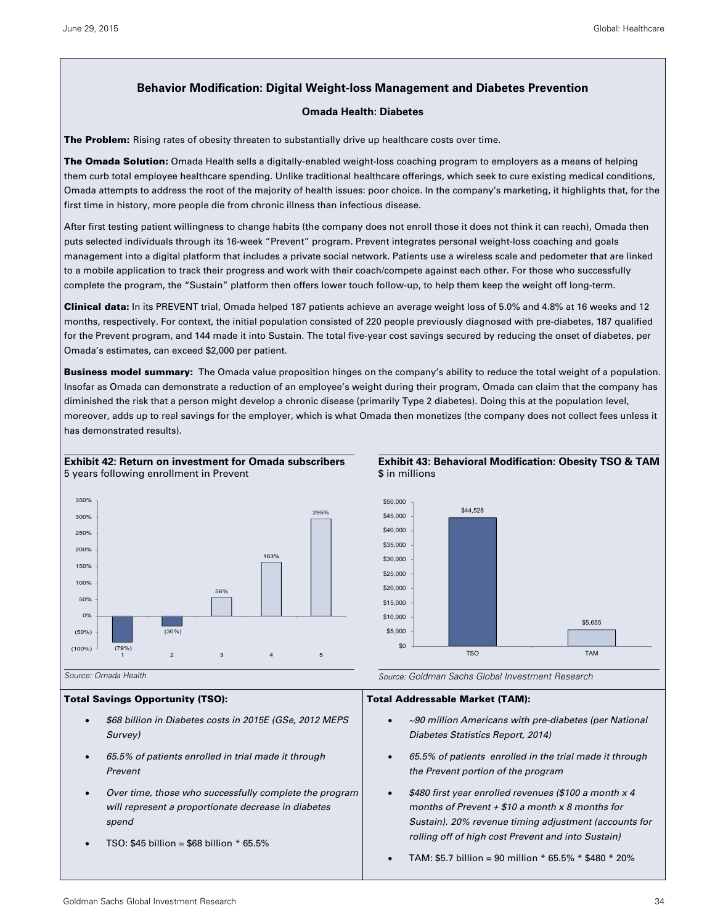## **Behavior Modification: Digital Weight-loss Management and Diabetes Prevention**

#### **Omada Health: Diabetes**

The Problem: Rising rates of obesity threaten to substantially drive up healthcare costs over time.

The Omada Solution: Omada Health sells a digitally-enabled weight-loss coaching program to employers as a means of helping them curb total employee healthcare spending. Unlike traditional healthcare offerings, which seek to cure existing medical conditions, Omada attempts to address the root of the majority of health issues: poor choice. In the company's marketing, it highlights that, for the first time in history, more people die from chronic illness than infectious disease.

After first testing patient willingness to change habits (the company does not enroll those it does not think it can reach), Omada then puts selected individuals through its 16-week "Prevent" program. Prevent integrates personal weight-loss coaching and goals management into a digital platform that includes a private social network. Patients use a wireless scale and pedometer that are linked to a mobile application to track their progress and work with their coach/compete against each other. For those who successfully complete the program, the "Sustain" platform then offers lower touch follow-up, to help them keep the weight off long-term.

Clinical data: In its PREVENT trial, Omada helped 187 patients achieve an average weight loss of 5.0% and 4.8% at 16 weeks and 12 months, respectively. For context, the initial population consisted of 220 people previously diagnosed with pre-diabetes, 187 qualified for the Prevent program, and 144 made it into Sustain. The total five-year cost savings secured by reducing the onset of diabetes, per Omada's estimates, can exceed \$2,000 per patient.

Business model summary: The Omada value proposition hinges on the company's ability to reduce the total weight of a population. Insofar as Omada can demonstrate a reduction of an employee's weight during their program, Omada can claim that the company has diminished the risk that a person might develop a chronic disease (primarily Type 2 diabetes). Doing this at the population level, moreover, adds up to real savings for the employer, which is what Omada then monetizes (the company does not collect fees unless it has demonstrated results).



#### **Exhibit 42: Return on investment for Omada subscribers** 5 years following enrollment in Prevent





#### Total Savings Opportunity (TSO):

- \$68 billion in Diabetes costs in 2015E (GSe, 2012 MEPS Survey)
- 65.5% of patients enrolled in trial made it through Prevent
- Over time, those who successfully complete the program will represent a proportionate decrease in diabetes spend
- TSO: \$45 billion = \$68 billion \* 65.5%

Source: Omada Health Source: Goldman Sachs Global Investment Research

#### Total Addressable Market (TAM):

- ~90 million Americans with pre-diabetes (per National Diabetes Statistics Report, 2014)
- 65.5% of patients enrolled in the trial made it through the Prevent portion of the program
- \$480 first year enrolled revenues (\$100 a month x 4 months of Prevent  $+ $10$  a month  $x 8$  months for Sustain). 20% revenue timing adjustment (accounts for rolling off of high cost Prevent and into Sustain)

TAM: \$5.7 billion = 90 million \* 65.5% \* \$480 \* 20%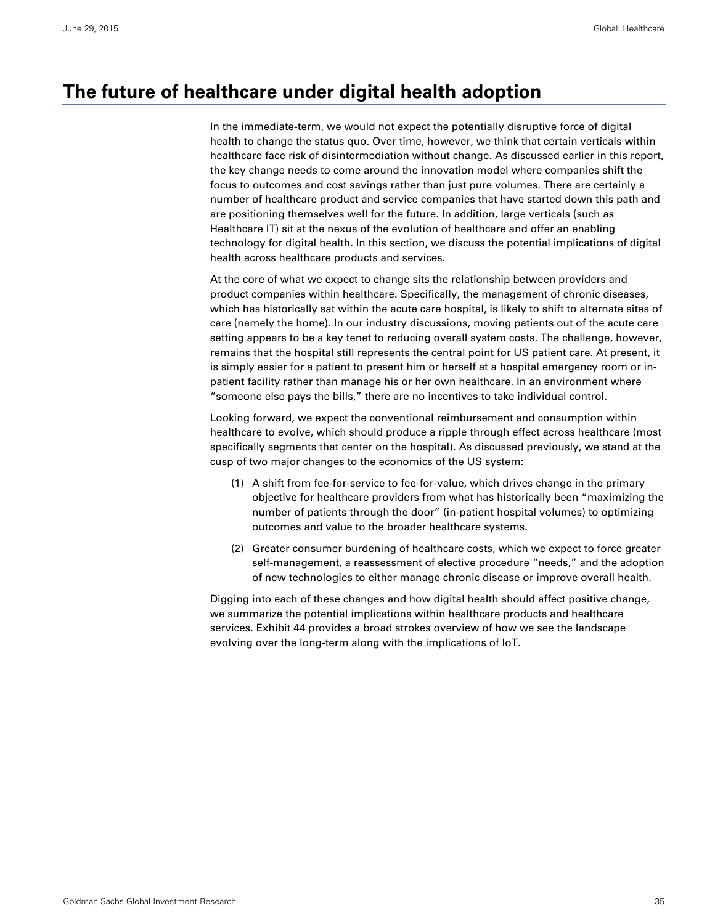## **The future of healthcare under digital health adoption**

In the immediate-term, we would not expect the potentially disruptive force of digital health to change the status quo. Over time, however, we think that certain verticals within healthcare face risk of disintermediation without change. As discussed earlier in this report, the key change needs to come around the innovation model where companies shift the focus to outcomes and cost savings rather than just pure volumes. There are certainly a number of healthcare product and service companies that have started down this path and are positioning themselves well for the future. In addition, large verticals (such as Healthcare IT) sit at the nexus of the evolution of healthcare and offer an enabling technology for digital health. In this section, we discuss the potential implications of digital health across healthcare products and services.

At the core of what we expect to change sits the relationship between providers and product companies within healthcare. Specifically, the management of chronic diseases, which has historically sat within the acute care hospital, is likely to shift to alternate sites of care (namely the home). In our industry discussions, moving patients out of the acute care setting appears to be a key tenet to reducing overall system costs. The challenge, however, remains that the hospital still represents the central point for US patient care. At present, it is simply easier for a patient to present him or herself at a hospital emergency room or inpatient facility rather than manage his or her own healthcare. In an environment where "someone else pays the bills," there are no incentives to take individual control.

Looking forward, we expect the conventional reimbursement and consumption within healthcare to evolve, which should produce a ripple through effect across healthcare (most specifically segments that center on the hospital). As discussed previously, we stand at the cusp of two major changes to the economics of the US system:

- (1) A shift from fee-for-service to fee-for-value, which drives change in the primary objective for healthcare providers from what has historically been "maximizing the number of patients through the door" (in-patient hospital volumes) to optimizing outcomes and value to the broader healthcare systems.
- (2) Greater consumer burdening of healthcare costs, which we expect to force greater self-management, a reassessment of elective procedure "needs," and the adoption of new technologies to either manage chronic disease or improve overall health.

Digging into each of these changes and how digital health should affect positive change, we summarize the potential implications within healthcare products and healthcare services. Exhibit 44 provides a broad strokes overview of how we see the landscape evolving over the long-term along with the implications of IoT.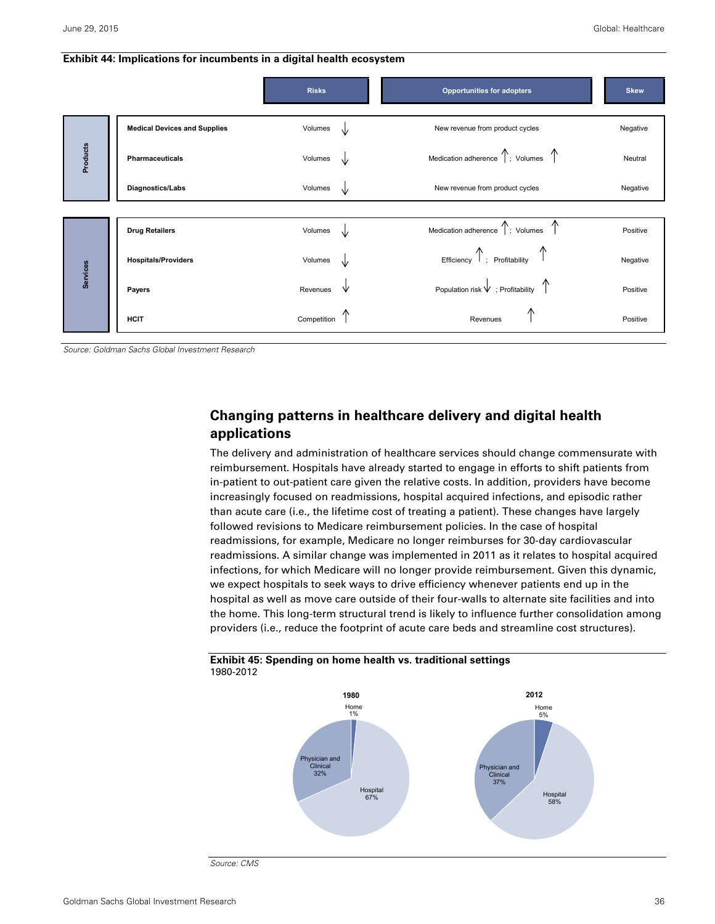#### **Exhibit 44: Implications for incumbents in a digital health ecosystem**

|                  |                                     | <b>Risks</b> | <b>Opportunities for adopters</b>                    | <b>Skew</b> |
|------------------|-------------------------------------|--------------|------------------------------------------------------|-------------|
|                  | <b>Medical Devices and Supplies</b> | Volumes      | New revenue from product cycles                      | Negative    |
| Products         | Pharmaceuticals                     | Volumes      | Medication adherence $\uparrow$ ; Volumes $\uparrow$ | Neutral     |
| Diagnostics/Labs |                                     | Volumes      | New revenue from product cycles                      | Negative    |
|                  |                                     |              |                                                      |             |
|                  | <b>Drug Retailers</b>               | Volumes      | Medication adherence $\uparrow$ ; Volumes $\uparrow$ | Positive    |
|                  | <b>Hospitals/Providers</b>          | Volumes      | Efficiency $\uparrow$ ; Profitability $\uparrow$     | Negative    |
| <b>Services</b>  | Payers                              | Revenues     | Population risk $\downarrow$ ; Profitability         | Positive    |
|                  | <b>HCIT</b>                         | Competition  | Revenues                                             | Positive    |

Source: Goldman Sachs Global Investment Research

## **Changing patterns in healthcare delivery and digital health applications**

The delivery and administration of healthcare services should change commensurate with reimbursement. Hospitals have already started to engage in efforts to shift patients from in-patient to out-patient care given the relative costs. In addition, providers have become increasingly focused on readmissions, hospital acquired infections, and episodic rather than acute care (i.e., the lifetime cost of treating a patient). These changes have largely followed revisions to Medicare reimbursement policies. In the case of hospital readmissions, for example, Medicare no longer reimburses for 30-day cardiovascular readmissions. A similar change was implemented in 2011 as it relates to hospital acquired infections, for which Medicare will no longer provide reimbursement. Given this dynamic, we expect hospitals to seek ways to drive efficiency whenever patients end up in the hospital as well as move care outside of their four-walls to alternate site facilities and into the home. This long-term structural trend is likely to influence further consolidation among providers (i.e., reduce the footprint of acute care beds and streamline cost structures).



#### **Exhibit 45: Spending on home health vs. traditional settings**  1980-2012

Source: CMS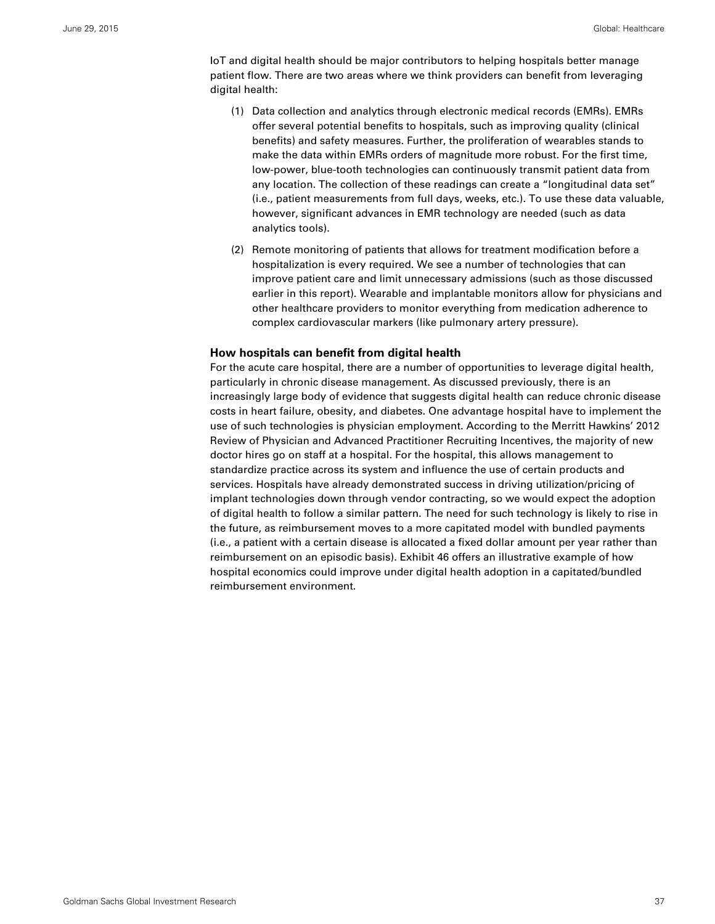IoT and digital health should be major contributors to helping hospitals better manage patient flow. There are two areas where we think providers can benefit from leveraging digital health:

- (1) Data collection and analytics through electronic medical records (EMRs). EMRs offer several potential benefits to hospitals, such as improving quality (clinical benefits) and safety measures. Further, the proliferation of wearables stands to make the data within EMRs orders of magnitude more robust. For the first time, low-power, blue-tooth technologies can continuously transmit patient data from any location. The collection of these readings can create a "longitudinal data set" (i.e., patient measurements from full days, weeks, etc.). To use these data valuable, however, significant advances in EMR technology are needed (such as data analytics tools).
- (2) Remote monitoring of patients that allows for treatment modification before a hospitalization is every required. We see a number of technologies that can improve patient care and limit unnecessary admissions (such as those discussed earlier in this report). Wearable and implantable monitors allow for physicians and other healthcare providers to monitor everything from medication adherence to complex cardiovascular markers (like pulmonary artery pressure).

#### **How hospitals can benefit from digital health**

For the acute care hospital, there are a number of opportunities to leverage digital health, particularly in chronic disease management. As discussed previously, there is an increasingly large body of evidence that suggests digital health can reduce chronic disease costs in heart failure, obesity, and diabetes. One advantage hospital have to implement the use of such technologies is physician employment. According to the Merritt Hawkins' 2012 Review of Physician and Advanced Practitioner Recruiting Incentives, the majority of new doctor hires go on staff at a hospital. For the hospital, this allows management to standardize practice across its system and influence the use of certain products and services. Hospitals have already demonstrated success in driving utilization/pricing of implant technologies down through vendor contracting, so we would expect the adoption of digital health to follow a similar pattern. The need for such technology is likely to rise in the future, as reimbursement moves to a more capitated model with bundled payments (i.e., a patient with a certain disease is allocated a fixed dollar amount per year rather than reimbursement on an episodic basis). Exhibit 46 offers an illustrative example of how hospital economics could improve under digital health adoption in a capitated/bundled reimbursement environment.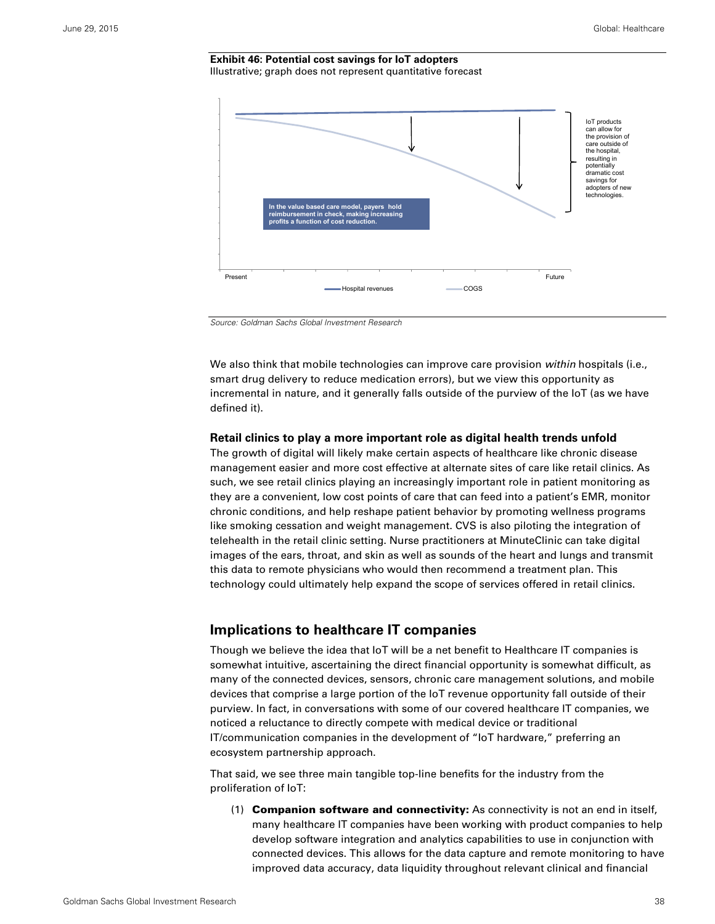#### **Exhibit 46: Potential cost savings for IoT adopters**  Illustrative; graph does not represent quantitative forecast



Source: Goldman Sachs Global Investment Research

We also think that mobile technologies can improve care provision within hospitals (i.e., smart drug delivery to reduce medication errors), but we view this opportunity as incremental in nature, and it generally falls outside of the purview of the IoT (as we have defined it).

#### **Retail clinics to play a more important role as digital health trends unfold**

The growth of digital will likely make certain aspects of healthcare like chronic disease management easier and more cost effective at alternate sites of care like retail clinics. As such, we see retail clinics playing an increasingly important role in patient monitoring as they are a convenient, low cost points of care that can feed into a patient's EMR, monitor chronic conditions, and help reshape patient behavior by promoting wellness programs like smoking cessation and weight management. CVS is also piloting the integration of telehealth in the retail clinic setting. Nurse practitioners at MinuteClinic can take digital images of the ears, throat, and skin as well as sounds of the heart and lungs and transmit this data to remote physicians who would then recommend a treatment plan. This technology could ultimately help expand the scope of services offered in retail clinics.

## **Implications to healthcare IT companies**

Though we believe the idea that IoT will be a net benefit to Healthcare IT companies is somewhat intuitive, ascertaining the direct financial opportunity is somewhat difficult, as many of the connected devices, sensors, chronic care management solutions, and mobile devices that comprise a large portion of the IoT revenue opportunity fall outside of their purview. In fact, in conversations with some of our covered healthcare IT companies, we noticed a reluctance to directly compete with medical device or traditional IT/communication companies in the development of "IoT hardware," preferring an ecosystem partnership approach.

That said, we see three main tangible top-line benefits for the industry from the proliferation of IoT:

(1) **Companion software and connectivity:** As connectivity is not an end in itself, many healthcare IT companies have been working with product companies to help develop software integration and analytics capabilities to use in conjunction with connected devices. This allows for the data capture and remote monitoring to have improved data accuracy, data liquidity throughout relevant clinical and financial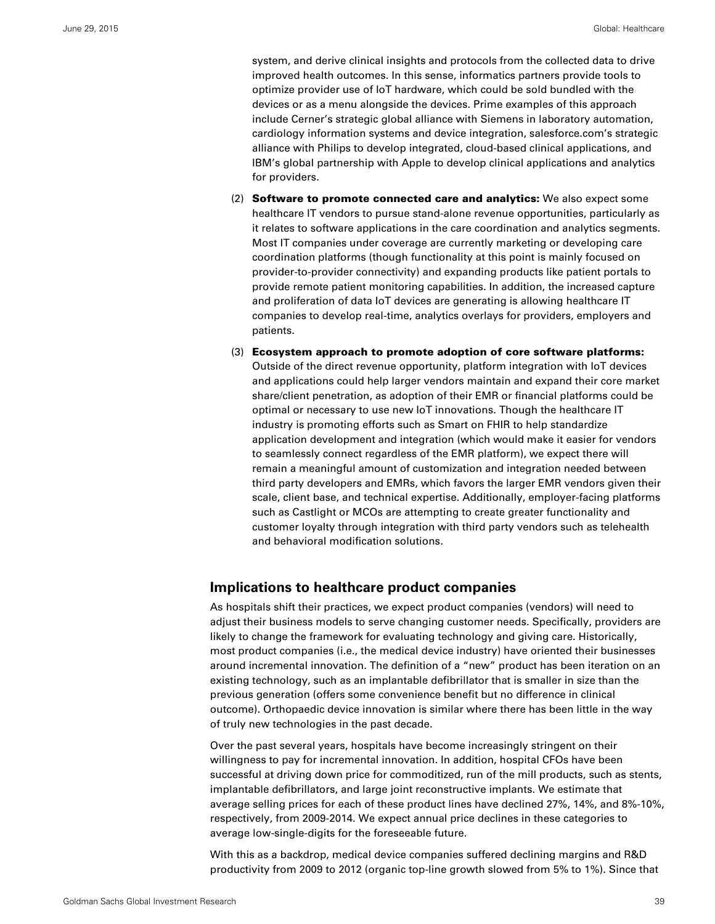system, and derive clinical insights and protocols from the collected data to drive improved health outcomes. In this sense, informatics partners provide tools to optimize provider use of IoT hardware, which could be sold bundled with the devices or as a menu alongside the devices. Prime examples of this approach include Cerner's strategic global alliance with Siemens in laboratory automation, cardiology information systems and device integration, salesforce.com's strategic alliance with Philips to develop integrated, cloud-based clinical applications, and IBM's global partnership with Apple to develop clinical applications and analytics for providers.

- $(2)$  Software to promote connected care and analytics: We also expect some healthcare IT vendors to pursue stand-alone revenue opportunities, particularly as it relates to software applications in the care coordination and analytics segments. Most IT companies under coverage are currently marketing or developing care coordination platforms (though functionality at this point is mainly focused on provider-to-provider connectivity) and expanding products like patient portals to provide remote patient monitoring capabilities. In addition, the increased capture and proliferation of data IoT devices are generating is allowing healthcare IT companies to develop real-time, analytics overlays for providers, employers and patients.
- (3) Ecosystem approach to promote adoption of core software platforms: Outside of the direct revenue opportunity, platform integration with IoT devices and applications could help larger vendors maintain and expand their core market share/client penetration, as adoption of their EMR or financial platforms could be optimal or necessary to use new IoT innovations. Though the healthcare IT industry is promoting efforts such as Smart on FHIR to help standardize application development and integration (which would make it easier for vendors to seamlessly connect regardless of the EMR platform), we expect there will remain a meaningful amount of customization and integration needed between third party developers and EMRs, which favors the larger EMR vendors given their scale, client base, and technical expertise. Additionally, employer-facing platforms such as Castlight or MCOs are attempting to create greater functionality and customer loyalty through integration with third party vendors such as telehealth and behavioral modification solutions.

## **Implications to healthcare product companies**

As hospitals shift their practices, we expect product companies (vendors) will need to adjust their business models to serve changing customer needs. Specifically, providers are likely to change the framework for evaluating technology and giving care. Historically, most product companies (i.e., the medical device industry) have oriented their businesses around incremental innovation. The definition of a "new" product has been iteration on an existing technology, such as an implantable defibrillator that is smaller in size than the previous generation (offers some convenience benefit but no difference in clinical outcome). Orthopaedic device innovation is similar where there has been little in the way of truly new technologies in the past decade.

Over the past several years, hospitals have become increasingly stringent on their willingness to pay for incremental innovation. In addition, hospital CFOs have been successful at driving down price for commoditized, run of the mill products, such as stents, implantable defibrillators, and large joint reconstructive implants. We estimate that average selling prices for each of these product lines have declined 27%, 14%, and 8%-10%, respectively, from 2009-2014. We expect annual price declines in these categories to average low-single-digits for the foreseeable future.

With this as a backdrop, medical device companies suffered declining margins and R&D productivity from 2009 to 2012 (organic top-line growth slowed from 5% to 1%). Since that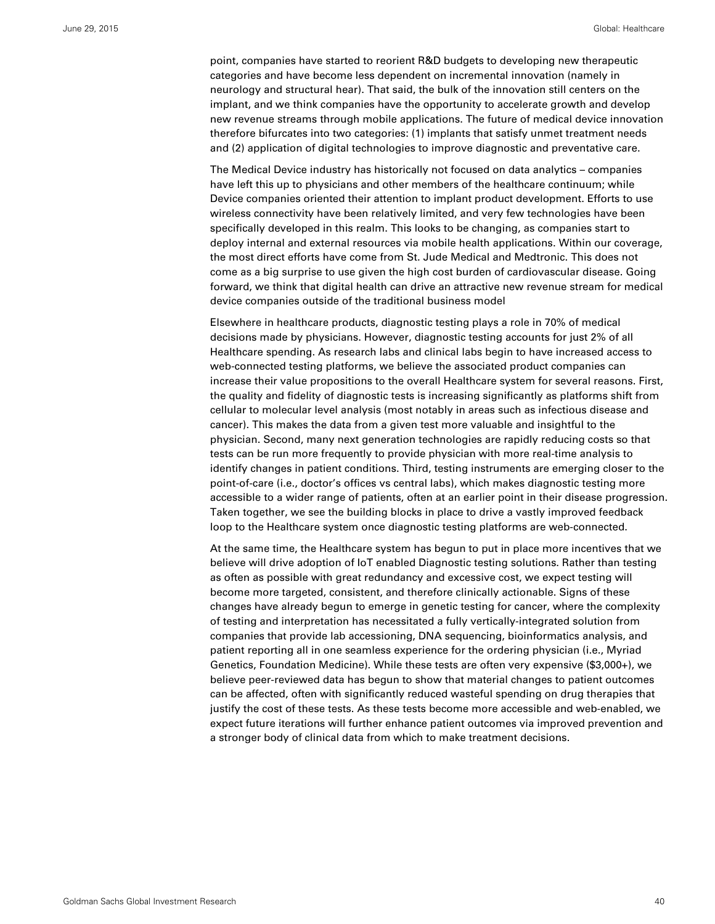point, companies have started to reorient R&D budgets to developing new therapeutic categories and have become less dependent on incremental innovation (namely in neurology and structural hear). That said, the bulk of the innovation still centers on the implant, and we think companies have the opportunity to accelerate growth and develop new revenue streams through mobile applications. The future of medical device innovation therefore bifurcates into two categories: (1) implants that satisfy unmet treatment needs and (2) application of digital technologies to improve diagnostic and preventative care.

The Medical Device industry has historically not focused on data analytics – companies have left this up to physicians and other members of the healthcare continuum; while Device companies oriented their attention to implant product development. Efforts to use wireless connectivity have been relatively limited, and very few technologies have been specifically developed in this realm. This looks to be changing, as companies start to deploy internal and external resources via mobile health applications. Within our coverage, the most direct efforts have come from St. Jude Medical and Medtronic. This does not come as a big surprise to use given the high cost burden of cardiovascular disease. Going forward, we think that digital health can drive an attractive new revenue stream for medical device companies outside of the traditional business model

Elsewhere in healthcare products, diagnostic testing plays a role in 70% of medical decisions made by physicians. However, diagnostic testing accounts for just 2% of all Healthcare spending. As research labs and clinical labs begin to have increased access to web-connected testing platforms, we believe the associated product companies can increase their value propositions to the overall Healthcare system for several reasons. First, the quality and fidelity of diagnostic tests is increasing significantly as platforms shift from cellular to molecular level analysis (most notably in areas such as infectious disease and cancer). This makes the data from a given test more valuable and insightful to the physician. Second, many next generation technologies are rapidly reducing costs so that tests can be run more frequently to provide physician with more real-time analysis to identify changes in patient conditions. Third, testing instruments are emerging closer to the point-of-care (i.e., doctor's offices vs central labs), which makes diagnostic testing more accessible to a wider range of patients, often at an earlier point in their disease progression. Taken together, we see the building blocks in place to drive a vastly improved feedback loop to the Healthcare system once diagnostic testing platforms are web-connected.

At the same time, the Healthcare system has begun to put in place more incentives that we believe will drive adoption of IoT enabled Diagnostic testing solutions. Rather than testing as often as possible with great redundancy and excessive cost, we expect testing will become more targeted, consistent, and therefore clinically actionable. Signs of these changes have already begun to emerge in genetic testing for cancer, where the complexity of testing and interpretation has necessitated a fully vertically-integrated solution from companies that provide lab accessioning, DNA sequencing, bioinformatics analysis, and patient reporting all in one seamless experience for the ordering physician (i.e., Myriad Genetics, Foundation Medicine). While these tests are often very expensive (\$3,000+), we believe peer-reviewed data has begun to show that material changes to patient outcomes can be affected, often with significantly reduced wasteful spending on drug therapies that justify the cost of these tests. As these tests become more accessible and web-enabled, we expect future iterations will further enhance patient outcomes via improved prevention and a stronger body of clinical data from which to make treatment decisions.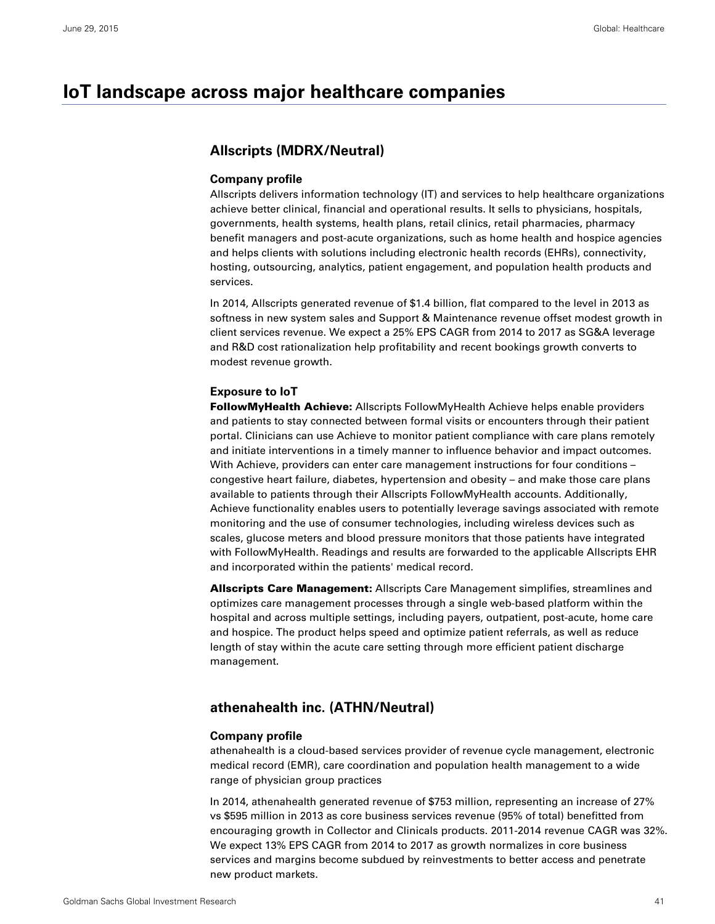## **IoT landscape across major healthcare companies**

## **Allscripts (MDRX/Neutral)**

#### **Company profile**

Allscripts delivers information technology (IT) and services to help healthcare organizations achieve better clinical, financial and operational results. It sells to physicians, hospitals, governments, health systems, health plans, retail clinics, retail pharmacies, pharmacy benefit managers and post-acute organizations, such as home health and hospice agencies and helps clients with solutions including electronic health records (EHRs), connectivity, hosting, outsourcing, analytics, patient engagement, and population health products and services.

In 2014, Allscripts generated revenue of \$1.4 billion, flat compared to the level in 2013 as softness in new system sales and Support & Maintenance revenue offset modest growth in client services revenue. We expect a 25% EPS CAGR from 2014 to 2017 as SG&A leverage and R&D cost rationalization help profitability and recent bookings growth converts to modest revenue growth.

#### **Exposure to IoT**

FollowMyHealth Achieve: Allscripts FollowMyHealth Achieve helps enable providers and patients to stay connected between formal visits or encounters through their patient portal. Clinicians can use Achieve to monitor patient compliance with care plans remotely and initiate interventions in a timely manner to influence behavior and impact outcomes. With Achieve, providers can enter care management instructions for four conditions – congestive heart failure, diabetes, hypertension and obesity – and make those care plans available to patients through their Allscripts FollowMyHealth accounts. Additionally, Achieve functionality enables users to potentially leverage savings associated with remote monitoring and the use of consumer technologies, including wireless devices such as scales, glucose meters and blood pressure monitors that those patients have integrated with FollowMyHealth. Readings and results are forwarded to the applicable Allscripts EHR and incorporated within the patients' medical record.

Allscripts Care Management: Allscripts Care Management simplifies, streamlines and optimizes care management processes through a single web-based platform within the hospital and across multiple settings, including payers, outpatient, post-acute, home care and hospice. The product helps speed and optimize patient referrals, as well as reduce length of stay within the acute care setting through more efficient patient discharge management.

## **athenahealth inc. (ATHN/Neutral)**

#### **Company profile**

athenahealth is a cloud-based services provider of revenue cycle management, electronic medical record (EMR), care coordination and population health management to a wide range of physician group practices

In 2014, athenahealth generated revenue of \$753 million, representing an increase of 27% vs \$595 million in 2013 as core business services revenue (95% of total) benefitted from encouraging growth in Collector and Clinicals products. 2011-2014 revenue CAGR was 32%. We expect 13% EPS CAGR from 2014 to 2017 as growth normalizes in core business services and margins become subdued by reinvestments to better access and penetrate new product markets.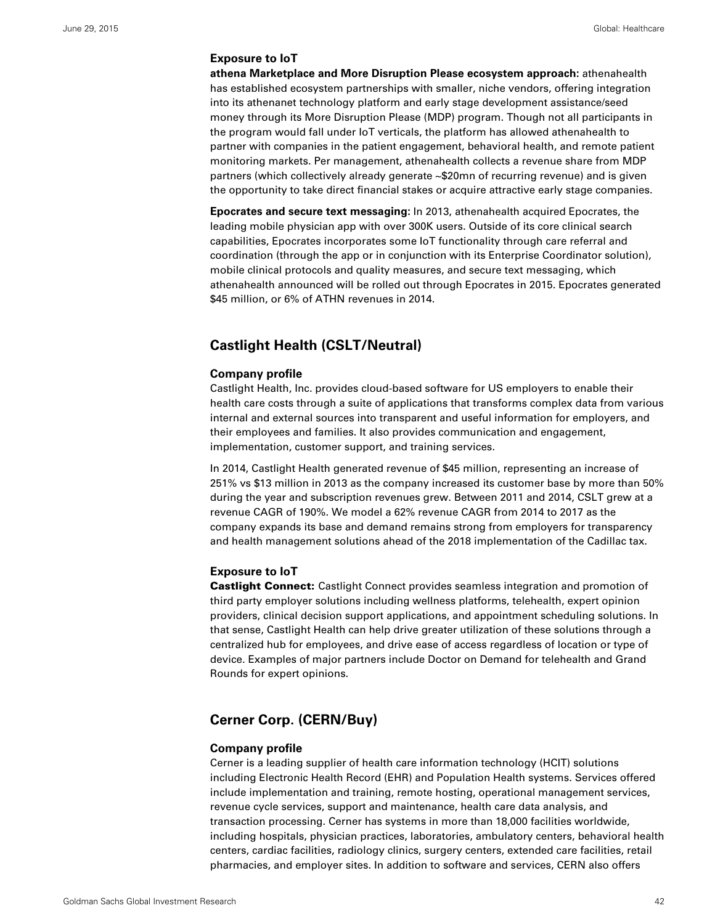#### **Exposure to IoT**

**athena Marketplace and More Disruption Please ecosystem approach:** athenahealth has established ecosystem partnerships with smaller, niche vendors, offering integration into its athenanet technology platform and early stage development assistance/seed money through its More Disruption Please (MDP) program. Though not all participants in the program would fall under IoT verticals, the platform has allowed athenahealth to partner with companies in the patient engagement, behavioral health, and remote patient monitoring markets. Per management, athenahealth collects a revenue share from MDP partners (which collectively already generate ~\$20mn of recurring revenue) and is given the opportunity to take direct financial stakes or acquire attractive early stage companies.

**Epocrates and secure text messaging:** In 2013, athenahealth acquired Epocrates, the leading mobile physician app with over 300K users. Outside of its core clinical search capabilities, Epocrates incorporates some IoT functionality through care referral and coordination (through the app or in conjunction with its Enterprise Coordinator solution), mobile clinical protocols and quality measures, and secure text messaging, which athenahealth announced will be rolled out through Epocrates in 2015. Epocrates generated \$45 million, or 6% of ATHN revenues in 2014.

## **Castlight Health (CSLT/Neutral)**

#### **Company profile**

Castlight Health, Inc. provides cloud-based software for US employers to enable their health care costs through a suite of applications that transforms complex data from various internal and external sources into transparent and useful information for employers, and their employees and families. It also provides communication and engagement, implementation, customer support, and training services.

In 2014, Castlight Health generated revenue of \$45 million, representing an increase of 251% vs \$13 million in 2013 as the company increased its customer base by more than 50% during the year and subscription revenues grew. Between 2011 and 2014, CSLT grew at a revenue CAGR of 190%. We model a 62% revenue CAGR from 2014 to 2017 as the company expands its base and demand remains strong from employers for transparency and health management solutions ahead of the 2018 implementation of the Cadillac tax.

#### **Exposure to IoT**

Castlight Connect: Castlight Connect provides seamless integration and promotion of third party employer solutions including wellness platforms, telehealth, expert opinion providers, clinical decision support applications, and appointment scheduling solutions. In that sense, Castlight Health can help drive greater utilization of these solutions through a centralized hub for employees, and drive ease of access regardless of location or type of device. Examples of major partners include Doctor on Demand for telehealth and Grand Rounds for expert opinions.

## **Cerner Corp. (CERN/Buy)**

#### **Company profile**

Cerner is a leading supplier of health care information technology (HCIT) solutions including Electronic Health Record (EHR) and Population Health systems. Services offered include implementation and training, remote hosting, operational management services, revenue cycle services, support and maintenance, health care data analysis, and transaction processing. Cerner has systems in more than 18,000 facilities worldwide, including hospitals, physician practices, laboratories, ambulatory centers, behavioral health centers, cardiac facilities, radiology clinics, surgery centers, extended care facilities, retail pharmacies, and employer sites. In addition to software and services, CERN also offers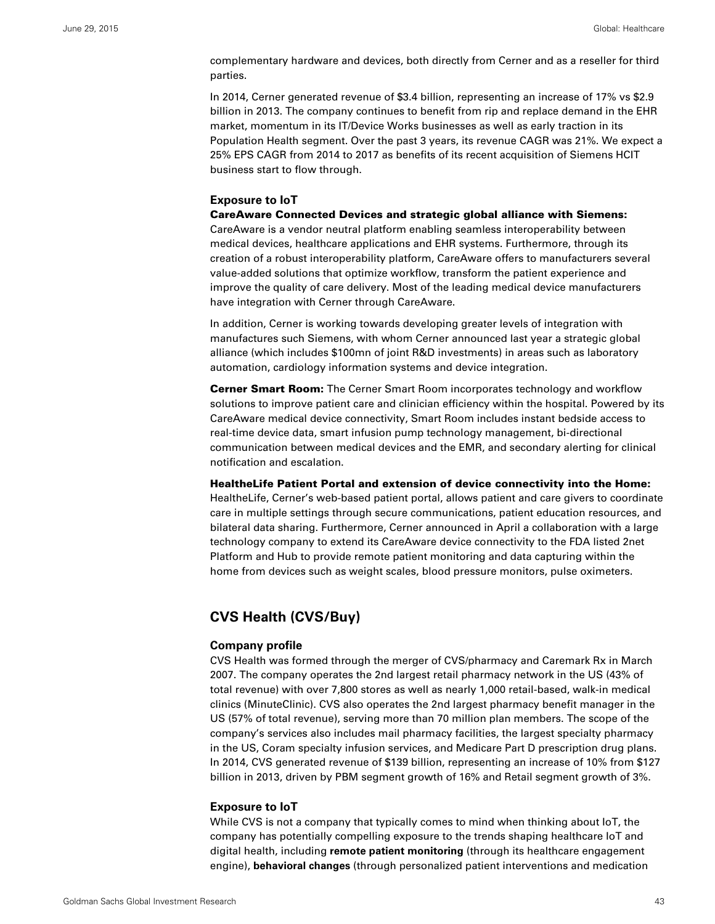complementary hardware and devices, both directly from Cerner and as a reseller for third parties.

In 2014, Cerner generated revenue of \$3.4 billion, representing an increase of 17% vs \$2.9 billion in 2013. The company continues to benefit from rip and replace demand in the EHR market, momentum in its IT/Device Works businesses as well as early traction in its Population Health segment. Over the past 3 years, its revenue CAGR was 21%. We expect a 25% EPS CAGR from 2014 to 2017 as benefits of its recent acquisition of Siemens HCIT business start to flow through.

#### **Exposure to IoT**

CareAware Connected Devices and strategic global alliance with Siemens: CareAware is a vendor neutral platform enabling seamless interoperability between medical devices, healthcare applications and EHR systems. Furthermore, through its creation of a robust interoperability platform, CareAware offers to manufacturers several value-added solutions that optimize workflow, transform the patient experience and improve the quality of care delivery. Most of the leading medical device manufacturers have integration with Cerner through CareAware.

In addition, Cerner is working towards developing greater levels of integration with manufactures such Siemens, with whom Cerner announced last year a strategic global alliance (which includes \$100mn of joint R&D investments) in areas such as laboratory automation, cardiology information systems and device integration.

**Cerner Smart Room:** The Cerner Smart Room incorporates technology and workflow solutions to improve patient care and clinician efficiency within the hospital. Powered by its CareAware medical device connectivity, Smart Room includes instant bedside access to real-time device data, smart infusion pump technology management, bi-directional communication between medical devices and the EMR, and secondary alerting for clinical notification and escalation.

HealtheLife Patient Portal and extension of device connectivity into the Home: HealtheLife, Cerner's web-based patient portal, allows patient and care givers to coordinate care in multiple settings through secure communications, patient education resources, and bilateral data sharing. Furthermore, Cerner announced in April a collaboration with a large technology company to extend its CareAware device connectivity to the FDA listed 2net Platform and Hub to provide remote patient monitoring and data capturing within the home from devices such as weight scales, blood pressure monitors, pulse oximeters.

## **CVS Health (CVS/Buy)**

#### **Company profile**

CVS Health was formed through the merger of CVS/pharmacy and Caremark Rx in March 2007. The company operates the 2nd largest retail pharmacy network in the US (43% of total revenue) with over 7,800 stores as well as nearly 1,000 retail-based, walk-in medical clinics (MinuteClinic). CVS also operates the 2nd largest pharmacy benefit manager in the US (57% of total revenue), serving more than 70 million plan members. The scope of the company's services also includes mail pharmacy facilities, the largest specialty pharmacy in the US, Coram specialty infusion services, and Medicare Part D prescription drug plans. In 2014, CVS generated revenue of \$139 billion, representing an increase of 10% from \$127 billion in 2013, driven by PBM segment growth of 16% and Retail segment growth of 3%.

#### **Exposure to IoT**

While CVS is not a company that typically comes to mind when thinking about IoT, the company has potentially compelling exposure to the trends shaping healthcare IoT and digital health, including **remote patient monitoring** (through its healthcare engagement engine), **behavioral changes** (through personalized patient interventions and medication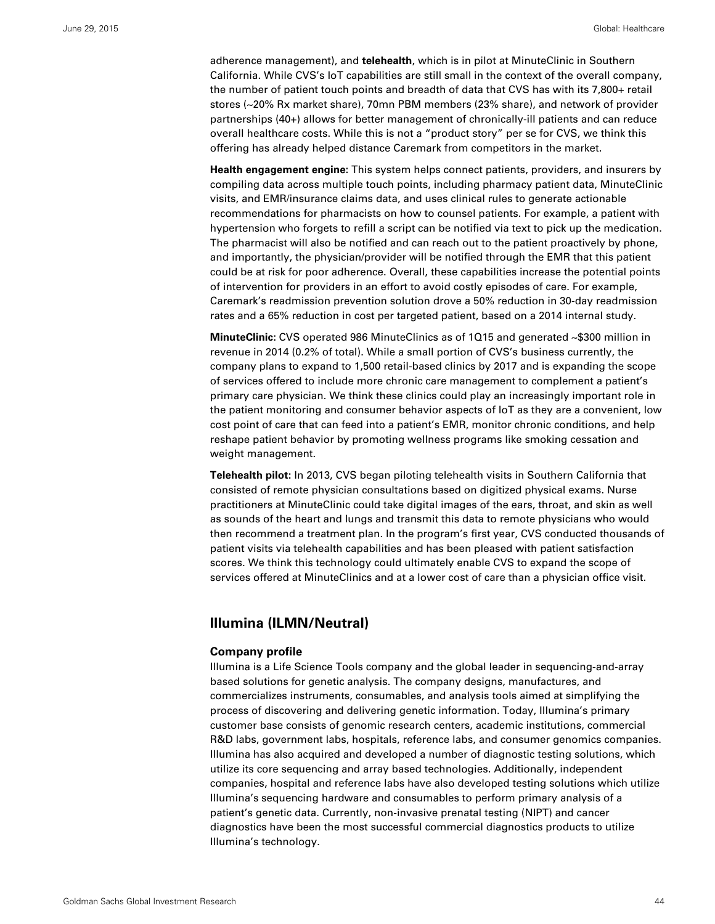adherence management), and **telehealth**, which is in pilot at MinuteClinic in Southern California. While CVS's IoT capabilities are still small in the context of the overall company, the number of patient touch points and breadth of data that CVS has with its 7,800+ retail stores (~20% Rx market share), 70mn PBM members (23% share), and network of provider partnerships (40+) allows for better management of chronically-ill patients and can reduce overall healthcare costs. While this is not a "product story" per se for CVS, we think this offering has already helped distance Caremark from competitors in the market.

**Health engagement engine:** This system helps connect patients, providers, and insurers by compiling data across multiple touch points, including pharmacy patient data, MinuteClinic visits, and EMR/insurance claims data, and uses clinical rules to generate actionable recommendations for pharmacists on how to counsel patients. For example, a patient with hypertension who forgets to refill a script can be notified via text to pick up the medication. The pharmacist will also be notified and can reach out to the patient proactively by phone, and importantly, the physician/provider will be notified through the EMR that this patient could be at risk for poor adherence. Overall, these capabilities increase the potential points of intervention for providers in an effort to avoid costly episodes of care. For example, Caremark's readmission prevention solution drove a 50% reduction in 30-day readmission rates and a 65% reduction in cost per targeted patient, based on a 2014 internal study.

**MinuteClinic:** CVS operated 986 MinuteClinics as of 1Q15 and generated ~\$300 million in revenue in 2014 (0.2% of total). While a small portion of CVS's business currently, the company plans to expand to 1,500 retail-based clinics by 2017 and is expanding the scope of services offered to include more chronic care management to complement a patient's primary care physician. We think these clinics could play an increasingly important role in the patient monitoring and consumer behavior aspects of IoT as they are a convenient, low cost point of care that can feed into a patient's EMR, monitor chronic conditions, and help reshape patient behavior by promoting wellness programs like smoking cessation and weight management.

**Telehealth pilot:** In 2013, CVS began piloting telehealth visits in Southern California that consisted of remote physician consultations based on digitized physical exams. Nurse practitioners at MinuteClinic could take digital images of the ears, throat, and skin as well as sounds of the heart and lungs and transmit this data to remote physicians who would then recommend a treatment plan. In the program's first year, CVS conducted thousands of patient visits via telehealth capabilities and has been pleased with patient satisfaction scores. We think this technology could ultimately enable CVS to expand the scope of services offered at MinuteClinics and at a lower cost of care than a physician office visit.

## **Illumina (ILMN/Neutral)**

#### **Company profile**

Illumina is a Life Science Tools company and the global leader in sequencing-and-array based solutions for genetic analysis. The company designs, manufactures, and commercializes instruments, consumables, and analysis tools aimed at simplifying the process of discovering and delivering genetic information. Today, Illumina's primary customer base consists of genomic research centers, academic institutions, commercial R&D labs, government labs, hospitals, reference labs, and consumer genomics companies. Illumina has also acquired and developed a number of diagnostic testing solutions, which utilize its core sequencing and array based technologies. Additionally, independent companies, hospital and reference labs have also developed testing solutions which utilize Illumina's sequencing hardware and consumables to perform primary analysis of a patient's genetic data. Currently, non-invasive prenatal testing (NIPT) and cancer diagnostics have been the most successful commercial diagnostics products to utilize Illumina's technology.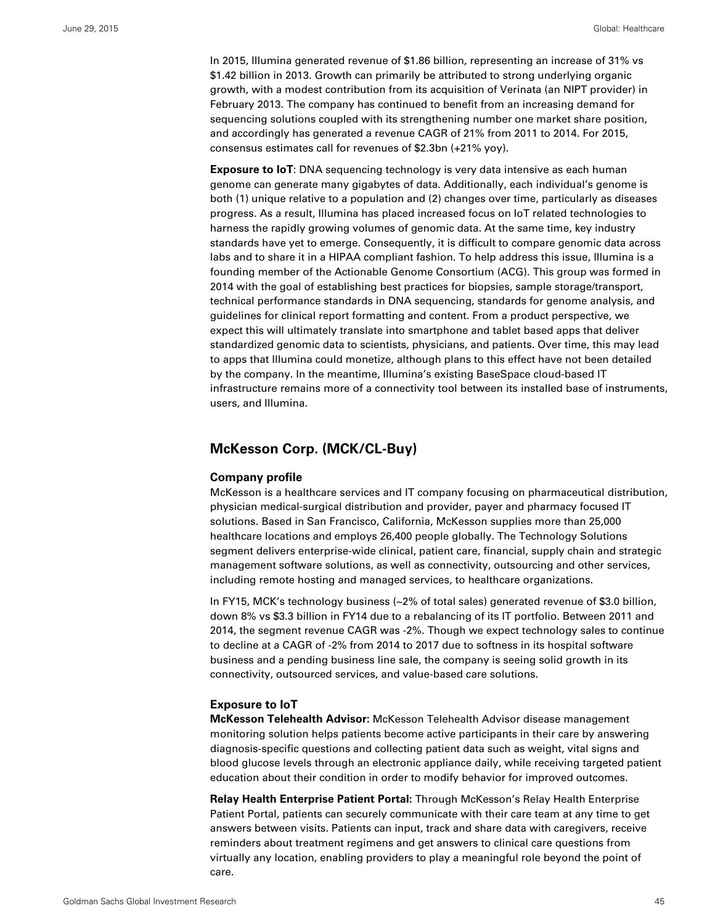In 2015, Illumina generated revenue of \$1.86 billion, representing an increase of 31% vs \$1.42 billion in 2013. Growth can primarily be attributed to strong underlying organic growth, with a modest contribution from its acquisition of Verinata (an NIPT provider) in February 2013. The company has continued to benefit from an increasing demand for sequencing solutions coupled with its strengthening number one market share position, and accordingly has generated a revenue CAGR of 21% from 2011 to 2014. For 2015, consensus estimates call for revenues of \$2.3bn (+21% yoy).

**Exposure to IoT**: DNA sequencing technology is very data intensive as each human genome can generate many gigabytes of data. Additionally, each individual's genome is both (1) unique relative to a population and (2) changes over time, particularly as diseases progress. As a result, Illumina has placed increased focus on IoT related technologies to harness the rapidly growing volumes of genomic data. At the same time, key industry standards have yet to emerge. Consequently, it is difficult to compare genomic data across labs and to share it in a HIPAA compliant fashion. To help address this issue, Illumina is a founding member of the Actionable Genome Consortium (ACG). This group was formed in 2014 with the goal of establishing best practices for biopsies, sample storage/transport, technical performance standards in DNA sequencing, standards for genome analysis, and guidelines for clinical report formatting and content. From a product perspective, we expect this will ultimately translate into smartphone and tablet based apps that deliver standardized genomic data to scientists, physicians, and patients. Over time, this may lead to apps that Illumina could monetize, although plans to this effect have not been detailed by the company. In the meantime, Illumina's existing BaseSpace cloud-based IT infrastructure remains more of a connectivity tool between its installed base of instruments, users, and Illumina.

## **McKesson Corp. (MCK/CL-Buy)**

#### **Company profile**

McKesson is a healthcare services and IT company focusing on pharmaceutical distribution, physician medical-surgical distribution and provider, payer and pharmacy focused IT solutions. Based in San Francisco, California, McKesson supplies more than 25,000 healthcare locations and employs 26,400 people globally. The Technology Solutions segment delivers enterprise-wide clinical, patient care, financial, supply chain and strategic management software solutions, as well as connectivity, outsourcing and other services, including remote hosting and managed services, to healthcare organizations.

In FY15, MCK's technology business (~2% of total sales) generated revenue of \$3.0 billion, down 8% vs \$3.3 billion in FY14 due to a rebalancing of its IT portfolio. Between 2011 and 2014, the segment revenue CAGR was -2%. Though we expect technology sales to continue to decline at a CAGR of -2% from 2014 to 2017 due to softness in its hospital software business and a pending business line sale, the company is seeing solid growth in its connectivity, outsourced services, and value-based care solutions.

#### **Exposure to IoT**

**McKesson Telehealth Advisor:** McKesson Telehealth Advisor disease management monitoring solution helps patients become active participants in their care by answering diagnosis-specific questions and collecting patient data such as weight, vital signs and blood glucose levels through an electronic appliance daily, while receiving targeted patient education about their condition in order to modify behavior for improved outcomes.

**Relay Health Enterprise Patient Portal:** Through McKesson's Relay Health Enterprise Patient Portal, patients can securely communicate with their care team at any time to get answers between visits. Patients can input, track and share data with caregivers, receive reminders about treatment regimens and get answers to clinical care questions from virtually any location, enabling providers to play a meaningful role beyond the point of care.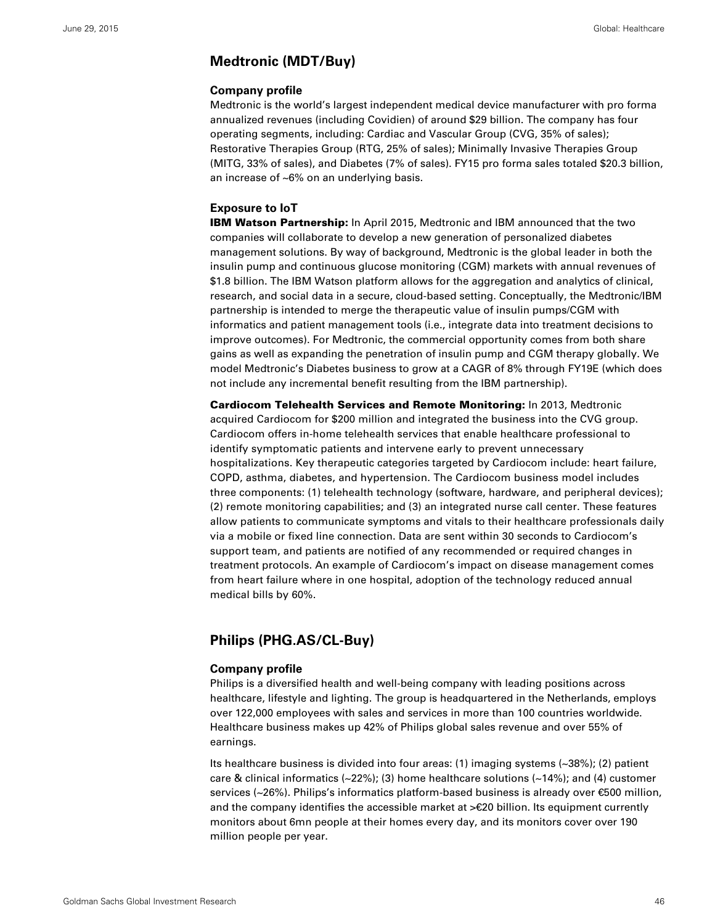## **Medtronic (MDT/Buy)**

#### **Company profile**

Medtronic is the world's largest independent medical device manufacturer with pro forma annualized revenues (including Covidien) of around \$29 billion. The company has four operating segments, including: Cardiac and Vascular Group (CVG, 35% of sales); Restorative Therapies Group (RTG, 25% of sales); Minimally Invasive Therapies Group (MITG, 33% of sales), and Diabetes (7% of sales). FY15 pro forma sales totaled \$20.3 billion, an increase of ~6% on an underlying basis.

### **Exposure to IoT**

**IBM Watson Partnership:** In April 2015, Medtronic and IBM announced that the two companies will collaborate to develop a new generation of personalized diabetes management solutions. By way of background, Medtronic is the global leader in both the insulin pump and continuous glucose monitoring (CGM) markets with annual revenues of \$1.8 billion. The IBM Watson platform allows for the aggregation and analytics of clinical, research, and social data in a secure, cloud-based setting. Conceptually, the Medtronic/IBM partnership is intended to merge the therapeutic value of insulin pumps/CGM with informatics and patient management tools (i.e., integrate data into treatment decisions to improve outcomes). For Medtronic, the commercial opportunity comes from both share gains as well as expanding the penetration of insulin pump and CGM therapy globally. We model Medtronic's Diabetes business to grow at a CAGR of 8% through FY19E (which does not include any incremental benefit resulting from the IBM partnership).

Cardiocom Telehealth Services and Remote Monitoring: In 2013, Medtronic acquired Cardiocom for \$200 million and integrated the business into the CVG group. Cardiocom offers in-home telehealth services that enable healthcare professional to identify symptomatic patients and intervene early to prevent unnecessary hospitalizations. Key therapeutic categories targeted by Cardiocom include: heart failure, COPD, asthma, diabetes, and hypertension. The Cardiocom business model includes three components: (1) telehealth technology (software, hardware, and peripheral devices); (2) remote monitoring capabilities; and (3) an integrated nurse call center. These features allow patients to communicate symptoms and vitals to their healthcare professionals daily via a mobile or fixed line connection. Data are sent within 30 seconds to Cardiocom's support team, and patients are notified of any recommended or required changes in treatment protocols. An example of Cardiocom's impact on disease management comes from heart failure where in one hospital, adoption of the technology reduced annual medical bills by 60%.

## **Philips (PHG.AS/CL-Buy)**

#### **Company profile**

Philips is a diversified health and well-being company with leading positions across healthcare, lifestyle and lighting. The group is headquartered in the Netherlands, employs over 122,000 employees with sales and services in more than 100 countries worldwide. Healthcare business makes up 42% of Philips global sales revenue and over 55% of earnings.

Its healthcare business is divided into four areas: (1) imaging systems (~38%); (2) patient care & clinical informatics (~22%); (3) home healthcare solutions (~14%); and (4) customer services (~26%). Philips's informatics platform-based business is already over €500 million, and the company identifies the accessible market at >€20 billion. Its equipment currently monitors about 6mn people at their homes every day, and its monitors cover over 190 million people per year.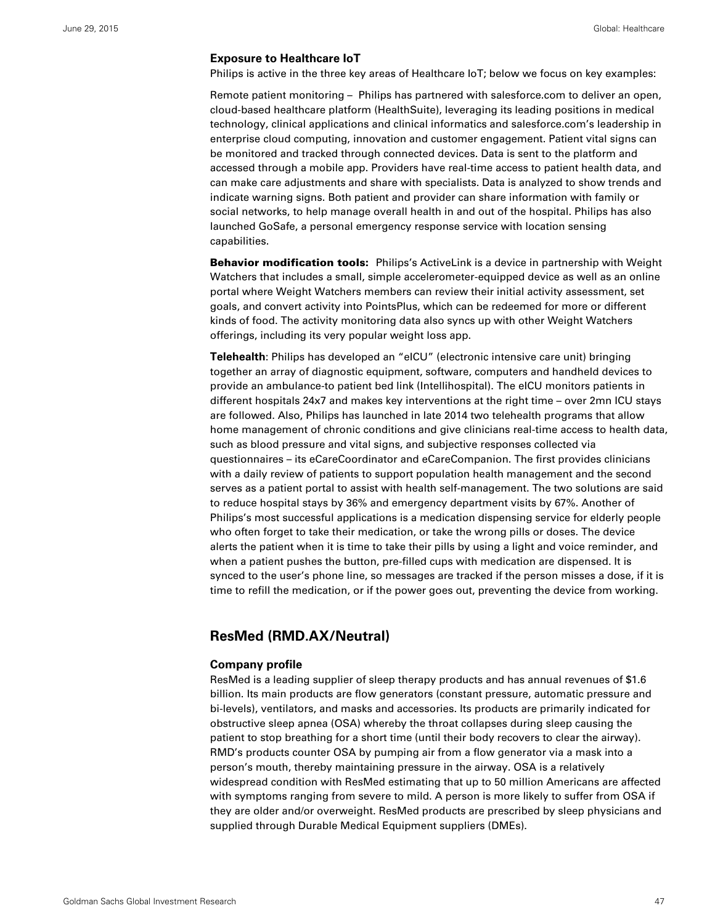#### **Exposure to Healthcare IoT**

Philips is active in the three key areas of Healthcare IoT; below we focus on key examples:

Remote patient monitoring – Philips has partnered with salesforce.com to deliver an open, cloud-based healthcare platform (HealthSuite), leveraging its leading positions in medical technology, clinical applications and clinical informatics and salesforce.com's leadership in enterprise cloud computing, innovation and customer engagement. Patient vital signs can be monitored and tracked through connected devices. Data is sent to the platform and accessed through a mobile app. Providers have real-time access to patient health data, and can make care adjustments and share with specialists. Data is analyzed to show trends and indicate warning signs. Both patient and provider can share information with family or social networks, to help manage overall health in and out of the hospital. Philips has also launched GoSafe, a personal emergency response service with location sensing capabilities.

Behavior modification tools: Philips's ActiveLink is a device in partnership with Weight Watchers that includes a small, simple accelerometer-equipped device as well as an online portal where Weight Watchers members can review their initial activity assessment, set goals, and convert activity into PointsPlus, which can be redeemed for more or different kinds of food. The activity monitoring data also syncs up with other Weight Watchers offerings, including its very popular weight loss app.

**Telehealth**: Philips has developed an "eICU" (electronic intensive care unit) bringing together an array of diagnostic equipment, software, computers and handheld devices to provide an ambulance-to patient bed link (Intellihospital). The eICU monitors patients in different hospitals 24x7 and makes key interventions at the right time – over 2mn ICU stays are followed. Also, Philips has launched in late 2014 two telehealth programs that allow home management of chronic conditions and give clinicians real-time access to health data, such as blood pressure and vital signs, and subjective responses collected via questionnaires – its eCareCoordinator and eCareCompanion. The first provides clinicians with a daily review of patients to support population health management and the second serves as a patient portal to assist with health self-management. The two solutions are said to reduce hospital stays by 36% and emergency department visits by 67%. Another of Philips's most successful applications is a medication dispensing service for elderly people who often forget to take their medication, or take the wrong pills or doses. The device alerts the patient when it is time to take their pills by using a light and voice reminder, and when a patient pushes the button, pre-filled cups with medication are dispensed. It is synced to the user's phone line, so messages are tracked if the person misses a dose, if it is time to refill the medication, or if the power goes out, preventing the device from working.

## **ResMed (RMD.AX/Neutral)**

#### **Company profile**

ResMed is a leading supplier of sleep therapy products and has annual revenues of \$1.6 billion. Its main products are flow generators (constant pressure, automatic pressure and bi-levels), ventilators, and masks and accessories. Its products are primarily indicated for obstructive sleep apnea (OSA) whereby the throat collapses during sleep causing the patient to stop breathing for a short time (until their body recovers to clear the airway). RMD's products counter OSA by pumping air from a flow generator via a mask into a person's mouth, thereby maintaining pressure in the airway. OSA is a relatively widespread condition with ResMed estimating that up to 50 million Americans are affected with symptoms ranging from severe to mild. A person is more likely to suffer from OSA if they are older and/or overweight. ResMed products are prescribed by sleep physicians and supplied through Durable Medical Equipment suppliers (DMEs).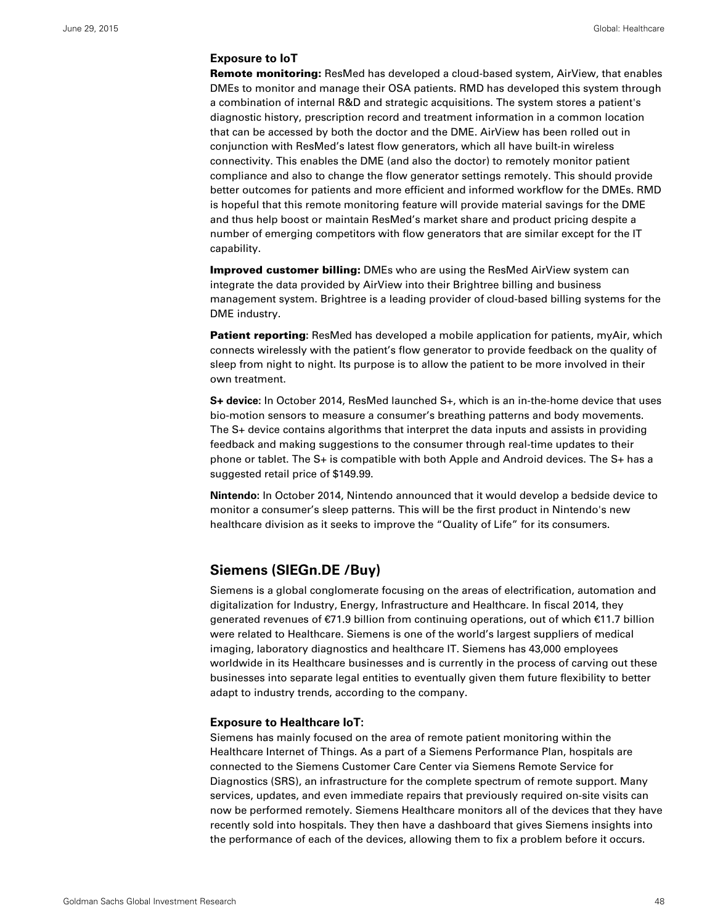#### **Exposure to IoT**

**Remote monitoring:** ResMed has developed a cloud-based system, AirView, that enables DMEs to monitor and manage their OSA patients. RMD has developed this system through a combination of internal R&D and strategic acquisitions. The system stores a patient's diagnostic history, prescription record and treatment information in a common location that can be accessed by both the doctor and the DME. AirView has been rolled out in conjunction with ResMed's latest flow generators, which all have built-in wireless connectivity. This enables the DME (and also the doctor) to remotely monitor patient compliance and also to change the flow generator settings remotely. This should provide better outcomes for patients and more efficient and informed workflow for the DMEs. RMD is hopeful that this remote monitoring feature will provide material savings for the DME and thus help boost or maintain ResMed's market share and product pricing despite a number of emerging competitors with flow generators that are similar except for the IT capability.

Improved customer billing: DMEs who are using the ResMed AirView system can integrate the data provided by AirView into their Brightree billing and business management system. Brightree is a leading provider of cloud-based billing systems for the DME industry.

Patient reporting**:** ResMed has developed a mobile application for patients, myAir, which connects wirelessly with the patient's flow generator to provide feedback on the quality of sleep from night to night. Its purpose is to allow the patient to be more involved in their own treatment.

**S+ device:** In October 2014, ResMed launched S+, which is an in-the-home device that uses bio-motion sensors to measure a consumer's breathing patterns and body movements. The S+ device contains algorithms that interpret the data inputs and assists in providing feedback and making suggestions to the consumer through real-time updates to their phone or tablet. The S+ is compatible with both Apple and Android devices. The S+ has a suggested retail price of \$149.99.

**Nintendo:** In October 2014, Nintendo announced that it would develop a bedside device to monitor a consumer's sleep patterns. This will be the first product in Nintendo's new healthcare division as it seeks to improve the "Quality of Life" for its consumers.

## **Siemens (SIEGn.DE /Buy)**

Siemens is a global conglomerate focusing on the areas of electrification, automation and digitalization for Industry, Energy, Infrastructure and Healthcare. In fiscal 2014, they generated revenues of €71.9 billion from continuing operations, out of which €11.7 billion were related to Healthcare. Siemens is one of the world's largest suppliers of medical imaging, laboratory diagnostics and healthcare IT. Siemens has 43,000 employees worldwide in its Healthcare businesses and is currently in the process of carving out these businesses into separate legal entities to eventually given them future flexibility to better adapt to industry trends, according to the company.

#### **Exposure to Healthcare IoT:**

Siemens has mainly focused on the area of remote patient monitoring within the Healthcare Internet of Things. As a part of a Siemens Performance Plan, hospitals are connected to the Siemens Customer Care Center via Siemens Remote Service for Diagnostics (SRS), an infrastructure for the complete spectrum of remote support. Many services, updates, and even immediate repairs that previously required on-site visits can now be performed remotely. Siemens Healthcare monitors all of the devices that they have recently sold into hospitals. They then have a dashboard that gives Siemens insights into the performance of each of the devices, allowing them to fix a problem before it occurs.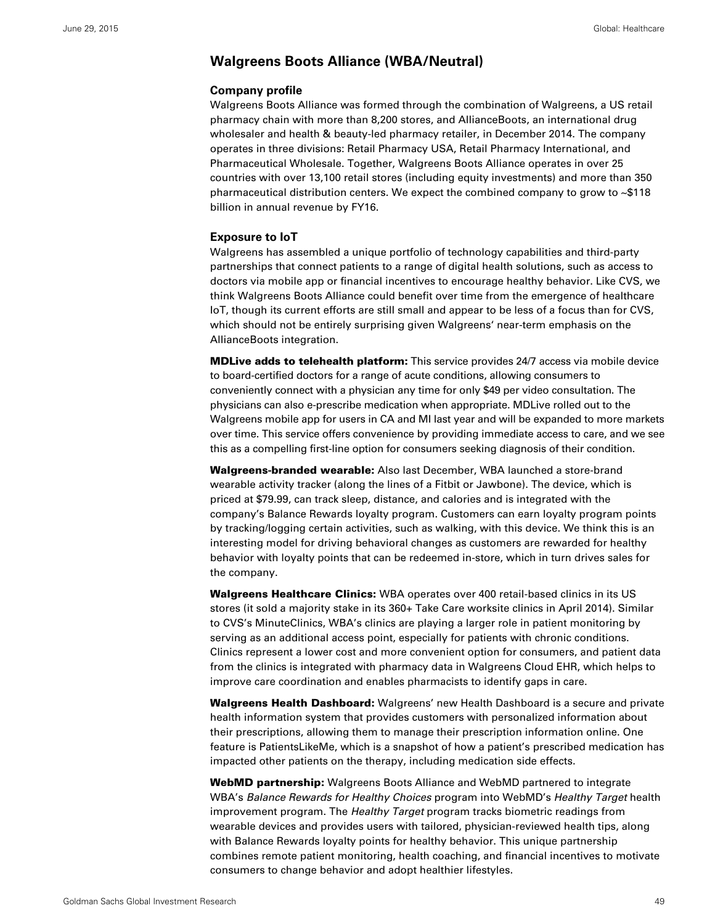## **Walgreens Boots Alliance (WBA/Neutral)**

#### **Company profile**

Walgreens Boots Alliance was formed through the combination of Walgreens, a US retail pharmacy chain with more than 8,200 stores, and AllianceBoots, an international drug wholesaler and health & beauty-led pharmacy retailer, in December 2014. The company operates in three divisions: Retail Pharmacy USA, Retail Pharmacy International, and Pharmaceutical Wholesale. Together, Walgreens Boots Alliance operates in over 25 countries with over 13,100 retail stores (including equity investments) and more than 350 pharmaceutical distribution centers. We expect the combined company to grow to ~\$118 billion in annual revenue by FY16.

### **Exposure to IoT**

Walgreens has assembled a unique portfolio of technology capabilities and third-party partnerships that connect patients to a range of digital health solutions, such as access to doctors via mobile app or financial incentives to encourage healthy behavior. Like CVS, we think Walgreens Boots Alliance could benefit over time from the emergence of healthcare IoT, though its current efforts are still small and appear to be less of a focus than for CVS, which should not be entirely surprising given Walgreens' near-term emphasis on the AllianceBoots integration.

**MDLive adds to telehealth platform:** This service provides 24/7 access via mobile device to board-certified doctors for a range of acute conditions, allowing consumers to conveniently connect with a physician any time for only \$49 per video consultation. The physicians can also e-prescribe medication when appropriate. MDLive rolled out to the Walgreens mobile app for users in CA and MI last year and will be expanded to more markets over time. This service offers convenience by providing immediate access to care, and we see this as a compelling first-line option for consumers seeking diagnosis of their condition.

Walgreens-branded wearable: Also last December, WBA launched a store-brand wearable activity tracker (along the lines of a Fitbit or Jawbone). The device, which is priced at \$79.99, can track sleep, distance, and calories and is integrated with the company's Balance Rewards loyalty program. Customers can earn loyalty program points by tracking/logging certain activities, such as walking, with this device. We think this is an interesting model for driving behavioral changes as customers are rewarded for healthy behavior with loyalty points that can be redeemed in-store, which in turn drives sales for the company.

Walgreens Healthcare Clinics: WBA operates over 400 retail-based clinics in its US stores (it sold a majority stake in its 360+ Take Care worksite clinics in April 2014). Similar to CVS's MinuteClinics, WBA's clinics are playing a larger role in patient monitoring by serving as an additional access point, especially for patients with chronic conditions. Clinics represent a lower cost and more convenient option for consumers, and patient data from the clinics is integrated with pharmacy data in Walgreens Cloud EHR, which helps to improve care coordination and enables pharmacists to identify gaps in care.

Walgreens Health Dashboard: Walgreens' new Health Dashboard is a secure and private health information system that provides customers with personalized information about their prescriptions, allowing them to manage their prescription information online. One feature is PatientsLikeMe, which is a snapshot of how a patient's prescribed medication has impacted other patients on the therapy, including medication side effects.

WebMD partnership: Walgreens Boots Alliance and WebMD partnered to integrate WBA's Balance Rewards for Healthy Choices program into WebMD's Healthy Target health improvement program. The Healthy Target program tracks biometric readings from wearable devices and provides users with tailored, physician-reviewed health tips, along with Balance Rewards loyalty points for healthy behavior. This unique partnership combines remote patient monitoring, health coaching, and financial incentives to motivate consumers to change behavior and adopt healthier lifestyles.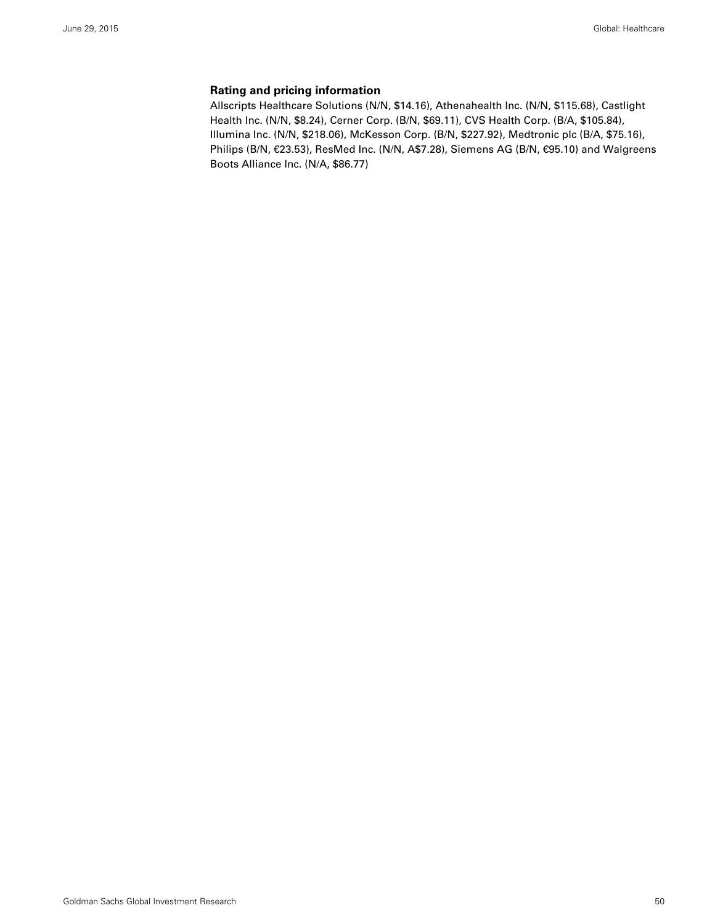## **Rating and pricing information**

Allscripts Healthcare Solutions (N/N, \$14.16), Athenahealth Inc. (N/N, \$115.68), Castlight Health Inc. (N/N, \$8.24), Cerner Corp. (B/N, \$69.11), CVS Health Corp. (B/A, \$105.84), Illumina Inc. (N/N, \$218.06), McKesson Corp. (B/N, \$227.92), Medtronic plc (B/A, \$75.16), Philips (B/N, €23.53), ResMed Inc. (N/N, A\$7.28), Siemens AG (B/N, €95.10) and Walgreens Boots Alliance Inc. (N/A, \$86.77)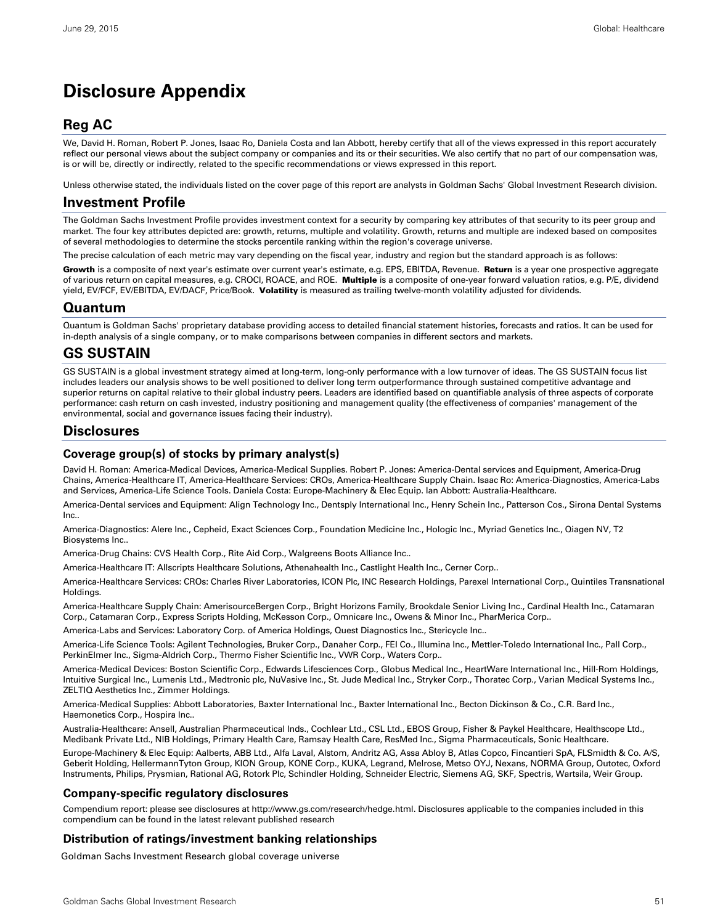## **Disclosure Appendix**

## **Reg AC**

We, David H. Roman, Robert P. Jones, Isaac Ro, Daniela Costa and Ian Abbott, hereby certify that all of the views expressed in this report accurately reflect our personal views about the subject company or companies and its or their securities. We also certify that no part of our compensation was, is or will be, directly or indirectly, related to the specific recommendations or views expressed in this report.

Unless otherwise stated, the individuals listed on the cover page of this report are analysts in Goldman Sachs' Global Investment Research division.

## **Investment Profile**

The Goldman Sachs Investment Profile provides investment context for a security by comparing key attributes of that security to its peer group and market. The four key attributes depicted are: growth, returns, multiple and volatility. Growth, returns and multiple are indexed based on composites of several methodologies to determine the stocks percentile ranking within the region's coverage universe.

The precise calculation of each metric may vary depending on the fiscal year, industry and region but the standard approach is as follows:

Growth is a composite of next year's estimate over current year's estimate, e.g. EPS, EBITDA, Revenue. Return is a year one prospective aggregate of various return on capital measures, e.g. CROCI, ROACE, and ROE. Multiple is a composite of one-year forward valuation ratios, e.g. P/E, dividend yield, EV/FCF, EV/EBITDA, EV/DACF, Price/Book. Volatility is measured as trailing twelve-month volatility adjusted for dividends.

### **Quantum**

Quantum is Goldman Sachs' proprietary database providing access to detailed financial statement histories, forecasts and ratios. It can be used for in-depth analysis of a single company, or to make comparisons between companies in different sectors and markets.

## **GS SUSTAIN**

GS SUSTAIN is a global investment strategy aimed at long-term, long-only performance with a low turnover of ideas. The GS SUSTAIN focus list includes leaders our analysis shows to be well positioned to deliver long term outperformance through sustained competitive advantage and superior returns on capital relative to their global industry peers. Leaders are identified based on quantifiable analysis of three aspects of corporate performance: cash return on cash invested, industry positioning and management quality (the effectiveness of companies' management of the environmental, social and governance issues facing their industry).

## **Disclosures**

### **Coverage group(s) of stocks by primary analyst(s)**

David H. Roman: America-Medical Devices, America-Medical Supplies. Robert P. Jones: America-Dental services and Equipment, America-Drug Chains, America-Healthcare IT, America-Healthcare Services: CROs, America-Healthcare Supply Chain. Isaac Ro: America-Diagnostics, America-Labs and Services, America-Life Science Tools. Daniela Costa: Europe-Machinery & Elec Equip. Ian Abbott: Australia-Healthcare.

America-Dental services and Equipment: Align Technology Inc., Dentsply International Inc., Henry Schein Inc., Patterson Cos., Sirona Dental Systems Inc..

America-Diagnostics: Alere Inc., Cepheid, Exact Sciences Corp., Foundation Medicine Inc., Hologic Inc., Myriad Genetics Inc., Qiagen NV, T2 Biosystems Inc..

America-Drug Chains: CVS Health Corp., Rite Aid Corp., Walgreens Boots Alliance Inc..

America-Healthcare IT: Allscripts Healthcare Solutions, Athenahealth Inc., Castlight Health Inc., Cerner Corp..

America-Healthcare Services: CROs: Charles River Laboratories, ICON Plc, INC Research Holdings, Parexel International Corp., Quintiles Transnational Holdings.

America-Healthcare Supply Chain: AmerisourceBergen Corp., Bright Horizons Family, Brookdale Senior Living Inc., Cardinal Health Inc., Catamaran Corp., Catamaran Corp., Express Scripts Holding, McKesson Corp., Omnicare Inc., Owens & Minor Inc., PharMerica Corp..

America-Labs and Services: Laboratory Corp. of America Holdings, Quest Diagnostics Inc., Stericycle Inc..

America-Life Science Tools: Agilent Technologies, Bruker Corp., Danaher Corp., FEI Co., Illumina Inc., Mettler-Toledo International Inc., Pall Corp., PerkinElmer Inc., Sigma-Aldrich Corp., Thermo Fisher Scientific Inc., VWR Corp., Waters Corp..

America-Medical Devices: Boston Scientific Corp., Edwards Lifesciences Corp., Globus Medical Inc., HeartWare International Inc., Hill-Rom Holdings, Intuitive Surgical Inc., Lumenis Ltd., Medtronic plc, NuVasive Inc., St. Jude Medical Inc., Stryker Corp., Thoratec Corp., Varian Medical Systems Inc., ZELTIQ Aesthetics Inc., Zimmer Holdings.

America-Medical Supplies: Abbott Laboratories, Baxter International Inc., Baxter International Inc., Becton Dickinson & Co., C.R. Bard Inc., Haemonetics Corp., Hospira Inc..

Australia-Healthcare: Ansell, Australian Pharmaceutical Inds., Cochlear Ltd., CSL Ltd., EBOS Group, Fisher & Paykel Healthcare, Healthscope Ltd., Medibank Private Ltd., NIB Holdings, Primary Health Care, Ramsay Health Care, ResMed Inc., Sigma Pharmaceuticals, Sonic Healthcare.

Europe-Machinery & Elec Equip: Aalberts, ABB Ltd., Alfa Laval, Alstom, Andritz AG, Assa Abloy B, Atlas Copco, Fincantieri SpA, FLSmidth & Co. A/S, Geberit Holding, HellermannTyton Group, KION Group, KONE Corp., KUKA, Legrand, Melrose, Metso OYJ, Nexans, NORMA Group, Outotec, Oxford Instruments, Philips, Prysmian, Rational AG, Rotork Plc, Schindler Holding, Schneider Electric, Siemens AG, SKF, Spectris, Wartsila, Weir Group.

#### **Company-specific regulatory disclosures**

Compendium report: please see disclosures at http://www.gs.com/research/hedge.html. Disclosures applicable to the companies included in this compendium can be found in the latest relevant published research

## **Distribution of ratings/investment banking relationships**

Goldman Sachs Investment Research global coverage universe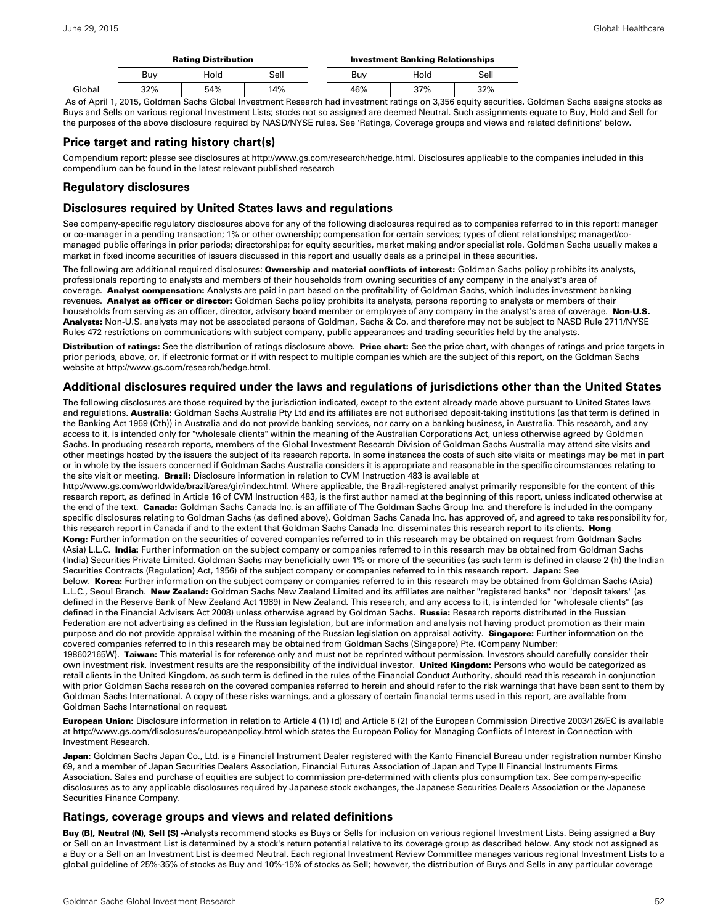|        | <b>Rating Distribution</b> |      |      |     | <b>Investment Banking Relationships</b> |      |
|--------|----------------------------|------|------|-----|-----------------------------------------|------|
|        | Buv                        | Hold | Sell | Buv | Hold                                    | Sell |
| Global | 32%                        | 54%  | 14%  | 46% | 37%                                     | 32%  |

 As of April 1, 2015, Goldman Sachs Global Investment Research had investment ratings on 3,356 equity securities. Goldman Sachs assigns stocks as Buys and Sells on various regional Investment Lists; stocks not so assigned are deemed Neutral. Such assignments equate to Buy, Hold and Sell for the purposes of the above disclosure required by NASD/NYSE rules. See 'Ratings, Coverage groups and views and related definitions' below.

#### **Price target and rating history chart(s)**

Compendium report: please see disclosures at http://www.gs.com/research/hedge.html. Disclosures applicable to the companies included in this compendium can be found in the latest relevant published research

#### **Regulatory disclosures**

#### **Disclosures required by United States laws and regulations**

See company-specific regulatory disclosures above for any of the following disclosures required as to companies referred to in this report: manager or co-manager in a pending transaction; 1% or other ownership; compensation for certain services; types of client relationships; managed/comanaged public offerings in prior periods; directorships; for equity securities, market making and/or specialist role. Goldman Sachs usually makes a market in fixed income securities of issuers discussed in this report and usually deals as a principal in these securities.

The following are additional required disclosures: Ownership and material conflicts of interest: Goldman Sachs policy prohibits its analysts, professionals reporting to analysts and members of their households from owning securities of any company in the analyst's area of coverage. Analyst compensation: Analysts are paid in part based on the profitability of Goldman Sachs, which includes investment banking revenues. Analyst as officer or director: Goldman Sachs policy prohibits its analysts, persons reporting to analysts or members of their households from serving as an officer, director, advisory board member or employee of any company in the analyst's area of coverage. Non-U.S. Analysts: Non-U.S. analysts may not be associated persons of Goldman, Sachs & Co. and therefore may not be subject to NASD Rule 2711/NYSE Rules 472 restrictions on communications with subject company, public appearances and trading securities held by the analysts.

Distribution of ratings: See the distribution of ratings disclosure above. Price chart: See the price chart, with changes of ratings and price targets in prior periods, above, or, if electronic format or if with respect to multiple companies which are the subject of this report, on the Goldman Sachs website at http://www.gs.com/research/hedge.html.

#### **Additional disclosures required under the laws and regulations of jurisdictions other than the United States**

The following disclosures are those required by the jurisdiction indicated, except to the extent already made above pursuant to United States laws and regulations. Australia: Goldman Sachs Australia Pty Ltd and its affiliates are not authorised deposit-taking institutions (as that term is defined in the Banking Act 1959 (Cth)) in Australia and do not provide banking services, nor carry on a banking business, in Australia. This research, and any access to it, is intended only for "wholesale clients" within the meaning of the Australian Corporations Act, unless otherwise agreed by Goldman Sachs. In producing research reports, members of the Global Investment Research Division of Goldman Sachs Australia may attend site visits and other meetings hosted by the issuers the subject of its research reports. In some instances the costs of such site visits or meetings may be met in part or in whole by the issuers concerned if Goldman Sachs Australia considers it is appropriate and reasonable in the specific circumstances relating to the site visit or meeting. Brazil: Disclosure information in relation to CVM Instruction 483 is available at

http://www.gs.com/worldwide/brazil/area/gir/index.html. Where applicable, the Brazil-registered analyst primarily responsible for the content of this research report, as defined in Article 16 of CVM Instruction 483, is the first author named at the beginning of this report, unless indicated otherwise at the end of the text. Canada: Goldman Sachs Canada Inc. is an affiliate of The Goldman Sachs Group Inc. and therefore is included in the company specific disclosures relating to Goldman Sachs (as defined above). Goldman Sachs Canada Inc. has approved of, and agreed to take responsibility for, this research report in Canada if and to the extent that Goldman Sachs Canada Inc. disseminates this research report to its clients. Hong Kong: Further information on the securities of covered companies referred to in this research may be obtained on request from Goldman Sachs (Asia) L.L.C. India: Further information on the subject company or companies referred to in this research may be obtained from Goldman Sachs (India) Securities Private Limited. Goldman Sachs may beneficially own 1% or more of the securities (as such term is defined in clause 2 (h) the Indian Securities Contracts (Regulation) Act, 1956) of the subject company or companies referred to in this research report. Japan: See

below. Korea: Further information on the subject company or companies referred to in this research may be obtained from Goldman Sachs (Asia) L.L.C., Seoul Branch. New Zealand: Goldman Sachs New Zealand Limited and its affiliates are neither "registered banks" nor "deposit takers" (as defined in the Reserve Bank of New Zealand Act 1989) in New Zealand. This research, and any access to it, is intended for "wholesale clients" (as defined in the Financial Advisers Act 2008) unless otherwise agreed by Goldman Sachs. Russia: Research reports distributed in the Russian Federation are not advertising as defined in the Russian legislation, but are information and analysis not having product promotion as their main purpose and do not provide appraisal within the meaning of the Russian legislation on appraisal activity. Singapore: Further information on the covered companies referred to in this research may be obtained from Goldman Sachs (Singapore) Pte. (Company Number:

198602165W). Taiwan: This material is for reference only and must not be reprinted without permission. Investors should carefully consider their own investment risk. Investment results are the responsibility of the individual investor. United Kingdom: Persons who would be categorized as retail clients in the United Kingdom, as such term is defined in the rules of the Financial Conduct Authority, should read this research in conjunction with prior Goldman Sachs research on the covered companies referred to herein and should refer to the risk warnings that have been sent to them by Goldman Sachs International. A copy of these risks warnings, and a glossary of certain financial terms used in this report, are available from Goldman Sachs International on request.

European Union: Disclosure information in relation to Article 4 (1) (d) and Article 6 (2) of the European Commission Directive 2003/126/EC is available at http://www.gs.com/disclosures/europeanpolicy.html which states the European Policy for Managing Conflicts of Interest in Connection with Investment Research.

Japan: Goldman Sachs Japan Co., Ltd. is a Financial Instrument Dealer registered with the Kanto Financial Bureau under registration number Kinsho 69, and a member of Japan Securities Dealers Association, Financial Futures Association of Japan and Type II Financial Instruments Firms Association. Sales and purchase of equities are subject to commission pre-determined with clients plus consumption tax. See company-specific disclosures as to any applicable disclosures required by Japanese stock exchanges, the Japanese Securities Dealers Association or the Japanese Securities Finance Company.

#### **Ratings, coverage groups and views and related definitions**

Buy (B), Neutral (N), Sell (S) -Analysts recommend stocks as Buys or Sells for inclusion on various regional Investment Lists. Being assigned a Buy or Sell on an Investment List is determined by a stock's return potential relative to its coverage group as described below. Any stock not assigned as a Buy or a Sell on an Investment List is deemed Neutral. Each regional Investment Review Committee manages various regional Investment Lists to a global guideline of 25%-35% of stocks as Buy and 10%-15% of stocks as Sell; however, the distribution of Buys and Sells in any particular coverage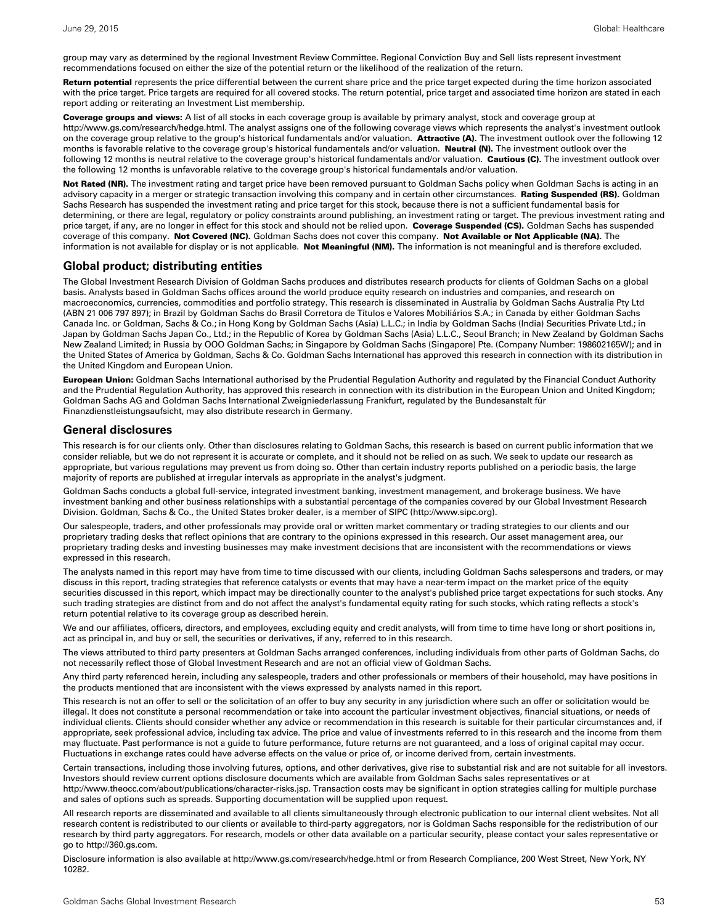group may vary as determined by the regional Investment Review Committee. Regional Conviction Buy and Sell lists represent investment recommendations focused on either the size of the potential return or the likelihood of the realization of the return.

Return potential represents the price differential between the current share price and the price target expected during the time horizon associated with the price target. Price targets are required for all covered stocks. The return potential, price target and associated time horizon are stated in each report adding or reiterating an Investment List membership.

Coverage groups and views: A list of all stocks in each coverage group is available by primary analyst, stock and coverage group at http://www.gs.com/research/hedge.html. The analyst assigns one of the following coverage views which represents the analyst's investment outlook on the coverage group relative to the group's historical fundamentals and/or valuation. Attractive (A). The investment outlook over the following 12 months is favorable relative to the coverage group's historical fundamentals and/or valuation. Neutral (N). The investment outlook over the following 12 months is neutral relative to the coverage group's historical fundamentals and/or valuation. Cautious (C). The investment outlook over the following 12 months is unfavorable relative to the coverage group's historical fundamentals and/or valuation.

Not Rated (NR). The investment rating and target price have been removed pursuant to Goldman Sachs policy when Goldman Sachs is acting in an advisory capacity in a merger or strategic transaction involving this company and in certain other circumstances. Rating Suspended (RS). Goldman Sachs Research has suspended the investment rating and price target for this stock, because there is not a sufficient fundamental basis for determining, or there are legal, regulatory or policy constraints around publishing, an investment rating or target. The previous investment rating and price target, if any, are no longer in effect for this stock and should not be relied upon. Coverage Suspended (CS). Goldman Sachs has suspended coverage of this company. Not Covered (NC). Goldman Sachs does not cover this company. Not Available or Not Applicable (NA). The information is not available for display or is not applicable. Not Meaningful (NM). The information is not meaningful and is therefore excluded.

#### **Global product; distributing entities**

The Global Investment Research Division of Goldman Sachs produces and distributes research products for clients of Goldman Sachs on a global basis. Analysts based in Goldman Sachs offices around the world produce equity research on industries and companies, and research on macroeconomics, currencies, commodities and portfolio strategy. This research is disseminated in Australia by Goldman Sachs Australia Pty Ltd (ABN 21 006 797 897); in Brazil by Goldman Sachs do Brasil Corretora de Títulos e Valores Mobiliários S.A.; in Canada by either Goldman Sachs Canada Inc. or Goldman, Sachs & Co.; in Hong Kong by Goldman Sachs (Asia) L.L.C.; in India by Goldman Sachs (India) Securities Private Ltd.; in Japan by Goldman Sachs Japan Co., Ltd.; in the Republic of Korea by Goldman Sachs (Asia) L.L.C., Seoul Branch; in New Zealand by Goldman Sachs New Zealand Limited; in Russia by OOO Goldman Sachs; in Singapore by Goldman Sachs (Singapore) Pte. (Company Number: 198602165W); and in the United States of America by Goldman, Sachs & Co. Goldman Sachs International has approved this research in connection with its distribution in the United Kingdom and European Union.

European Union: Goldman Sachs International authorised by the Prudential Regulation Authority and regulated by the Financial Conduct Authority and the Prudential Regulation Authority, has approved this research in connection with its distribution in the European Union and United Kingdom; Goldman Sachs AG and Goldman Sachs International Zweigniederlassung Frankfurt, regulated by the Bundesanstalt für Finanzdienstleistungsaufsicht, may also distribute research in Germany.

#### **General disclosures**

This research is for our clients only. Other than disclosures relating to Goldman Sachs, this research is based on current public information that we consider reliable, but we do not represent it is accurate or complete, and it should not be relied on as such. We seek to update our research as appropriate, but various regulations may prevent us from doing so. Other than certain industry reports published on a periodic basis, the large majority of reports are published at irregular intervals as appropriate in the analyst's judgment.

Goldman Sachs conducts a global full-service, integrated investment banking, investment management, and brokerage business. We have investment banking and other business relationships with a substantial percentage of the companies covered by our Global Investment Research Division. Goldman, Sachs & Co., the United States broker dealer, is a member of SIPC (http://www.sipc.org).

Our salespeople, traders, and other professionals may provide oral or written market commentary or trading strategies to our clients and our proprietary trading desks that reflect opinions that are contrary to the opinions expressed in this research. Our asset management area, our proprietary trading desks and investing businesses may make investment decisions that are inconsistent with the recommendations or views expressed in this research.

The analysts named in this report may have from time to time discussed with our clients, including Goldman Sachs salespersons and traders, or may discuss in this report, trading strategies that reference catalysts or events that may have a near-term impact on the market price of the equity securities discussed in this report, which impact may be directionally counter to the analyst's published price target expectations for such stocks. Any such trading strategies are distinct from and do not affect the analyst's fundamental equity rating for such stocks, which rating reflects a stock's return potential relative to its coverage group as described herein.

We and our affiliates, officers, directors, and employees, excluding equity and credit analysts, will from time to time have long or short positions in, act as principal in, and buy or sell, the securities or derivatives, if any, referred to in this research.

The views attributed to third party presenters at Goldman Sachs arranged conferences, including individuals from other parts of Goldman Sachs, do not necessarily reflect those of Global Investment Research and are not an official view of Goldman Sachs.

Any third party referenced herein, including any salespeople, traders and other professionals or members of their household, may have positions in the products mentioned that are inconsistent with the views expressed by analysts named in this report.

This research is not an offer to sell or the solicitation of an offer to buy any security in any jurisdiction where such an offer or solicitation would be illegal. It does not constitute a personal recommendation or take into account the particular investment objectives, financial situations, or needs of individual clients. Clients should consider whether any advice or recommendation in this research is suitable for their particular circumstances and, if appropriate, seek professional advice, including tax advice. The price and value of investments referred to in this research and the income from them may fluctuate. Past performance is not a guide to future performance, future returns are not guaranteed, and a loss of original capital may occur. Fluctuations in exchange rates could have adverse effects on the value or price of, or income derived from, certain investments.

Certain transactions, including those involving futures, options, and other derivatives, give rise to substantial risk and are not suitable for all investors. Investors should review current options disclosure documents which are available from Goldman Sachs sales representatives or at http://www.theocc.com/about/publications/character-risks.jsp. Transaction costs may be significant in option strategies calling for multiple purchase

and sales of options such as spreads. Supporting documentation will be supplied upon request.

All research reports are disseminated and available to all clients simultaneously through electronic publication to our internal client websites. Not all research content is redistributed to our clients or available to third-party aggregators, nor is Goldman Sachs responsible for the redistribution of our research by third party aggregators. For research, models or other data available on a particular security, please contact your sales representative or go to http://360.gs.com.

Disclosure information is also available at http://www.gs.com/research/hedge.html or from Research Compliance, 200 West Street, New York, NY 10282.